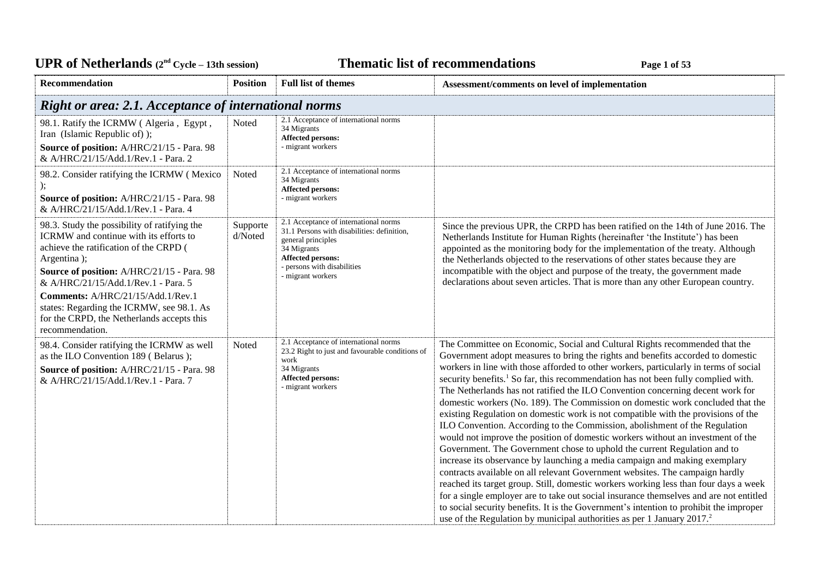| <b>UPR</b> of Netherlands $(2^{nd} Cycle - 13th session)$                                                                                                                                                                                                                                                                                                            |                     |                                                                                                                                                                                                           | <b>Thematic list of recommendations</b><br>Page 1 of 53                                                                                                                                                                                                                                                                                                                                                                                                                                                                                                                                                                                                                                                                                                                                                                                                                                                                                                                                                                                                                                                                                                                                                                                                                                                                                                                                       |
|----------------------------------------------------------------------------------------------------------------------------------------------------------------------------------------------------------------------------------------------------------------------------------------------------------------------------------------------------------------------|---------------------|-----------------------------------------------------------------------------------------------------------------------------------------------------------------------------------------------------------|-----------------------------------------------------------------------------------------------------------------------------------------------------------------------------------------------------------------------------------------------------------------------------------------------------------------------------------------------------------------------------------------------------------------------------------------------------------------------------------------------------------------------------------------------------------------------------------------------------------------------------------------------------------------------------------------------------------------------------------------------------------------------------------------------------------------------------------------------------------------------------------------------------------------------------------------------------------------------------------------------------------------------------------------------------------------------------------------------------------------------------------------------------------------------------------------------------------------------------------------------------------------------------------------------------------------------------------------------------------------------------------------------|
| Recommendation                                                                                                                                                                                                                                                                                                                                                       | <b>Position</b>     | <b>Full list of themes</b>                                                                                                                                                                                | Assessment/comments on level of implementation                                                                                                                                                                                                                                                                                                                                                                                                                                                                                                                                                                                                                                                                                                                                                                                                                                                                                                                                                                                                                                                                                                                                                                                                                                                                                                                                                |
| Right or area: 2.1. Acceptance of international norms                                                                                                                                                                                                                                                                                                                |                     |                                                                                                                                                                                                           |                                                                                                                                                                                                                                                                                                                                                                                                                                                                                                                                                                                                                                                                                                                                                                                                                                                                                                                                                                                                                                                                                                                                                                                                                                                                                                                                                                                               |
| 98.1. Ratify the ICRMW (Algeria, Egypt,<br>Iran (Islamic Republic of) );<br>Source of position: A/HRC/21/15 - Para. 98<br>& A/HRC/21/15/Add.1/Rev.1 - Para. 2                                                                                                                                                                                                        | Noted               | 2.1 Acceptance of international norms<br>34 Migrants<br><b>Affected persons:</b><br>- migrant workers                                                                                                     |                                                                                                                                                                                                                                                                                                                                                                                                                                                                                                                                                                                                                                                                                                                                                                                                                                                                                                                                                                                                                                                                                                                                                                                                                                                                                                                                                                                               |
| 98.2. Consider ratifying the ICRMW (Mexico<br>Source of position: A/HRC/21/15 - Para. 98<br>& A/HRC/21/15/Add.1/Rev.1 - Para. 4                                                                                                                                                                                                                                      | Noted               | 2.1 Acceptance of international norms<br>34 Migrants<br><b>Affected persons:</b><br>- migrant workers                                                                                                     |                                                                                                                                                                                                                                                                                                                                                                                                                                                                                                                                                                                                                                                                                                                                                                                                                                                                                                                                                                                                                                                                                                                                                                                                                                                                                                                                                                                               |
| 98.3. Study the possibility of ratifying the<br>ICRMW and continue with its efforts to<br>achieve the ratification of the CRPD (<br>Argentina);<br>Source of position: A/HRC/21/15 - Para. 98<br>& A/HRC/21/15/Add.1/Rev.1 - Para. 5<br>Comments: A/HRC/21/15/Add.1/Rev.1<br>states: Regarding the ICRMW, see 98.1. As<br>for the CRPD, the Netherlands accepts this | Supporte<br>d/Noted | 2.1 Acceptance of international norms<br>31.1 Persons with disabilities: definition,<br>general principles<br>34 Migrants<br><b>Affected persons:</b><br>- persons with disabilities<br>- migrant workers | Since the previous UPR, the CRPD has been ratified on the 14th of June 2016. The<br>Netherlands Institute for Human Rights (hereinafter 'the Institute') has been<br>appointed as the monitoring body for the implementation of the treaty. Although<br>the Netherlands objected to the reservations of other states because they are<br>incompatible with the object and purpose of the treaty, the government made<br>declarations about seven articles. That is more than any other European country.                                                                                                                                                                                                                                                                                                                                                                                                                                                                                                                                                                                                                                                                                                                                                                                                                                                                                      |
| recommendation.<br>98.4. Consider ratifying the ICRMW as well<br>as the ILO Convention 189 (Belarus);<br>Source of position: A/HRC/21/15 - Para. 98<br>& A/HRC/21/15/Add.1/Rev.1 - Para. 7                                                                                                                                                                           | Noted               | 2.1 Acceptance of international norms<br>23.2 Right to just and favourable conditions of<br>work<br>34 Migrants<br><b>Affected persons:</b><br>- migrant workers                                          | The Committee on Economic, Social and Cultural Rights recommended that the<br>Government adopt measures to bring the rights and benefits accorded to domestic<br>workers in line with those afforded to other workers, particularly in terms of social<br>security benefits. <sup>1</sup> So far, this recommendation has not been fully complied with.<br>The Netherlands has not ratified the ILO Convention concerning decent work for<br>domestic workers (No. 189). The Commission on domestic work concluded that the<br>existing Regulation on domestic work is not compatible with the provisions of the<br>ILO Convention. According to the Commission, abolishment of the Regulation<br>would not improve the position of domestic workers without an investment of the<br>Government. The Government chose to uphold the current Regulation and to<br>increase its observance by launching a media campaign and making exemplary<br>contracts available on all relevant Government websites. The campaign hardly<br>reached its target group. Still, domestic workers working less than four days a week<br>for a single employer are to take out social insurance themselves and are not entitled<br>to social security benefits. It is the Government's intention to prohibit the improper<br>use of the Regulation by municipal authorities as per 1 January 2017. <sup>2</sup> |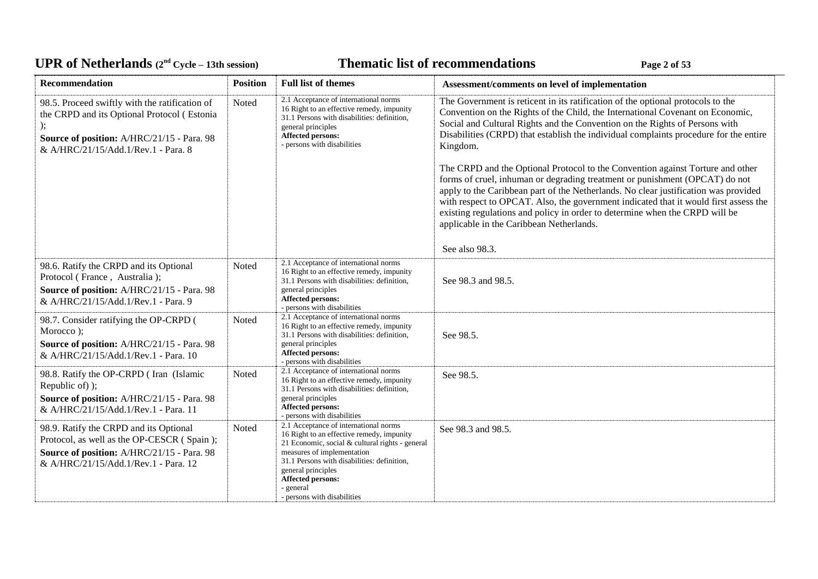# UPR of Netherlands  $(2^{nd} \text{ Cycle} - 13th \text{ session})$  **Thematic list of recommendations Page 2** of 53

| Recommendation                                                                                                                                                                     | <b>Position</b> | <b>Full list of themes</b>                                                                                                                                                                                                                                                                                       | Assessment/comments on level of implementation                                                                                                                                                                                                                                                                                                                                                                                                                                                                                                                                                                                                                                                                                                                                                                                                     |
|------------------------------------------------------------------------------------------------------------------------------------------------------------------------------------|-----------------|------------------------------------------------------------------------------------------------------------------------------------------------------------------------------------------------------------------------------------------------------------------------------------------------------------------|----------------------------------------------------------------------------------------------------------------------------------------------------------------------------------------------------------------------------------------------------------------------------------------------------------------------------------------------------------------------------------------------------------------------------------------------------------------------------------------------------------------------------------------------------------------------------------------------------------------------------------------------------------------------------------------------------------------------------------------------------------------------------------------------------------------------------------------------------|
| 98.5. Proceed swiftly with the ratification of<br>the CRPD and its Optional Protocol (Estonia<br>Source of position: A/HRC/21/15 - Para. 98<br>& A/HRC/21/15/Add.1/Rev.1 - Para. 8 | Noted           | 2.1 Acceptance of international norms<br>16 Right to an effective remedy, impunity<br>31.1 Persons with disabilities: definition,<br>general principles<br><b>Affected persons:</b><br>- persons with disabilities                                                                                               | The Government is reticent in its ratification of the optional protocols to the<br>Convention on the Rights of the Child, the International Covenant on Economic,<br>Social and Cultural Rights and the Convention on the Rights of Persons with<br>Disabilities (CRPD) that establish the individual complaints procedure for the entire<br>Kingdom.<br>The CRPD and the Optional Protocol to the Convention against Torture and other<br>forms of cruel, inhuman or degrading treatment or punishment (OPCAT) do not<br>apply to the Caribbean part of the Netherlands. No clear justification was provided<br>with respect to OPCAT. Also, the government indicated that it would first assess the<br>existing regulations and policy in order to determine when the CRPD will be<br>applicable in the Caribbean Netherlands.<br>See also 98.3. |
| 98.6. Ratify the CRPD and its Optional<br>Protocol (France, Australia);<br>Source of position: A/HRC/21/15 - Para. 98<br>& A/HRC/21/15/Add.1/Rev.1 - Para. 9                       | Noted           | 2.1 Acceptance of international norms<br>16 Right to an effective remedy, impunity<br>31.1 Persons with disabilities: definition,<br>general principles<br><b>Affected persons:</b><br>- persons with disabilities                                                                                               | See 98.3 and 98.5.                                                                                                                                                                                                                                                                                                                                                                                                                                                                                                                                                                                                                                                                                                                                                                                                                                 |
| 98.7. Consider ratifying the OP-CRPD (<br>Morocco);<br>Source of position: A/HRC/21/15 - Para. 98<br>& A/HRC/21/15/Add.1/Rev.1 - Para. 10                                          | Noted           | 2.1 Acceptance of international norms<br>16 Right to an effective remedy, impunity<br>31.1 Persons with disabilities: definition,<br>general principles<br><b>Affected persons:</b><br>- persons with disabilities                                                                                               | See 98.5.                                                                                                                                                                                                                                                                                                                                                                                                                                                                                                                                                                                                                                                                                                                                                                                                                                          |
| 98.8. Ratify the OP-CRPD (Iran (Islamic<br>Republic of) );<br>Source of position: A/HRC/21/15 - Para. 98<br>& A/HRC/21/15/Add.1/Rev.1 - Para. 11                                   | Noted           | 2.1 Acceptance of international norms<br>16 Right to an effective remedy, impunity<br>31.1 Persons with disabilities: definition,<br>general principles<br><b>Affected persons:</b><br>- persons with disabilities                                                                                               | See 98.5.                                                                                                                                                                                                                                                                                                                                                                                                                                                                                                                                                                                                                                                                                                                                                                                                                                          |
| 98.9. Ratify the CRPD and its Optional<br>Protocol, as well as the OP-CESCR (Spain);<br>Source of position: A/HRC/21/15 - Para. 98<br>& A/HRC/21/15/Add.1/Rev.1 - Para. 12         | Noted           | 2.1 Acceptance of international norms<br>16 Right to an effective remedy, impunity<br>21 Economic, social & cultural rights - general<br>measures of implementation<br>31.1 Persons with disabilities: definition,<br>general principles<br><b>Affected persons:</b><br>- general<br>- persons with disabilities | See 98.3 and 98.5.                                                                                                                                                                                                                                                                                                                                                                                                                                                                                                                                                                                                                                                                                                                                                                                                                                 |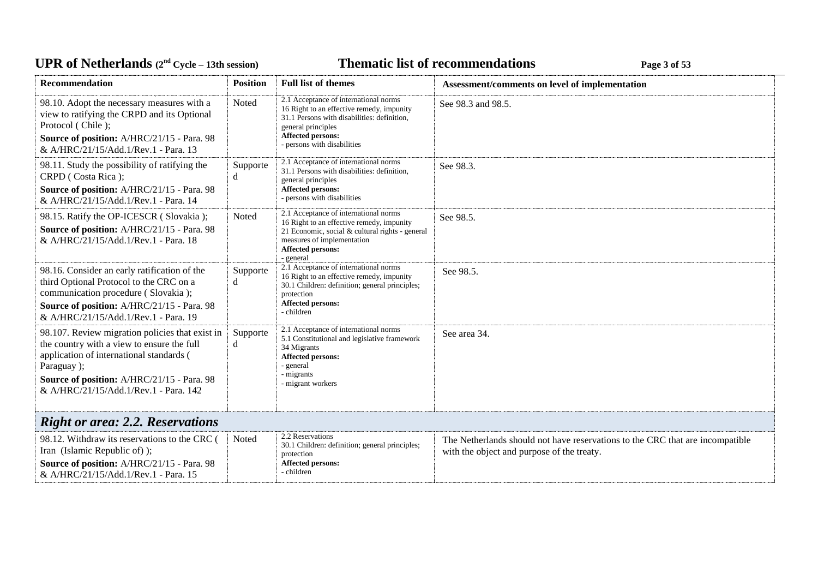| <b>UPR of Netherlands</b> $(2^{nd} \text{ Cycle} - 13th \text{ session})$                                                                                                                                                                      |                 | <b>Thematic list of recommendations</b><br>Page 3 of 53                                                                                                                                                            |                                                                                                                             |  |
|------------------------------------------------------------------------------------------------------------------------------------------------------------------------------------------------------------------------------------------------|-----------------|--------------------------------------------------------------------------------------------------------------------------------------------------------------------------------------------------------------------|-----------------------------------------------------------------------------------------------------------------------------|--|
| <b>Recommendation</b>                                                                                                                                                                                                                          | <b>Position</b> | <b>Full list of themes</b>                                                                                                                                                                                         | Assessment/comments on level of implementation                                                                              |  |
| 98.10. Adopt the necessary measures with a<br>view to ratifying the CRPD and its Optional<br>Protocol (Chile);<br>Source of position: A/HRC/21/15 - Para. 98<br>& A/HRC/21/15/Add.1/Rev.1 - Para. 13                                           | Noted           | 2.1 Acceptance of international norms<br>16 Right to an effective remedy, impunity<br>31.1 Persons with disabilities: definition,<br>general principles<br><b>Affected persons:</b><br>- persons with disabilities | See 98.3 and 98.5.                                                                                                          |  |
| 98.11. Study the possibility of ratifying the<br>CRPD (Costa Rica);<br>Source of position: A/HRC/21/15 - Para. 98<br>& A/HRC/21/15/Add.1/Rev.1 - Para. 14                                                                                      | Supporte<br>d   | 2.1 Acceptance of international norms<br>31.1 Persons with disabilities: definition,<br>general principles<br><b>Affected persons:</b><br>- persons with disabilities                                              | See 98.3.                                                                                                                   |  |
| 98.15. Ratify the OP-ICESCR (Slovakia);<br>Source of position: A/HRC/21/15 - Para. 98<br>& A/HRC/21/15/Add.1/Rev.1 - Para. 18                                                                                                                  | Noted           | 2.1 Acceptance of international norms<br>16 Right to an effective remedy, impunity<br>21 Economic, social & cultural rights - general<br>measures of implementation<br>Affected persons:<br>- general              | See 98.5.                                                                                                                   |  |
| 98.16. Consider an early ratification of the<br>third Optional Protocol to the CRC on a<br>communication procedure (Slovakia);<br>Source of position: A/HRC/21/15 - Para. 98<br>& A/HRC/21/15/Add.1/Rev.1 - Para. 19                           | Supporte<br>d   | 2.1 Acceptance of international norms<br>16 Right to an effective remedy, impunity<br>30.1 Children: definition; general principles;<br>protection<br><b>Affected persons:</b><br>- children                       | See 98.5.                                                                                                                   |  |
| 98.107. Review migration policies that exist in<br>the country with a view to ensure the full<br>application of international standards (<br>Paraguay);<br>Source of position: A/HRC/21/15 - Para. 98<br>& A/HRC/21/15/Add.1/Rev.1 - Para. 142 | Supporte<br>d   | 2.1 Acceptance of international norms<br>5.1 Constitutional and legislative framework<br>34 Migrants<br>Affected persons:<br>- general<br>- migrants<br>- migrant workers                                          | See area 34.                                                                                                                |  |
| <b>Right or area: 2.2. Reservations</b>                                                                                                                                                                                                        |                 |                                                                                                                                                                                                                    |                                                                                                                             |  |
| 98.12. Withdraw its reservations to the CRC (<br>Iran (Islamic Republic of) );<br>Source of position: A/HRC/21/15 - Para. 98<br>& A/HRC/21/15/Add.1/Rev.1 - Para. 15                                                                           | Noted           | 2.2 Reservations<br>30.1 Children: definition; general principles;<br>protection<br>Affected persons:<br>- children                                                                                                | The Netherlands should not have reservations to the CRC that are incompatible<br>with the object and purpose of the treaty. |  |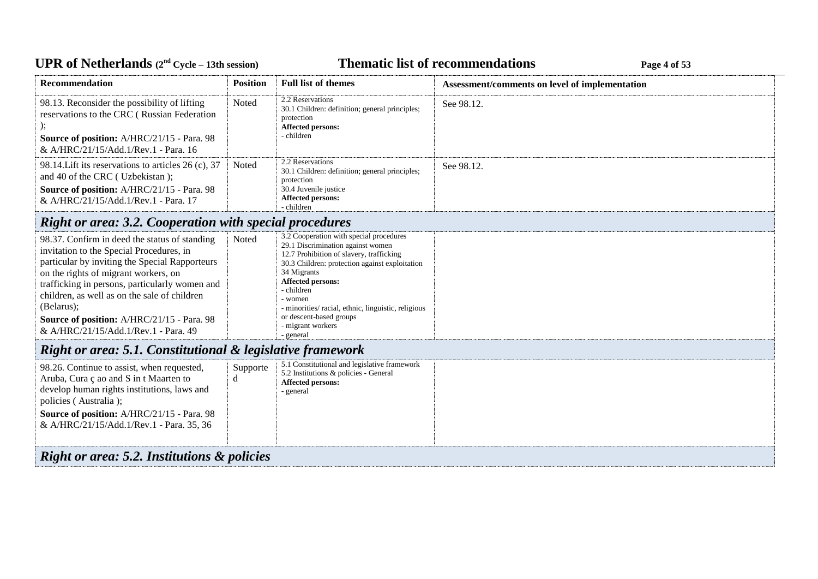## UPR of Netherlands  $(2^{nd} \text{ Cycle} - 13th \text{ session})$  **Thematic list of recommendations Page 4** of 53

| <b>Recommendation</b><br>98.13. Reconsider the possibility of lifting<br>reservations to the CRC (Russian Federation<br>Source of position: A/HRC/21/15 - Para. 98<br>& A/HRC/21/15/Add.1/Rev.1 - Para. 16<br>98.14. Lift its reservations to articles 26 (c), 37<br>and 40 of the CRC (Uzbekistan);                                                                                      | <b>Position</b><br>Noted<br>Noted | <b>Full list of themes</b><br>2.2 Reservations<br>30.1 Children: definition; general principles;<br>protection<br><b>Affected persons:</b><br>- children<br>2.2 Reservations<br>30.1 Children: definition; general principles;<br>protection                                                                                                                       | Assessment/comments on level of implementation<br>See 98.12.<br>See 98.12. |  |
|-------------------------------------------------------------------------------------------------------------------------------------------------------------------------------------------------------------------------------------------------------------------------------------------------------------------------------------------------------------------------------------------|-----------------------------------|--------------------------------------------------------------------------------------------------------------------------------------------------------------------------------------------------------------------------------------------------------------------------------------------------------------------------------------------------------------------|----------------------------------------------------------------------------|--|
| Source of position: A/HRC/21/15 - Para. 98<br>& A/HRC/21/15/Add.1/Rev.1 - Para. 17                                                                                                                                                                                                                                                                                                        |                                   | 30.4 Juvenile justice<br><b>Affected persons:</b><br>- children                                                                                                                                                                                                                                                                                                    |                                                                            |  |
| <b>Right or area: 3.2. Cooperation with special procedures</b>                                                                                                                                                                                                                                                                                                                            |                                   |                                                                                                                                                                                                                                                                                                                                                                    |                                                                            |  |
| 98.37. Confirm in deed the status of standing<br>invitation to the Special Procedures, in<br>particular by inviting the Special Rapporteurs<br>on the rights of migrant workers, on<br>trafficking in persons, particularly women and<br>children, as well as on the sale of children<br>(Belarus);<br>Source of position: A/HRC/21/15 - Para. 98<br>& A/HRC/21/15/Add.1/Rev.1 - Para. 49 | Noted                             | 3.2 Cooperation with special procedures<br>29.1 Discrimination against women<br>12.7 Prohibition of slavery, trafficking<br>30.3 Children: protection against exploitation<br>34 Migrants<br><b>Affected persons:</b><br>- children<br>- women<br>- minorities/ racial, ethnic, linguistic, religious<br>or descent-based groups<br>- migrant workers<br>- general |                                                                            |  |
| Right or area: 5.1. Constitutional & legislative framework                                                                                                                                                                                                                                                                                                                                |                                   |                                                                                                                                                                                                                                                                                                                                                                    |                                                                            |  |
| 98.26. Continue to assist, when requested,<br>Aruba, Cura ç ao and S in t Maarten to<br>develop human rights institutions, laws and<br>policies (Australia);<br>Source of position: A/HRC/21/15 - Para. 98<br>& A/HRC/21/15/Add.1/Rev.1 - Para. 35, 36                                                                                                                                    | Supporte<br>d                     | 5.1 Constitutional and legislative framework<br>5.2 Institutions & policies - General<br><b>Affected persons:</b><br>- general                                                                                                                                                                                                                                     |                                                                            |  |
| <b>Right or area: 5.2. Institutions &amp; policies</b>                                                                                                                                                                                                                                                                                                                                    |                                   |                                                                                                                                                                                                                                                                                                                                                                    |                                                                            |  |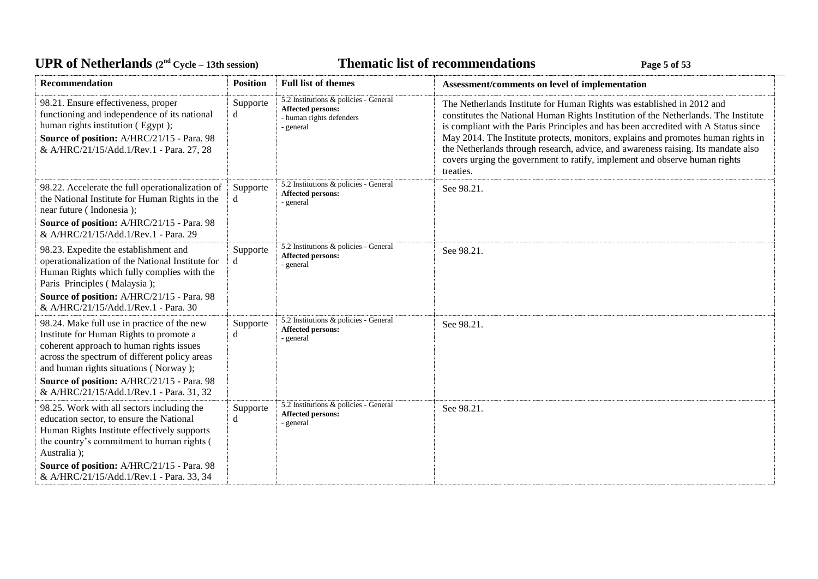# UPR of Netherlands  $(2^{nd} \text{ Cycle} - 13th \text{ session})$  **Thematic list of recommendations Page 5** of 53

| <b>Recommendation</b>                                                                                                                                                                                                                                                                                                  | <b>Position</b> | <b>Full list of themes</b>                                                                                 | Assessment/comments on level of implementation                                                                                                                                                                                                                                                                                                                                                                                                                                                                           |
|------------------------------------------------------------------------------------------------------------------------------------------------------------------------------------------------------------------------------------------------------------------------------------------------------------------------|-----------------|------------------------------------------------------------------------------------------------------------|--------------------------------------------------------------------------------------------------------------------------------------------------------------------------------------------------------------------------------------------------------------------------------------------------------------------------------------------------------------------------------------------------------------------------------------------------------------------------------------------------------------------------|
| 98.21. Ensure effectiveness, proper<br>functioning and independence of its national<br>human rights institution (Egypt);<br>Source of position: A/HRC/21/15 - Para. 98<br>& A/HRC/21/15/Add.1/Rev.1 - Para. 27, 28                                                                                                     | Supporte<br>d   | 5.2 Institutions & policies - General<br><b>Affected persons:</b><br>- human rights defenders<br>- general | The Netherlands Institute for Human Rights was established in 2012 and<br>constitutes the National Human Rights Institution of the Netherlands. The Institute<br>is compliant with the Paris Principles and has been accredited with A Status since<br>May 2014. The Institute protects, monitors, explains and promotes human rights in<br>the Netherlands through research, advice, and awareness raising. Its mandate also<br>covers urging the government to ratify, implement and observe human rights<br>treaties. |
| 98.22. Accelerate the full operationalization of<br>the National Institute for Human Rights in the<br>near future (Indonesia);<br>Source of position: A/HRC/21/15 - Para. 98<br>& A/HRC/21/15/Add.1/Rev.1 - Para. 29                                                                                                   | Supporte<br>d   | 5.2 Institutions & policies - General<br>Affected persons:<br>- general                                    | See 98.21.                                                                                                                                                                                                                                                                                                                                                                                                                                                                                                               |
| 98.23. Expedite the establishment and<br>operationalization of the National Institute for<br>Human Rights which fully complies with the<br>Paris Principles (Malaysia);<br>Source of position: A/HRC/21/15 - Para. 98<br>& A/HRC/21/15/Add.1/Rev.1 - Para. 30                                                          | Supporte<br>d   | 5.2 Institutions & policies - General<br>Affected persons:<br>- general                                    | See 98.21.                                                                                                                                                                                                                                                                                                                                                                                                                                                                                                               |
| 98.24. Make full use in practice of the new<br>Institute for Human Rights to promote a<br>coherent approach to human rights issues<br>across the spectrum of different policy areas<br>and human rights situations (Norway);<br>Source of position: A/HRC/21/15 - Para. 98<br>& A/HRC/21/15/Add.1/Rev.1 - Para. 31, 32 | Supporte<br>d   | 5.2 Institutions & policies - General<br><b>Affected persons:</b><br>- general                             | See 98.21.                                                                                                                                                                                                                                                                                                                                                                                                                                                                                                               |
| 98.25. Work with all sectors including the<br>education sector, to ensure the National<br>Human Rights Institute effectively supports<br>the country's commitment to human rights (<br>Australia);<br>Source of position: A/HRC/21/15 - Para. 98<br>& A/HRC/21/15/Add.1/Rev.1 - Para. 33, 34                           | Supporte<br>d   | 5.2 Institutions & policies - General<br>Affected persons:<br>- general                                    | See 98.21.                                                                                                                                                                                                                                                                                                                                                                                                                                                                                                               |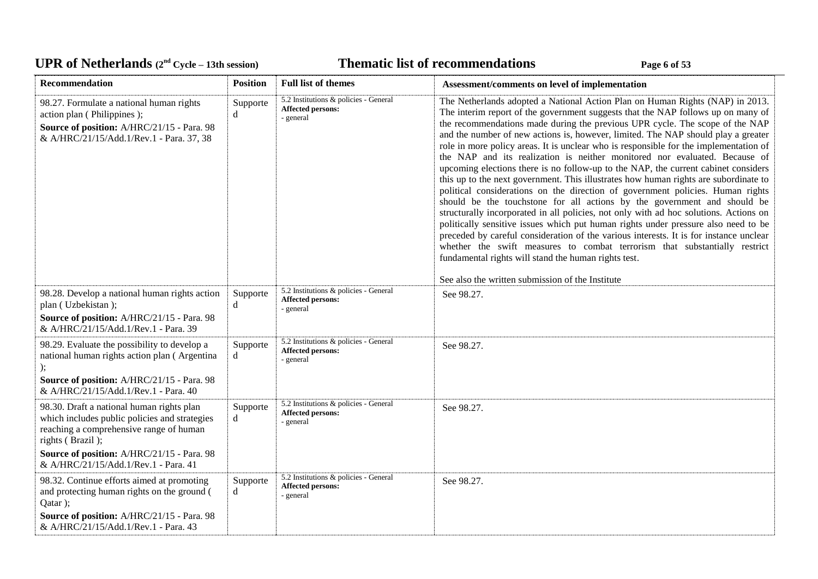# UPR of Netherlands  $(2^{nd} \text{ Cycle} - 13th \text{ session})$  **Thematic list of recommendations Page 6** of 53

| Recommendation                                                                                                                                                                                                                     | <b>Position</b> | <b>Full list of themes</b>                                                     | Assessment/comments on level of implementation                                                                                                                                                                                                                                                                                                                                                                                                                                                                                                                                                                                                                                                                                                                                                                                                                                                                                                                                                                                                                                                                                                                                                                                                                                                                               |
|------------------------------------------------------------------------------------------------------------------------------------------------------------------------------------------------------------------------------------|-----------------|--------------------------------------------------------------------------------|------------------------------------------------------------------------------------------------------------------------------------------------------------------------------------------------------------------------------------------------------------------------------------------------------------------------------------------------------------------------------------------------------------------------------------------------------------------------------------------------------------------------------------------------------------------------------------------------------------------------------------------------------------------------------------------------------------------------------------------------------------------------------------------------------------------------------------------------------------------------------------------------------------------------------------------------------------------------------------------------------------------------------------------------------------------------------------------------------------------------------------------------------------------------------------------------------------------------------------------------------------------------------------------------------------------------------|
| 98.27. Formulate a national human rights<br>action plan (Philippines);<br>Source of position: A/HRC/21/15 - Para. 98<br>& A/HRC/21/15/Add.1/Rev.1 - Para. 37, 38                                                                   | Supporte<br>d   | 5.2 Institutions & policies - General<br><b>Affected persons:</b><br>- general | The Netherlands adopted a National Action Plan on Human Rights (NAP) in 2013.<br>The interim report of the government suggests that the NAP follows up on many of<br>the recommendations made during the previous UPR cycle. The scope of the NAP<br>and the number of new actions is, however, limited. The NAP should play a greater<br>role in more policy areas. It is unclear who is responsible for the implementation of<br>the NAP and its realization is neither monitored nor evaluated. Because of<br>upcoming elections there is no follow-up to the NAP, the current cabinet considers<br>this up to the next government. This illustrates how human rights are subordinate to<br>political considerations on the direction of government policies. Human rights<br>should be the touchstone for all actions by the government and should be<br>structurally incorporated in all policies, not only with ad hoc solutions. Actions on<br>politically sensitive issues which put human rights under pressure also need to be<br>preceded by careful consideration of the various interests. It is for instance unclear<br>whether the swift measures to combat terrorism that substantially restrict<br>fundamental rights will stand the human rights test.<br>See also the written submission of the Institute |
| 98.28. Develop a national human rights action<br>plan (Uzbekistan);<br>Source of position: A/HRC/21/15 - Para. 98<br>& A/HRC/21/15/Add.1/Rev.1 - Para. 39                                                                          | Supporte<br>d   | 5.2 Institutions & policies - General<br><b>Affected persons:</b><br>- general | See 98.27.                                                                                                                                                                                                                                                                                                                                                                                                                                                                                                                                                                                                                                                                                                                                                                                                                                                                                                                                                                                                                                                                                                                                                                                                                                                                                                                   |
| 98.29. Evaluate the possibility to develop a<br>national human rights action plan (Argentina<br>Source of position: A/HRC/21/15 - Para. 98<br>& A/HRC/21/15/Add.1/Rev.1 - Para. 40                                                 | Supporte<br>d   | 5.2 Institutions & policies - General<br><b>Affected persons:</b><br>- general | See 98.27.                                                                                                                                                                                                                                                                                                                                                                                                                                                                                                                                                                                                                                                                                                                                                                                                                                                                                                                                                                                                                                                                                                                                                                                                                                                                                                                   |
| 98.30. Draft a national human rights plan<br>which includes public policies and strategies<br>reaching a comprehensive range of human<br>rights (Brazil);<br>Source of position: A/HRC/21/15 - Para. 98                            | Supporte<br>d   | 5.2 Institutions & policies - General<br><b>Affected persons:</b><br>- general | See 98.27.                                                                                                                                                                                                                                                                                                                                                                                                                                                                                                                                                                                                                                                                                                                                                                                                                                                                                                                                                                                                                                                                                                                                                                                                                                                                                                                   |
| & A/HRC/21/15/Add.1/Rev.1 - Para. 41<br>98.32. Continue efforts aimed at promoting<br>and protecting human rights on the ground (<br>Qatar);<br>Source of position: A/HRC/21/15 - Para. 98<br>& A/HRC/21/15/Add.1/Rev.1 - Para. 43 | Supporte<br>d   | 5.2 Institutions & policies - General<br><b>Affected persons:</b><br>- general | See 98.27.                                                                                                                                                                                                                                                                                                                                                                                                                                                                                                                                                                                                                                                                                                                                                                                                                                                                                                                                                                                                                                                                                                                                                                                                                                                                                                                   |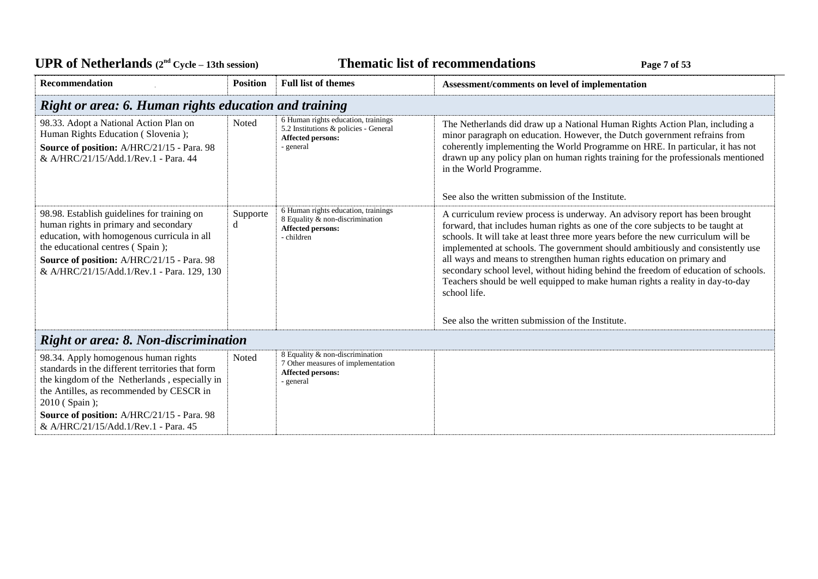| <b>UPR of Netherlands</b> $(2^{nd} \text{ Cycle} - 13th \text{ session})$                                                                                                                                                                                                                    |                 |                                                                                                                | <b>Thematic list of recommendations</b><br>Page 7 of 53                                                                                                                                                                                                                                                                                                                                                                                                                                                                                                                                                 |
|----------------------------------------------------------------------------------------------------------------------------------------------------------------------------------------------------------------------------------------------------------------------------------------------|-----------------|----------------------------------------------------------------------------------------------------------------|---------------------------------------------------------------------------------------------------------------------------------------------------------------------------------------------------------------------------------------------------------------------------------------------------------------------------------------------------------------------------------------------------------------------------------------------------------------------------------------------------------------------------------------------------------------------------------------------------------|
| <b>Recommendation</b>                                                                                                                                                                                                                                                                        | <b>Position</b> | <b>Full list of themes</b>                                                                                     | Assessment/comments on level of implementation                                                                                                                                                                                                                                                                                                                                                                                                                                                                                                                                                          |
| Right or area: 6. Human rights education and training                                                                                                                                                                                                                                        |                 |                                                                                                                |                                                                                                                                                                                                                                                                                                                                                                                                                                                                                                                                                                                                         |
| 98.33. Adopt a National Action Plan on<br>Human Rights Education (Slovenia);<br>Source of position: A/HRC/21/15 - Para. 98<br>& A/HRC/21/15/Add.1/Rev.1 - Para. 44                                                                                                                           | Noted           | 6 Human rights education, trainings<br>5.2 Institutions & policies - General<br>Affected persons:<br>- general | The Netherlands did draw up a National Human Rights Action Plan, including a<br>minor paragraph on education. However, the Dutch government refrains from<br>coherently implementing the World Programme on HRE. In particular, it has not<br>drawn up any policy plan on human rights training for the professionals mentioned<br>in the World Programme.<br>See also the written submission of the Institute.                                                                                                                                                                                         |
| 98.98. Establish guidelines for training on<br>human rights in primary and secondary<br>education, with homogenous curricula in all<br>the educational centres (Spain);<br>Source of position: A/HRC/21/15 - Para. 98<br>& A/HRC/21/15/Add.1/Rev.1 - Para. 129, 130                          | Supporte<br>d   | 6 Human rights education, trainings<br>8 Equality & non-discrimination<br>Affected persons:<br>- children      | A curriculum review process is underway. An advisory report has been brought<br>forward, that includes human rights as one of the core subjects to be taught at<br>schools. It will take at least three more years before the new curriculum will be<br>implemented at schools. The government should ambitiously and consistently use<br>all ways and means to strengthen human rights education on primary and<br>secondary school level, without hiding behind the freedom of education of schools.<br>Teachers should be well equipped to make human rights a reality in day-to-day<br>school life. |
|                                                                                                                                                                                                                                                                                              |                 |                                                                                                                | See also the written submission of the Institute.                                                                                                                                                                                                                                                                                                                                                                                                                                                                                                                                                       |
| <b>Right or area: 8. Non-discrimination</b>                                                                                                                                                                                                                                                  |                 |                                                                                                                |                                                                                                                                                                                                                                                                                                                                                                                                                                                                                                                                                                                                         |
| 98.34. Apply homogenous human rights<br>standards in the different territories that form<br>the kingdom of the Netherlands, especially in<br>the Antilles, as recommended by CESCR in<br>2010 (Spain);<br>Source of position: A/HRC/21/15 - Para. 98<br>& A/HRC/21/15/Add.1/Rev.1 - Para. 45 | Noted           | 8 Equality & non-discrimination<br>7 Other measures of implementation<br>Affected persons:<br>- general        |                                                                                                                                                                                                                                                                                                                                                                                                                                                                                                                                                                                                         |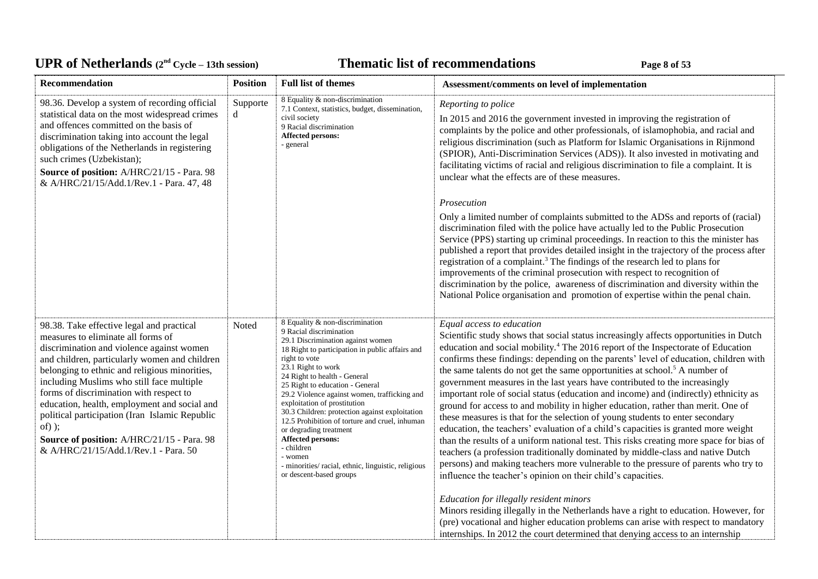# UPR of Netherlands  $(2^{nd} \text{ Cycle} - 13th \text{ session})$  **Thematic list of recommendations Page 8** of 53

| Recommendation                                                                                                                                                                                                                                                                                                                                                                                                                                                                                                             | <b>Position</b> | <b>Full list of themes</b>                                                                                                                                                                                                                                                                                                                                                                                                                                                                                                                                                                                 | Assessment/comments on level of implementation                                                                                                                                                                                                                                                                                                                                                                                                                                                                                                                                                                                                                                                                                                                                                                                                                                                                                                                                                                                                                                                                                                                            |
|----------------------------------------------------------------------------------------------------------------------------------------------------------------------------------------------------------------------------------------------------------------------------------------------------------------------------------------------------------------------------------------------------------------------------------------------------------------------------------------------------------------------------|-----------------|------------------------------------------------------------------------------------------------------------------------------------------------------------------------------------------------------------------------------------------------------------------------------------------------------------------------------------------------------------------------------------------------------------------------------------------------------------------------------------------------------------------------------------------------------------------------------------------------------------|---------------------------------------------------------------------------------------------------------------------------------------------------------------------------------------------------------------------------------------------------------------------------------------------------------------------------------------------------------------------------------------------------------------------------------------------------------------------------------------------------------------------------------------------------------------------------------------------------------------------------------------------------------------------------------------------------------------------------------------------------------------------------------------------------------------------------------------------------------------------------------------------------------------------------------------------------------------------------------------------------------------------------------------------------------------------------------------------------------------------------------------------------------------------------|
| 98.36. Develop a system of recording official<br>statistical data on the most widespread crimes<br>and offences committed on the basis of<br>discrimination taking into account the legal<br>obligations of the Netherlands in registering<br>such crimes (Uzbekistan);<br>Source of position: A/HRC/21/15 - Para. 98<br>& A/HRC/21/15/Add.1/Rev.1 - Para. 47, 48                                                                                                                                                          | Supporte<br>d   | 8 Equality & non-discrimination<br>7.1 Context, statistics, budget, dissemination,<br>civil society<br>9 Racial discrimination<br>Affected persons:<br>- general                                                                                                                                                                                                                                                                                                                                                                                                                                           | Reporting to police<br>In 2015 and 2016 the government invested in improving the registration of<br>complaints by the police and other professionals, of islamophobia, and racial and<br>religious discrimination (such as Platform for Islamic Organisations in Rijnmond<br>(SPIOR), Anti-Discrimination Services (ADS)). It also invested in motivating and<br>facilitating victims of racial and religious discrimination to file a complaint. It is<br>unclear what the effects are of these measures.                                                                                                                                                                                                                                                                                                                                                                                                                                                                                                                                                                                                                                                                |
|                                                                                                                                                                                                                                                                                                                                                                                                                                                                                                                            |                 |                                                                                                                                                                                                                                                                                                                                                                                                                                                                                                                                                                                                            | Prosecution                                                                                                                                                                                                                                                                                                                                                                                                                                                                                                                                                                                                                                                                                                                                                                                                                                                                                                                                                                                                                                                                                                                                                               |
|                                                                                                                                                                                                                                                                                                                                                                                                                                                                                                                            |                 |                                                                                                                                                                                                                                                                                                                                                                                                                                                                                                                                                                                                            | Only a limited number of complaints submitted to the ADSs and reports of (racial)<br>discrimination filed with the police have actually led to the Public Prosecution<br>Service (PPS) starting up criminal proceedings. In reaction to this the minister has<br>published a report that provides detailed insight in the trajectory of the process after<br>registration of a complaint. <sup>3</sup> The findings of the research led to plans for<br>improvements of the criminal prosecution with respect to recognition of<br>discrimination by the police, awareness of discrimination and diversity within the<br>National Police organisation and promotion of expertise within the penal chain.                                                                                                                                                                                                                                                                                                                                                                                                                                                                  |
| 98.38. Take effective legal and practical<br>measures to eliminate all forms of<br>discrimination and violence against women<br>and children, particularly women and children<br>belonging to ethnic and religious minorities,<br>including Muslims who still face multiple<br>forms of discrimination with respect to<br>education, health, employment and social and<br>political participation (Iran Islamic Republic<br>$of)$ );<br>Source of position: A/HRC/21/15 - Para. 98<br>& A/HRC/21/15/Add.1/Rev.1 - Para. 50 | Noted           | 8 Equality & non-discrimination<br>9 Racial discrimination<br>29.1 Discrimination against women<br>18 Right to participation in public affairs and<br>right to vote<br>23.1 Right to work<br>24 Right to health - General<br>25 Right to education - General<br>29.2 Violence against women, trafficking and<br>exploitation of prostitution<br>30.3 Children: protection against exploitation<br>12.5 Prohibition of torture and cruel, inhuman<br>or degrading treatment<br>Affected persons:<br>- children<br>- women<br>- minorities/ racial, ethnic, linguistic, religious<br>or descent-based groups | Equal access to education<br>Scientific study shows that social status increasingly affects opportunities in Dutch<br>education and social mobility. <sup>4</sup> The 2016 report of the Inspectorate of Education<br>confirms these findings: depending on the parents' level of education, children with<br>the same talents do not get the same opportunities at school. <sup>5</sup> A number of<br>government measures in the last years have contributed to the increasingly<br>important role of social status (education and income) and (indirectly) ethnicity as<br>ground for access to and mobility in higher education, rather than merit. One of<br>these measures is that for the selection of young students to enter secondary<br>education, the teachers' evaluation of a child's capacities is granted more weight<br>than the results of a uniform national test. This risks creating more space for bias of<br>teachers (a profession traditionally dominated by middle-class and native Dutch<br>persons) and making teachers more vulnerable to the pressure of parents who try to<br>influence the teacher's opinion on their child's capacities. |
|                                                                                                                                                                                                                                                                                                                                                                                                                                                                                                                            |                 |                                                                                                                                                                                                                                                                                                                                                                                                                                                                                                                                                                                                            | Education for illegally resident minors<br>Minors residing illegally in the Netherlands have a right to education. However, for<br>(pre) vocational and higher education problems can arise with respect to mandatory<br>internships. In 2012 the court determined that denying access to an internship                                                                                                                                                                                                                                                                                                                                                                                                                                                                                                                                                                                                                                                                                                                                                                                                                                                                   |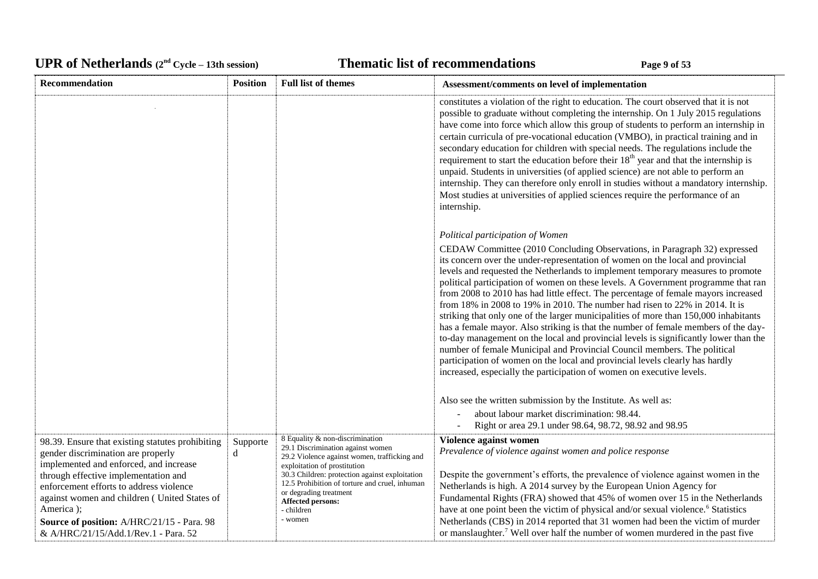# UPR of Netherlands  $(2^{nd} \text{ Cycle} - 13th \text{ session})$  **Thematic list of recommendations Page 9** of 53

| Recommendation                                                                                                                                                                                                                                                                                                                                                         | <b>Position</b> | <b>Full list of themes</b>                                                                                                                                                                                                                                                                                                              | Assessment/comments on level of implementation                                                                                                                                                                                                                                                                                                                                                                                                                                                                                                                                                                                                                                                                                                                                                                                                                                                                                                                                                                                                                                       |
|------------------------------------------------------------------------------------------------------------------------------------------------------------------------------------------------------------------------------------------------------------------------------------------------------------------------------------------------------------------------|-----------------|-----------------------------------------------------------------------------------------------------------------------------------------------------------------------------------------------------------------------------------------------------------------------------------------------------------------------------------------|--------------------------------------------------------------------------------------------------------------------------------------------------------------------------------------------------------------------------------------------------------------------------------------------------------------------------------------------------------------------------------------------------------------------------------------------------------------------------------------------------------------------------------------------------------------------------------------------------------------------------------------------------------------------------------------------------------------------------------------------------------------------------------------------------------------------------------------------------------------------------------------------------------------------------------------------------------------------------------------------------------------------------------------------------------------------------------------|
|                                                                                                                                                                                                                                                                                                                                                                        |                 |                                                                                                                                                                                                                                                                                                                                         | constitutes a violation of the right to education. The court observed that it is not<br>possible to graduate without completing the internship. On 1 July 2015 regulations<br>have come into force which allow this group of students to perform an internship in<br>certain curricula of pre-vocational education (VMBO), in practical training and in<br>secondary education for children with special needs. The regulations include the<br>requirement to start the education before their $18th$ year and that the internship is<br>unpaid. Students in universities (of applied science) are not able to perform an<br>internship. They can therefore only enroll in studies without a mandatory internship.<br>Most studies at universities of applied sciences require the performance of an<br>internship.                                                                                                                                                                                                                                                                  |
|                                                                                                                                                                                                                                                                                                                                                                        |                 |                                                                                                                                                                                                                                                                                                                                         | Political participation of Women                                                                                                                                                                                                                                                                                                                                                                                                                                                                                                                                                                                                                                                                                                                                                                                                                                                                                                                                                                                                                                                     |
|                                                                                                                                                                                                                                                                                                                                                                        |                 |                                                                                                                                                                                                                                                                                                                                         | CEDAW Committee (2010 Concluding Observations, in Paragraph 32) expressed<br>its concern over the under-representation of women on the local and provincial<br>levels and requested the Netherlands to implement temporary measures to promote<br>political participation of women on these levels. A Government programme that ran<br>from 2008 to 2010 has had little effect. The percentage of female mayors increased<br>from 18% in 2008 to 19% in 2010. The number had risen to 22% in 2014. It is<br>striking that only one of the larger municipalities of more than 150,000 inhabitants<br>has a female mayor. Also striking is that the number of female members of the day-<br>to-day management on the local and provincial levels is significantly lower than the<br>number of female Municipal and Provincial Council members. The political<br>participation of women on the local and provincial levels clearly has hardly<br>increased, especially the participation of women on executive levels.<br>Also see the written submission by the Institute. As well as: |
|                                                                                                                                                                                                                                                                                                                                                                        |                 |                                                                                                                                                                                                                                                                                                                                         | about labour market discrimination: 98.44.                                                                                                                                                                                                                                                                                                                                                                                                                                                                                                                                                                                                                                                                                                                                                                                                                                                                                                                                                                                                                                           |
|                                                                                                                                                                                                                                                                                                                                                                        |                 |                                                                                                                                                                                                                                                                                                                                         | Right or area 29.1 under 98.64, 98.72, 98.92 and 98.95                                                                                                                                                                                                                                                                                                                                                                                                                                                                                                                                                                                                                                                                                                                                                                                                                                                                                                                                                                                                                               |
| 98.39. Ensure that existing statutes prohibiting<br>gender discrimination are properly<br>implemented and enforced, and increase<br>through effective implementation and<br>enforcement efforts to address violence<br>against women and children (United States of<br>America);<br>Source of position: A/HRC/21/15 - Para. 98<br>& A/HRC/21/15/Add.1/Rev.1 - Para. 52 | Supporte<br>d   | 8 Equality & non-discrimination<br>29.1 Discrimination against women<br>29.2 Violence against women, trafficking and<br>exploitation of prostitution<br>30.3 Children: protection against exploitation<br>12.5 Prohibition of torture and cruel, inhuman<br>or degrading treatment<br><b>Affected persons:</b><br>- children<br>- women | Violence against women<br>Prevalence of violence against women and police response<br>Despite the government's efforts, the prevalence of violence against women in the<br>Netherlands is high. A 2014 survey by the European Union Agency for<br>Fundamental Rights (FRA) showed that 45% of women over 15 in the Netherlands<br>have at one point been the victim of physical and/or sexual violence. <sup>6</sup> Statistics<br>Netherlands (CBS) in 2014 reported that 31 women had been the victim of murder<br>or manslaughter. <sup>7</sup> Well over half the number of women murdered in the past five                                                                                                                                                                                                                                                                                                                                                                                                                                                                      |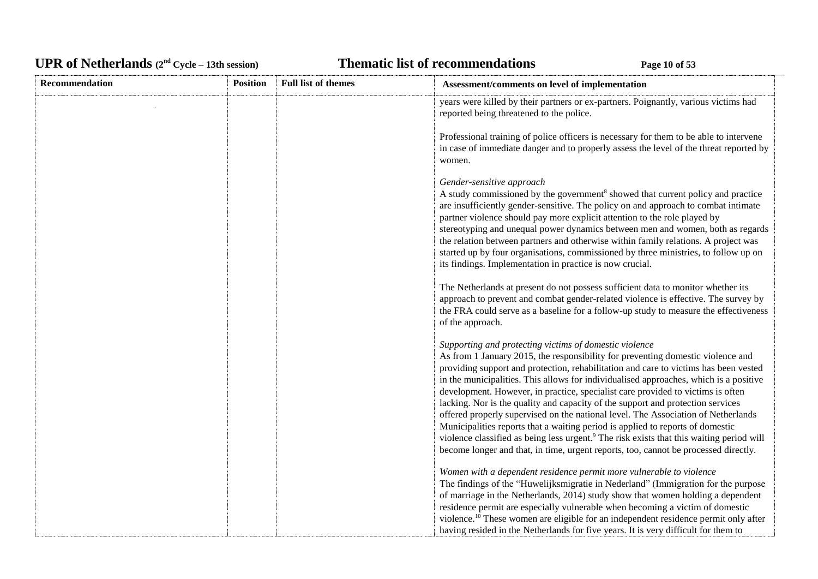# UPR of Netherlands  $(2^{nd} Cycle - 13th session)$  **Thematic list of recommendations Page 10** of 53

| <b>Recommendation</b> | <b>Position</b> | <b>Full list of themes</b> | Assessment/comments on level of implementation                                                                                                                                                                                                                                                                                                                                                                                                                                                                                                                                                                                                                                                                                                                                                                                                                         |
|-----------------------|-----------------|----------------------------|------------------------------------------------------------------------------------------------------------------------------------------------------------------------------------------------------------------------------------------------------------------------------------------------------------------------------------------------------------------------------------------------------------------------------------------------------------------------------------------------------------------------------------------------------------------------------------------------------------------------------------------------------------------------------------------------------------------------------------------------------------------------------------------------------------------------------------------------------------------------|
|                       |                 |                            | years were killed by their partners or ex-partners. Poignantly, various victims had<br>reported being threatened to the police.                                                                                                                                                                                                                                                                                                                                                                                                                                                                                                                                                                                                                                                                                                                                        |
|                       |                 |                            | Professional training of police officers is necessary for them to be able to intervene<br>in case of immediate danger and to properly assess the level of the threat reported by<br>women.                                                                                                                                                                                                                                                                                                                                                                                                                                                                                                                                                                                                                                                                             |
|                       |                 |                            | Gender-sensitive approach<br>A study commissioned by the government <sup>8</sup> showed that current policy and practice<br>are insufficiently gender-sensitive. The policy on and approach to combat intimate<br>partner violence should pay more explicit attention to the role played by<br>stereotyping and unequal power dynamics between men and women, both as regards<br>the relation between partners and otherwise within family relations. A project was<br>started up by four organisations, commissioned by three ministries, to follow up on<br>its findings. Implementation in practice is now crucial.                                                                                                                                                                                                                                                 |
|                       |                 |                            | The Netherlands at present do not possess sufficient data to monitor whether its<br>approach to prevent and combat gender-related violence is effective. The survey by<br>the FRA could serve as a baseline for a follow-up study to measure the effectiveness<br>of the approach.                                                                                                                                                                                                                                                                                                                                                                                                                                                                                                                                                                                     |
|                       |                 |                            | Supporting and protecting victims of domestic violence<br>As from 1 January 2015, the responsibility for preventing domestic violence and<br>providing support and protection, rehabilitation and care to victims has been vested<br>in the municipalities. This allows for individualised approaches, which is a positive<br>development. However, in practice, specialist care provided to victims is often<br>lacking. Nor is the quality and capacity of the support and protection services<br>offered properly supervised on the national level. The Association of Netherlands<br>Municipalities reports that a waiting period is applied to reports of domestic<br>violence classified as being less urgent. <sup>9</sup> The risk exists that this waiting period will<br>become longer and that, in time, urgent reports, too, cannot be processed directly. |
|                       |                 |                            | Women with a dependent residence permit more vulnerable to violence<br>The findings of the "Huwelijksmigratie in Nederland" (Immigration for the purpose<br>of marriage in the Netherlands, 2014) study show that women holding a dependent<br>residence permit are especially vulnerable when becoming a victim of domestic<br>violence. <sup>10</sup> These women are eligible for an independent residence permit only after<br>having resided in the Netherlands for five years. It is very difficult for them to                                                                                                                                                                                                                                                                                                                                                  |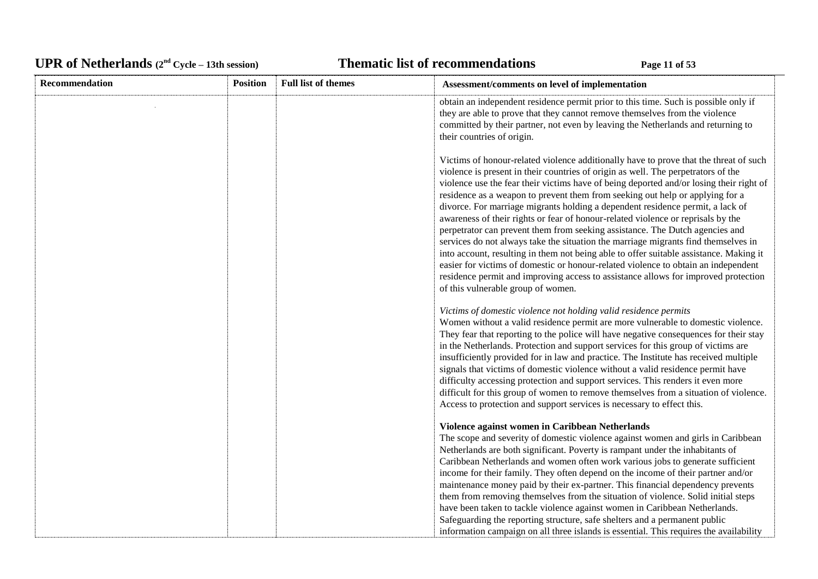# UPR of Netherlands  $(2^{nd} \text{ Cycle} - 13th \text{ session})$  **Thematic list of recommendations Page 11** of 53

| Recommendation | <b>Position</b> | <b>Full list of themes</b> | Assessment/comments on level of implementation                                                                                                                                                                                                                                                                                                                                                                                                                                                                                                                                                                                                                                                                                                                                                                                                                                                                                                                                                                 |
|----------------|-----------------|----------------------------|----------------------------------------------------------------------------------------------------------------------------------------------------------------------------------------------------------------------------------------------------------------------------------------------------------------------------------------------------------------------------------------------------------------------------------------------------------------------------------------------------------------------------------------------------------------------------------------------------------------------------------------------------------------------------------------------------------------------------------------------------------------------------------------------------------------------------------------------------------------------------------------------------------------------------------------------------------------------------------------------------------------|
|                |                 |                            | obtain an independent residence permit prior to this time. Such is possible only if<br>they are able to prove that they cannot remove themselves from the violence<br>committed by their partner, not even by leaving the Netherlands and returning to<br>their countries of origin.                                                                                                                                                                                                                                                                                                                                                                                                                                                                                                                                                                                                                                                                                                                           |
|                |                 |                            | Victims of honour-related violence additionally have to prove that the threat of such<br>violence is present in their countries of origin as well. The perpetrators of the<br>violence use the fear their victims have of being deported and/or losing their right of<br>residence as a weapon to prevent them from seeking out help or applying for a<br>divorce. For marriage migrants holding a dependent residence permit, a lack of<br>awareness of their rights or fear of honour-related violence or reprisals by the<br>perpetrator can prevent them from seeking assistance. The Dutch agencies and<br>services do not always take the situation the marriage migrants find themselves in<br>into account, resulting in them not being able to offer suitable assistance. Making it<br>easier for victims of domestic or honour-related violence to obtain an independent<br>residence permit and improving access to assistance allows for improved protection<br>of this vulnerable group of women. |
|                |                 |                            | Victims of domestic violence not holding valid residence permits<br>Women without a valid residence permit are more vulnerable to domestic violence.<br>They fear that reporting to the police will have negative consequences for their stay<br>in the Netherlands. Protection and support services for this group of victims are<br>insufficiently provided for in law and practice. The Institute has received multiple<br>signals that victims of domestic violence without a valid residence permit have<br>difficulty accessing protection and support services. This renders it even more<br>difficult for this group of women to remove themselves from a situation of violence.<br>Access to protection and support services is necessary to effect this.                                                                                                                                                                                                                                             |
|                |                 |                            | Violence against women in Caribbean Netherlands<br>The scope and severity of domestic violence against women and girls in Caribbean<br>Netherlands are both significant. Poverty is rampant under the inhabitants of<br>Caribbean Netherlands and women often work various jobs to generate sufficient<br>income for their family. They often depend on the income of their partner and/or<br>maintenance money paid by their ex-partner. This financial dependency prevents<br>them from removing themselves from the situation of violence. Solid initial steps<br>have been taken to tackle violence against women in Caribbean Netherlands.<br>Safeguarding the reporting structure, safe shelters and a permanent public<br>information campaign on all three islands is essential. This requires the availability                                                                                                                                                                                        |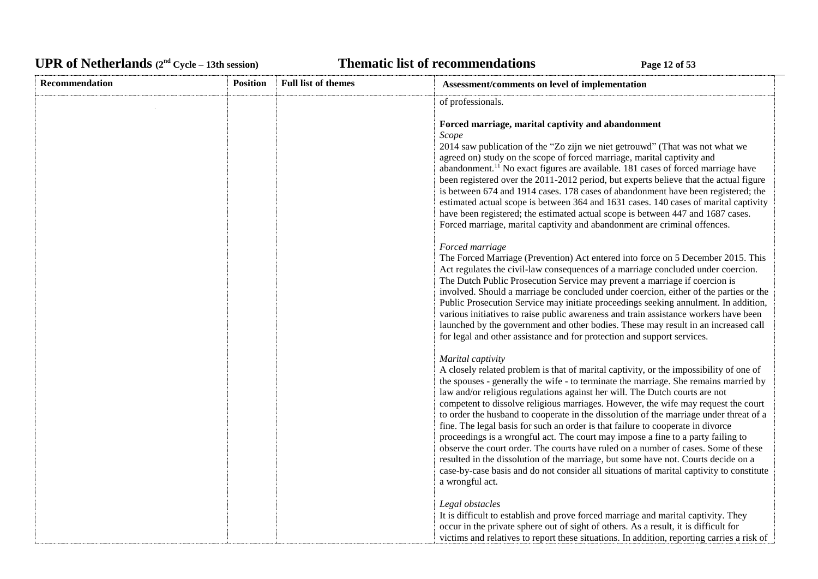# UPR of Netherlands  $(2^{nd} Cycle - 13th session)$  **Thematic list of recommendations Page 12** of 53

| Recommendation | <b>Position</b> | <b>Full list of themes</b> | Assessment/comments on level of implementation                                                                                                                                                                                                                                                                                                                                                                                                                                                                                                                                                                                                                                                                                                                                                                                                                                                                                       |
|----------------|-----------------|----------------------------|--------------------------------------------------------------------------------------------------------------------------------------------------------------------------------------------------------------------------------------------------------------------------------------------------------------------------------------------------------------------------------------------------------------------------------------------------------------------------------------------------------------------------------------------------------------------------------------------------------------------------------------------------------------------------------------------------------------------------------------------------------------------------------------------------------------------------------------------------------------------------------------------------------------------------------------|
|                |                 |                            | of professionals.                                                                                                                                                                                                                                                                                                                                                                                                                                                                                                                                                                                                                                                                                                                                                                                                                                                                                                                    |
|                |                 |                            | Forced marriage, marital captivity and abandonment<br>Scope<br>2014 saw publication of the "Zo zijn we niet getrouwd" (That was not what we<br>agreed on) study on the scope of forced marriage, marital captivity and<br>abandonment. <sup>11</sup> No exact figures are available. 181 cases of forced marriage have<br>been registered over the 2011-2012 period, but experts believe that the actual figure<br>is between 674 and 1914 cases. 178 cases of abandonment have been registered; the<br>estimated actual scope is between 364 and 1631 cases. 140 cases of marital captivity<br>have been registered; the estimated actual scope is between 447 and 1687 cases.<br>Forced marriage, marital captivity and abandonment are criminal offences.                                                                                                                                                                         |
|                |                 |                            | Forced marriage<br>The Forced Marriage (Prevention) Act entered into force on 5 December 2015. This<br>Act regulates the civil-law consequences of a marriage concluded under coercion.<br>The Dutch Public Prosecution Service may prevent a marriage if coercion is<br>involved. Should a marriage be concluded under coercion, either of the parties or the<br>Public Prosecution Service may initiate proceedings seeking annulment. In addition,<br>various initiatives to raise public awareness and train assistance workers have been<br>launched by the government and other bodies. These may result in an increased call<br>for legal and other assistance and for protection and support services.                                                                                                                                                                                                                       |
|                |                 |                            | Marital captivity<br>A closely related problem is that of marital captivity, or the impossibility of one of<br>the spouses - generally the wife - to terminate the marriage. She remains married by<br>law and/or religious regulations against her will. The Dutch courts are not<br>competent to dissolve religious marriages. However, the wife may request the court<br>to order the husband to cooperate in the dissolution of the marriage under threat of a<br>fine. The legal basis for such an order is that failure to cooperate in divorce<br>proceedings is a wrongful act. The court may impose a fine to a party failing to<br>observe the court order. The courts have ruled on a number of cases. Some of these<br>resulted in the dissolution of the marriage, but some have not. Courts decide on a<br>case-by-case basis and do not consider all situations of marital captivity to constitute<br>a wrongful act. |
|                |                 |                            | Legal obstacles<br>It is difficult to establish and prove forced marriage and marital captivity. They<br>occur in the private sphere out of sight of others. As a result, it is difficult for<br>victims and relatives to report these situations. In addition, reporting carries a risk of                                                                                                                                                                                                                                                                                                                                                                                                                                                                                                                                                                                                                                          |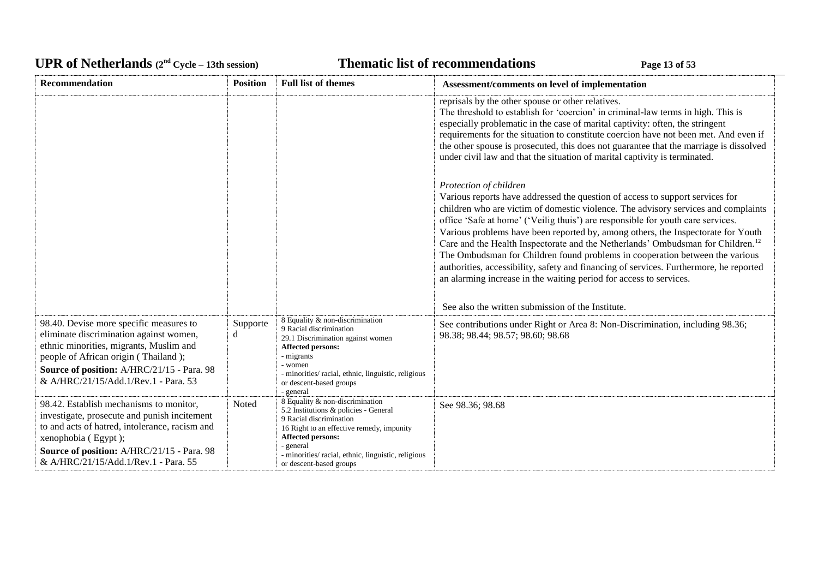# UPR of Netherlands  $(2^{nd} \text{ Cycle} - 13th \text{ session})$  **Thematic list of recommendations Page 13** of 53

| Recommendation                                                                                                                                                                                                                                              | <b>Position</b> | <b>Full list of themes</b>                                                                                                                                                                                                                                           | Assessment/comments on level of implementation                                                                                                                                                                                                                                                                                                                                                                                                                                                                                                                                                                                                                                                                                                                           |
|-------------------------------------------------------------------------------------------------------------------------------------------------------------------------------------------------------------------------------------------------------------|-----------------|----------------------------------------------------------------------------------------------------------------------------------------------------------------------------------------------------------------------------------------------------------------------|--------------------------------------------------------------------------------------------------------------------------------------------------------------------------------------------------------------------------------------------------------------------------------------------------------------------------------------------------------------------------------------------------------------------------------------------------------------------------------------------------------------------------------------------------------------------------------------------------------------------------------------------------------------------------------------------------------------------------------------------------------------------------|
|                                                                                                                                                                                                                                                             |                 |                                                                                                                                                                                                                                                                      | reprisals by the other spouse or other relatives.<br>The threshold to establish for 'coercion' in criminal-law terms in high. This is<br>especially problematic in the case of marital captivity: often, the stringent<br>requirements for the situation to constitute coercion have not been met. And even if<br>the other spouse is prosecuted, this does not guarantee that the marriage is dissolved<br>under civil law and that the situation of marital captivity is terminated.                                                                                                                                                                                                                                                                                   |
|                                                                                                                                                                                                                                                             |                 |                                                                                                                                                                                                                                                                      | Protection of children<br>Various reports have addressed the question of access to support services for<br>children who are victim of domestic violence. The advisory services and complaints<br>office 'Safe at home' ('Veilig thuis') are responsible for youth care services.<br>Various problems have been reported by, among others, the Inspectorate for Youth<br>Care and the Health Inspectorate and the Netherlands' Ombudsman for Children. <sup>12</sup><br>The Ombudsman for Children found problems in cooperation between the various<br>authorities, accessibility, safety and financing of services. Furthermore, he reported<br>an alarming increase in the waiting period for access to services.<br>See also the written submission of the Institute. |
| 98.40. Devise more specific measures to<br>eliminate discrimination against women,<br>ethnic minorities, migrants, Muslim and<br>people of African origin (Thailand);<br>Source of position: A/HRC/21/15 - Para. 98<br>& A/HRC/21/15/Add.1/Rev.1 - Para. 53 | Supporte<br>d   | 8 Equality & non-discrimination<br>9 Racial discrimination<br>29.1 Discrimination against women<br>Affected persons:<br>- migrants<br>- women<br>- minorities/ racial, ethnic, linguistic, religious<br>or descent-based groups<br>- general                         | See contributions under Right or Area 8: Non-Discrimination, including 98.36;<br>98.38; 98.44; 98.57; 98.60; 98.68                                                                                                                                                                                                                                                                                                                                                                                                                                                                                                                                                                                                                                                       |
| 98.42. Establish mechanisms to monitor,<br>investigate, prosecute and punish incitement<br>to and acts of hatred, intolerance, racism and<br>xenophobia (Egypt);<br>Source of position: A/HRC/21/15 - Para. 98<br>& A/HRC/21/15/Add.1/Rev.1 - Para. 55      | Noted           | 8 Equality & non-discrimination<br>5.2 Institutions & policies - General<br>9 Racial discrimination<br>16 Right to an effective remedy, impunity<br>Affected persons:<br>- general<br>- minorities/ racial, ethnic, linguistic, religious<br>or descent-based groups | See 98.36; 98.68                                                                                                                                                                                                                                                                                                                                                                                                                                                                                                                                                                                                                                                                                                                                                         |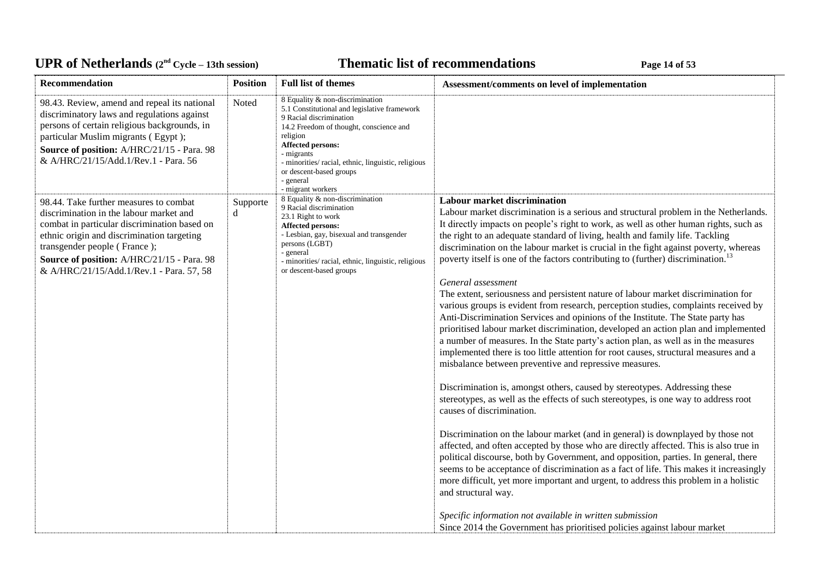# UPR of Netherlands  $(2^{nd} \text{ Cycle} - 13th \text{ session})$  **Thematic list of recommendations Page 14** of 53

| Recommendation                                                                                                                                                                                                                                                                                            | <b>Position</b> | <b>Full list of themes</b>                                                                                                                                                                                                                                                                                              | Assessment/comments on level of implementation                                                                                                                                                                                                                                                                                                                                                                                                                                                                                                                                                                                                                                                                                                                                                                                                                                                                                                                                                                                                                                                                                                                                                                                                                                                                                                                                                                                                                                                                                                                                                                                                                                                                                                                                                                                                                                                                                         |
|-----------------------------------------------------------------------------------------------------------------------------------------------------------------------------------------------------------------------------------------------------------------------------------------------------------|-----------------|-------------------------------------------------------------------------------------------------------------------------------------------------------------------------------------------------------------------------------------------------------------------------------------------------------------------------|----------------------------------------------------------------------------------------------------------------------------------------------------------------------------------------------------------------------------------------------------------------------------------------------------------------------------------------------------------------------------------------------------------------------------------------------------------------------------------------------------------------------------------------------------------------------------------------------------------------------------------------------------------------------------------------------------------------------------------------------------------------------------------------------------------------------------------------------------------------------------------------------------------------------------------------------------------------------------------------------------------------------------------------------------------------------------------------------------------------------------------------------------------------------------------------------------------------------------------------------------------------------------------------------------------------------------------------------------------------------------------------------------------------------------------------------------------------------------------------------------------------------------------------------------------------------------------------------------------------------------------------------------------------------------------------------------------------------------------------------------------------------------------------------------------------------------------------------------------------------------------------------------------------------------------------|
| 98.43. Review, amend and repeal its national<br>discriminatory laws and regulations against<br>persons of certain religious backgrounds, in<br>particular Muslim migrants (Egypt);<br>Source of position: A/HRC/21/15 - Para. 98<br>& A/HRC/21/15/Add.1/Rev.1 - Para. 56                                  | Noted           | 8 Equality & non-discrimination<br>5.1 Constitutional and legislative framework<br>9 Racial discrimination<br>14.2 Freedom of thought, conscience and<br>religion<br>Affected persons:<br>- migrants<br>- minorities/racial, ethnic, linguistic, religious<br>or descent-based groups<br>- general<br>- migrant workers |                                                                                                                                                                                                                                                                                                                                                                                                                                                                                                                                                                                                                                                                                                                                                                                                                                                                                                                                                                                                                                                                                                                                                                                                                                                                                                                                                                                                                                                                                                                                                                                                                                                                                                                                                                                                                                                                                                                                        |
| 98.44. Take further measures to combat<br>discrimination in the labour market and<br>combat in particular discrimination based on<br>ethnic origin and discrimination targeting<br>transgender people (France);<br>Source of position: A/HRC/21/15 - Para. 98<br>& A/HRC/21/15/Add.1/Rev.1 - Para. 57, 58 | Supporte<br>d   | 8 Equality & non-discrimination<br>9 Racial discrimination<br>23.1 Right to work<br>Affected persons:<br>- Lesbian, gay, bisexual and transgender<br>persons (LGBT)<br>- general<br>- minorities/ racial, ethnic, linguistic, religious<br>or descent-based groups                                                      | <b>Labour market discrimination</b><br>Labour market discrimination is a serious and structural problem in the Netherlands.<br>It directly impacts on people's right to work, as well as other human rights, such as<br>the right to an adequate standard of living, health and family life. Tackling<br>discrimination on the labour market is crucial in the fight against poverty, whereas<br>poverty itself is one of the factors contributing to (further) discrimination. <sup>13</sup><br>General assessment<br>The extent, seriousness and persistent nature of labour market discrimination for<br>various groups is evident from research, perception studies, complaints received by<br>Anti-Discrimination Services and opinions of the Institute. The State party has<br>prioritised labour market discrimination, developed an action plan and implemented<br>a number of measures. In the State party's action plan, as well as in the measures<br>implemented there is too little attention for root causes, structural measures and a<br>misbalance between preventive and repressive measures.<br>Discrimination is, amongst others, caused by stereotypes. Addressing these<br>stereotypes, as well as the effects of such stereotypes, is one way to address root<br>causes of discrimination.<br>Discrimination on the labour market (and in general) is downplayed by those not<br>affected, and often accepted by those who are directly affected. This is also true in<br>political discourse, both by Government, and opposition, parties. In general, there<br>seems to be acceptance of discrimination as a fact of life. This makes it increasingly<br>more difficult, yet more important and urgent, to address this problem in a holistic<br>and structural way.<br>Specific information not available in written submission<br>Since 2014 the Government has prioritised policies against labour market |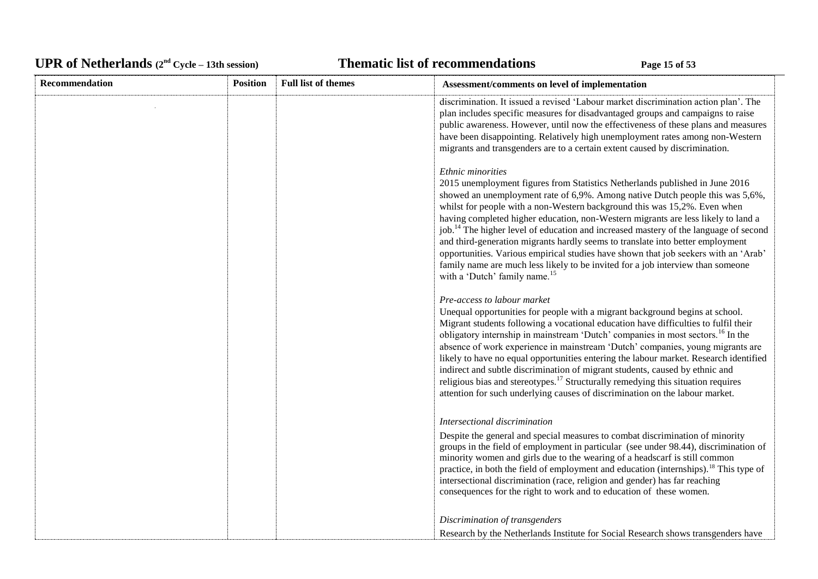# UPR of Netherlands  $(2^{nd} \text{ Cycle} - 13th \text{ session})$  **Thematic list of recommendations Page 15** of 53

| <b>Recommendation</b> | <b>Position</b> | <b>Full list of themes</b> | Assessment/comments on level of implementation                                                                                                                                                                                                                                                                                                                                                                                                                                                                                                                                                                                                                                                                                                                    |
|-----------------------|-----------------|----------------------------|-------------------------------------------------------------------------------------------------------------------------------------------------------------------------------------------------------------------------------------------------------------------------------------------------------------------------------------------------------------------------------------------------------------------------------------------------------------------------------------------------------------------------------------------------------------------------------------------------------------------------------------------------------------------------------------------------------------------------------------------------------------------|
|                       |                 |                            | discrimination. It issued a revised 'Labour market discrimination action plan'. The<br>plan includes specific measures for disadvantaged groups and campaigns to raise<br>public awareness. However, until now the effectiveness of these plans and measures<br>have been disappointing. Relatively high unemployment rates among non-Western<br>migrants and transgenders are to a certain extent caused by discrimination.                                                                                                                                                                                                                                                                                                                                      |
|                       |                 |                            | Ethnic minorities<br>2015 unemployment figures from Statistics Netherlands published in June 2016<br>showed an unemployment rate of 6,9%. Among native Dutch people this was 5,6%,<br>whilst for people with a non-Western background this was 15,2%. Even when<br>having completed higher education, non-Western migrants are less likely to land a<br>job. <sup>14</sup> The higher level of education and increased mastery of the language of second<br>and third-generation migrants hardly seems to translate into better employment<br>opportunities. Various empirical studies have shown that job seekers with an 'Arab'<br>family name are much less likely to be invited for a job interview than someone<br>with a 'Dutch' family name. <sup>15</sup> |
|                       |                 |                            | Pre-access to labour market<br>Unequal opportunities for people with a migrant background begins at school.<br>Migrant students following a vocational education have difficulties to fulfil their<br>obligatory internship in mainstream 'Dutch' companies in most sectors. <sup>16</sup> In the<br>absence of work experience in mainstream 'Dutch' companies, young migrants are<br>likely to have no equal opportunities entering the labour market. Research identified<br>indirect and subtle discrimination of migrant students, caused by ethnic and<br>religious bias and stereotypes. <sup>17</sup> Structurally remedying this situation requires<br>attention for such underlying causes of discrimination on the labour market.                      |
|                       |                 |                            | Intersectional discrimination<br>Despite the general and special measures to combat discrimination of minority<br>groups in the field of employment in particular (see under 98.44), discrimination of<br>minority women and girls due to the wearing of a headscarf is still common<br>practice, in both the field of employment and education (internships). <sup>18</sup> This type of<br>intersectional discrimination (race, religion and gender) has far reaching<br>consequences for the right to work and to education of these women.                                                                                                                                                                                                                    |
|                       |                 |                            | Discrimination of transgenders<br>Research by the Netherlands Institute for Social Research shows transgenders have                                                                                                                                                                                                                                                                                                                                                                                                                                                                                                                                                                                                                                               |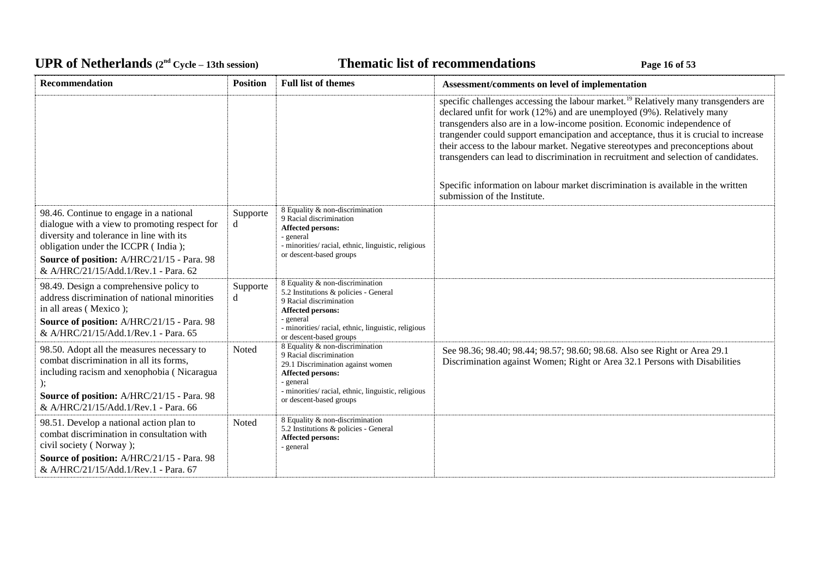# UPR of Netherlands  $(2^{nd} \text{ Cycle} - 13th \text{ session})$  **Thematic list of recommendations Page 16** of 53

| <b>Recommendation</b>                                                                                                                                                                                                                                             | <b>Position</b> | <b>Full list of themes</b>                                                                                                                                                                                                | Assessment/comments on level of implementation                                                                                                                                                                                                                                                                                                                                                                                                                                                                           |
|-------------------------------------------------------------------------------------------------------------------------------------------------------------------------------------------------------------------------------------------------------------------|-----------------|---------------------------------------------------------------------------------------------------------------------------------------------------------------------------------------------------------------------------|--------------------------------------------------------------------------------------------------------------------------------------------------------------------------------------------------------------------------------------------------------------------------------------------------------------------------------------------------------------------------------------------------------------------------------------------------------------------------------------------------------------------------|
|                                                                                                                                                                                                                                                                   |                 |                                                                                                                                                                                                                           | specific challenges accessing the labour market. <sup>19</sup> Relatively many transgenders are<br>declared unfit for work (12%) and are unemployed (9%). Relatively many<br>transgenders also are in a low-income position. Economic independence of<br>trangender could support emancipation and acceptance, thus it is crucial to increase<br>their access to the labour market. Negative stereotypes and preconceptions about<br>transgenders can lead to discrimination in recruitment and selection of candidates. |
|                                                                                                                                                                                                                                                                   |                 |                                                                                                                                                                                                                           | Specific information on labour market discrimination is available in the written<br>submission of the Institute.                                                                                                                                                                                                                                                                                                                                                                                                         |
| 98.46. Continue to engage in a national<br>dialogue with a view to promoting respect for<br>diversity and tolerance in line with its<br>obligation under the ICCPR (India);<br>Source of position: A/HRC/21/15 - Para. 98<br>& A/HRC/21/15/Add.1/Rev.1 - Para. 62 | Supporte<br>d   | 8 Equality & non-discrimination<br>9 Racial discrimination<br>Affected persons:<br>- general<br>- minorities/racial, ethnic, linguistic, religious<br>or descent-based groups                                             |                                                                                                                                                                                                                                                                                                                                                                                                                                                                                                                          |
| 98.49. Design a comprehensive policy to<br>address discrimination of national minorities<br>in all areas (Mexico);<br>Source of position: A/HRC/21/15 - Para. 98<br>& A/HRC/21/15/Add.1/Rev.1 - Para. 65                                                          | Supporte<br>d   | 8 Equality & non-discrimination<br>5.2 Institutions & policies - General<br>9 Racial discrimination<br>Affected persons:<br>- general<br>- minorities/racial, ethnic, linguistic, religious<br>or descent-based groups    |                                                                                                                                                                                                                                                                                                                                                                                                                                                                                                                          |
| 98.50. Adopt all the measures necessary to<br>combat discrimination in all its forms,<br>including racism and xenophobia (Nicaragua<br>Source of position: A/HRC/21/15 - Para. 98<br>& A/HRC/21/15/Add.1/Rev.1 - Para. 66                                         | Noted           | 8 Equality & non-discrimination<br>9 Racial discrimination<br>29.1 Discrimination against women<br><b>Affected persons:</b><br>- general<br>- minorities/racial, ethnic, linguistic, religious<br>or descent-based groups | See 98.36; 98.40; 98.44; 98.57; 98.60; 98.68. Also see Right or Area 29.1<br>Discrimination against Women; Right or Area 32.1 Persons with Disabilities                                                                                                                                                                                                                                                                                                                                                                  |
| 98.51. Develop a national action plan to<br>combat discrimination in consultation with<br>civil society (Norway);                                                                                                                                                 | Noted           | 8 Equality & non-discrimination<br>5.2 Institutions & policies - General<br><b>Affected persons:</b><br>- general                                                                                                         |                                                                                                                                                                                                                                                                                                                                                                                                                                                                                                                          |
| Source of position: A/HRC/21/15 - Para. 98<br>& A/HRC/21/15/Add.1/Rev.1 - Para. 67                                                                                                                                                                                |                 |                                                                                                                                                                                                                           |                                                                                                                                                                                                                                                                                                                                                                                                                                                                                                                          |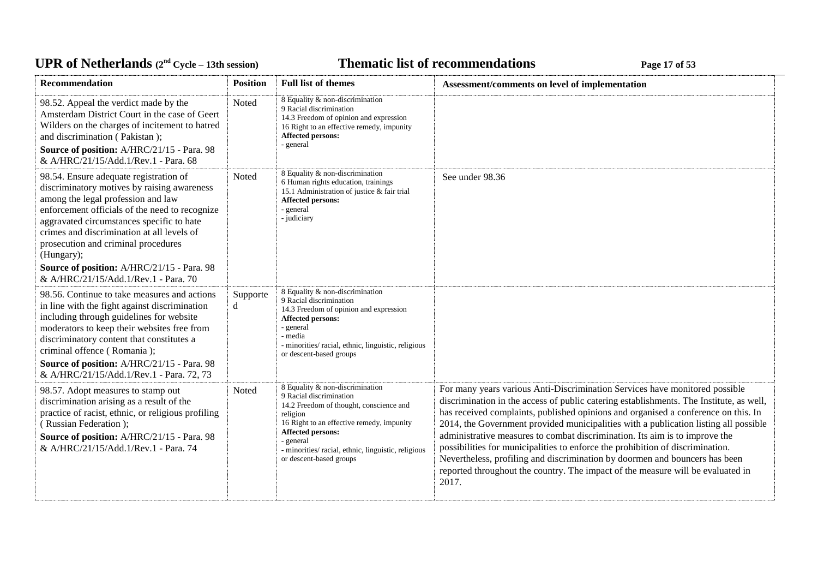# UPR of Netherlands  $(2^{nd} \text{ Cycle} - 13th \text{ session})$  **Thematic list of recommendations Page 17** of 53

| Recommendation                                                                                                                                                                                                                                                                                                                                                                                                      | <b>Position</b> | <b>Full list of themes</b>                                                                                                                                                                                                                                                               | Assessment/comments on level of implementation                                                                                                                                                                                                                                                                                                                                                                                                                                                                                                                                                                                                                                                   |
|---------------------------------------------------------------------------------------------------------------------------------------------------------------------------------------------------------------------------------------------------------------------------------------------------------------------------------------------------------------------------------------------------------------------|-----------------|------------------------------------------------------------------------------------------------------------------------------------------------------------------------------------------------------------------------------------------------------------------------------------------|--------------------------------------------------------------------------------------------------------------------------------------------------------------------------------------------------------------------------------------------------------------------------------------------------------------------------------------------------------------------------------------------------------------------------------------------------------------------------------------------------------------------------------------------------------------------------------------------------------------------------------------------------------------------------------------------------|
| 98.52. Appeal the verdict made by the<br>Amsterdam District Court in the case of Geert<br>Wilders on the charges of incitement to hatred<br>and discrimination (Pakistan);<br>Source of position: A/HRC/21/15 - Para. 98<br>& A/HRC/21/15/Add.1/Rev.1 - Para. 68                                                                                                                                                    | Noted           | 8 Equality & non-discrimination<br>9 Racial discrimination<br>14.3 Freedom of opinion and expression<br>16 Right to an effective remedy, impunity<br><b>Affected persons:</b><br>- general                                                                                               |                                                                                                                                                                                                                                                                                                                                                                                                                                                                                                                                                                                                                                                                                                  |
| 98.54. Ensure adequate registration of<br>discriminatory motives by raising awareness<br>among the legal profession and law<br>enforcement officials of the need to recognize<br>aggravated circumstances specific to hate<br>crimes and discrimination at all levels of<br>prosecution and criminal procedures<br>(Hungary);<br>Source of position: A/HRC/21/15 - Para. 98<br>& A/HRC/21/15/Add.1/Rev.1 - Para. 70 | Noted           | 8 Equality & non-discrimination<br>6 Human rights education, trainings<br>15.1 Administration of justice & fair trial<br><b>Affected persons:</b><br>- general<br>- judiciary                                                                                                            | See under 98.36                                                                                                                                                                                                                                                                                                                                                                                                                                                                                                                                                                                                                                                                                  |
| 98.56. Continue to take measures and actions<br>in line with the fight against discrimination<br>including through guidelines for website<br>moderators to keep their websites free from<br>discriminatory content that constitutes a<br>criminal offence (Romania);<br>Source of position: A/HRC/21/15 - Para. 98<br>& A/HRC/21/15/Add.1/Rev.1 - Para. 72, 73                                                      | Supporte<br>d   | 8 Equality & non-discrimination<br>9 Racial discrimination<br>14.3 Freedom of opinion and expression<br>Affected persons:<br>- general<br>- media<br>- minorities/ racial, ethnic, linguistic, religious<br>or descent-based groups                                                      |                                                                                                                                                                                                                                                                                                                                                                                                                                                                                                                                                                                                                                                                                                  |
| 98.57. Adopt measures to stamp out<br>discrimination arising as a result of the<br>practice of racist, ethnic, or religious profiling<br>(Russian Federation);<br>Source of position: A/HRC/21/15 - Para. 98<br>& A/HRC/21/15/Add.1/Rev.1 - Para. 74                                                                                                                                                                | Noted           | 8 Equality & non-discrimination<br>9 Racial discrimination<br>14.2 Freedom of thought, conscience and<br>religion<br>16 Right to an effective remedy, impunity<br><b>Affected persons:</b><br>- general<br>- minorities/racial, ethnic, linguistic, religious<br>or descent-based groups | For many years various Anti-Discrimination Services have monitored possible<br>discrimination in the access of public catering establishments. The Institute, as well,<br>has received complaints, published opinions and organised a conference on this. In<br>2014, the Government provided municipalities with a publication listing all possible<br>administrative measures to combat discrimination. Its aim is to improve the<br>possibilities for municipalities to enforce the prohibition of discrimination.<br>Nevertheless, profiling and discrimination by doormen and bouncers has been<br>reported throughout the country. The impact of the measure will be evaluated in<br>2017. |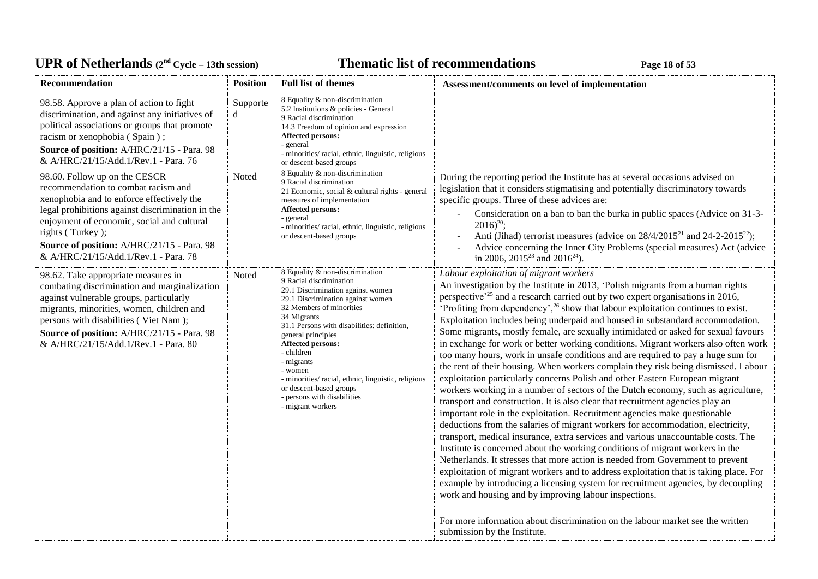# UPR of Netherlands  $(2^{nd} \text{ Cycle} - 13th \text{ session})$  **Thematic list of recommendations Page 18** of 53

| Recommendation                                                                                                                                                                                                                                                                                                                | <b>Position</b> | <b>Full list of themes</b>                                                                                                                                                                                                                                                                                                                                                                                                                                    | Assessment/comments on level of implementation                                                                                                                                                                                                                                                                                                                                                                                                                                                                                                                                                                                                                                                                                                                                                                                                                                                                                                                                                                                                                                                                                                                                                                                                                                                                                                                                                                                                                                                                                                                                                                                                                                                                                                                                                 |
|-------------------------------------------------------------------------------------------------------------------------------------------------------------------------------------------------------------------------------------------------------------------------------------------------------------------------------|-----------------|---------------------------------------------------------------------------------------------------------------------------------------------------------------------------------------------------------------------------------------------------------------------------------------------------------------------------------------------------------------------------------------------------------------------------------------------------------------|------------------------------------------------------------------------------------------------------------------------------------------------------------------------------------------------------------------------------------------------------------------------------------------------------------------------------------------------------------------------------------------------------------------------------------------------------------------------------------------------------------------------------------------------------------------------------------------------------------------------------------------------------------------------------------------------------------------------------------------------------------------------------------------------------------------------------------------------------------------------------------------------------------------------------------------------------------------------------------------------------------------------------------------------------------------------------------------------------------------------------------------------------------------------------------------------------------------------------------------------------------------------------------------------------------------------------------------------------------------------------------------------------------------------------------------------------------------------------------------------------------------------------------------------------------------------------------------------------------------------------------------------------------------------------------------------------------------------------------------------------------------------------------------------|
| 98.58. Approve a plan of action to fight<br>discrimination, and against any initiatives of<br>political associations or groups that promote<br>racism or xenophobia (Spain);<br>Source of position: A/HRC/21/15 - Para. 98<br>& A/HRC/21/15/Add.1/Rev.1 - Para. 76                                                            | Supporte<br>d   | 8 Equality & non-discrimination<br>5.2 Institutions & policies - General<br>9 Racial discrimination<br>14.3 Freedom of opinion and expression<br><b>Affected persons:</b><br>- general<br>- minorities/racial, ethnic, linguistic, religious<br>or descent-based groups                                                                                                                                                                                       |                                                                                                                                                                                                                                                                                                                                                                                                                                                                                                                                                                                                                                                                                                                                                                                                                                                                                                                                                                                                                                                                                                                                                                                                                                                                                                                                                                                                                                                                                                                                                                                                                                                                                                                                                                                                |
| 98.60. Follow up on the CESCR<br>recommendation to combat racism and<br>xenophobia and to enforce effectively the<br>legal prohibitions against discrimination in the<br>enjoyment of economic, social and cultural<br>rights (Turkey);<br>Source of position: A/HRC/21/15 - Para. 98<br>& A/HRC/21/15/Add.1/Rev.1 - Para. 78 | Noted           | 8 Equality & non-discrimination<br>9 Racial discrimination<br>21 Economic, social & cultural rights - general<br>measures of implementation<br>Affected persons:<br>- general<br>- minorities/ racial, ethnic, linguistic, religious<br>or descent-based groups                                                                                                                                                                                               | During the reporting period the Institute has at several occasions advised on<br>legislation that it considers stigmatising and potentially discriminatory towards<br>specific groups. Three of these advices are:<br>Consideration on a ban to ban the burka in public spaces (Advice on 31-3-<br>$2016)^{20}$ ;<br>Anti (Jihad) terrorist measures (advice on $28/4/2015^{21}$ and $24-2-2015^{22}$ );<br>Advice concerning the Inner City Problems (special measures) Act (advice<br>in 2006, 2015 <sup>23</sup> and 2016 <sup>24</sup> ).                                                                                                                                                                                                                                                                                                                                                                                                                                                                                                                                                                                                                                                                                                                                                                                                                                                                                                                                                                                                                                                                                                                                                                                                                                                  |
| 98.62. Take appropriate measures in<br>combating discrimination and marginalization<br>against vulnerable groups, particularly<br>migrants, minorities, women, children and<br>persons with disabilities (Viet Nam);<br>Source of position: A/HRC/21/15 - Para. 98<br>& A/HRC/21/15/Add.1/Rev.1 - Para. 80                    | Noted           | 8 Equality & non-discrimination<br>9 Racial discrimination<br>29.1 Discrimination against women<br>29.1 Discrimination against women<br>32 Members of minorities<br>34 Migrants<br>31.1 Persons with disabilities: definition,<br>general principles<br><b>Affected persons:</b><br>- children<br>- migrants<br>- women<br>- minorities/ racial, ethnic, linguistic, religious<br>or descent-based groups<br>- persons with disabilities<br>- migrant workers | Labour exploitation of migrant workers<br>An investigation by the Institute in 2013, 'Polish migrants from a human rights<br>perspective <sup>25</sup> and a research carried out by two expert organisations in 2016,<br>'Profiting from dependency', $26$ show that labour exploitation continues to exist.<br>Exploitation includes being underpaid and housed in substandard accommodation.<br>Some migrants, mostly female, are sexually intimidated or asked for sexual favours<br>in exchange for work or better working conditions. Migrant workers also often work<br>too many hours, work in unsafe conditions and are required to pay a huge sum for<br>the rent of their housing. When workers complain they risk being dismissed. Labour<br>exploitation particularly concerns Polish and other Eastern European migrant<br>workers working in a number of sectors of the Dutch economy, such as agriculture,<br>transport and construction. It is also clear that recruitment agencies play an<br>important role in the exploitation. Recruitment agencies make questionable<br>deductions from the salaries of migrant workers for accommodation, electricity,<br>transport, medical insurance, extra services and various unaccountable costs. The<br>Institute is concerned about the working conditions of migrant workers in the<br>Netherlands. It stresses that more action is needed from Government to prevent<br>exploitation of migrant workers and to address exploitation that is taking place. For<br>example by introducing a licensing system for recruitment agencies, by decoupling<br>work and housing and by improving labour inspections.<br>For more information about discrimination on the labour market see the written<br>submission by the Institute. |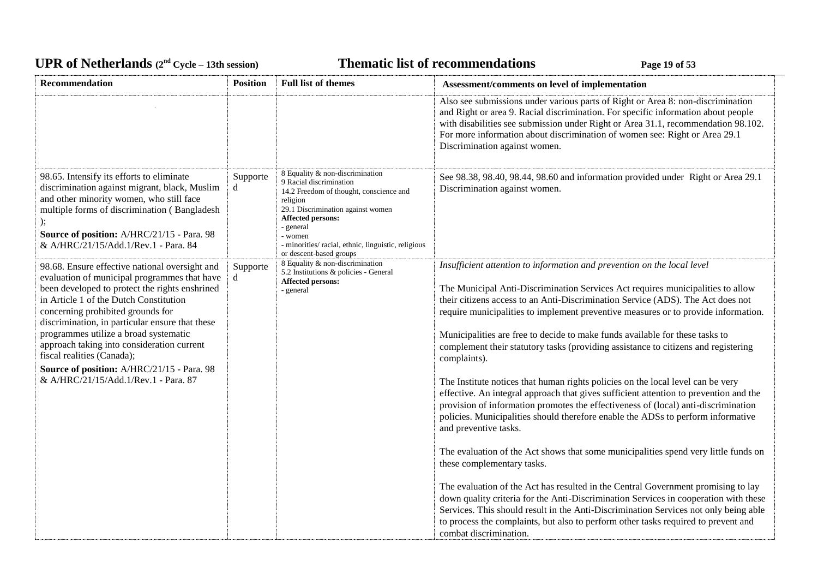# UPR of Netherlands  $(2^{nd} \text{ Cycle} - 13th \text{ session})$  **Thematic list of recommendations Page 19** of 53

| Recommendation                                                                                                                                                                                                                                                                                                                                                                                                                                                                                | <b>Position</b> | <b>Full list of themes</b>                                                                                                                                                                                                                                                           | Assessment/comments on level of implementation                                                                                                                                                                                                                                                                                                                                                                                                                                                                                                                                                                                                                                                                                                                                                                                                                                                                                                                                                                                                                                                                                                                                                                                                                                                                                                                                                                     |
|-----------------------------------------------------------------------------------------------------------------------------------------------------------------------------------------------------------------------------------------------------------------------------------------------------------------------------------------------------------------------------------------------------------------------------------------------------------------------------------------------|-----------------|--------------------------------------------------------------------------------------------------------------------------------------------------------------------------------------------------------------------------------------------------------------------------------------|--------------------------------------------------------------------------------------------------------------------------------------------------------------------------------------------------------------------------------------------------------------------------------------------------------------------------------------------------------------------------------------------------------------------------------------------------------------------------------------------------------------------------------------------------------------------------------------------------------------------------------------------------------------------------------------------------------------------------------------------------------------------------------------------------------------------------------------------------------------------------------------------------------------------------------------------------------------------------------------------------------------------------------------------------------------------------------------------------------------------------------------------------------------------------------------------------------------------------------------------------------------------------------------------------------------------------------------------------------------------------------------------------------------------|
|                                                                                                                                                                                                                                                                                                                                                                                                                                                                                               |                 |                                                                                                                                                                                                                                                                                      | Also see submissions under various parts of Right or Area 8: non-discrimination<br>and Right or area 9. Racial discrimination. For specific information about people<br>with disabilities see submission under Right or Area 31.1, recommendation 98.102.<br>For more information about discrimination of women see: Right or Area 29.1<br>Discrimination against women.                                                                                                                                                                                                                                                                                                                                                                                                                                                                                                                                                                                                                                                                                                                                                                                                                                                                                                                                                                                                                                           |
| 98.65. Intensify its efforts to eliminate<br>discrimination against migrant, black, Muslim<br>and other minority women, who still face<br>multiple forms of discrimination (Bangladesh<br>Source of position: A/HRC/21/15 - Para. 98<br>& A/HRC/21/15/Add.1/Rev.1 - Para. 84                                                                                                                                                                                                                  | Supporte<br>d   | 8 Equality & non-discrimination<br>9 Racial discrimination<br>14.2 Freedom of thought, conscience and<br>religion<br>29.1 Discrimination against women<br>Affected persons:<br>- general<br>- women<br>- minorities/racial, ethnic, linguistic, religious<br>or descent-based groups | See 98.38, 98.40, 98.44, 98.60 and information provided under Right or Area 29.1<br>Discrimination against women.                                                                                                                                                                                                                                                                                                                                                                                                                                                                                                                                                                                                                                                                                                                                                                                                                                                                                                                                                                                                                                                                                                                                                                                                                                                                                                  |
| 98.68. Ensure effective national oversight and<br>evaluation of municipal programmes that have<br>been developed to protect the rights enshrined<br>in Article 1 of the Dutch Constitution<br>concerning prohibited grounds for<br>discrimination, in particular ensure that these<br>programmes utilize a broad systematic<br>approach taking into consideration current<br>fiscal realities (Canada);<br>Source of position: A/HRC/21/15 - Para. 98<br>& A/HRC/21/15/Add.1/Rev.1 - Para. 87 | Supporte<br>d   | 8 Equality & non-discrimination<br>5.2 Institutions & policies - General<br><b>Affected persons:</b><br>- general                                                                                                                                                                    | Insufficient attention to information and prevention on the local level<br>The Municipal Anti-Discrimination Services Act requires municipalities to allow<br>their citizens access to an Anti-Discrimination Service (ADS). The Act does not<br>require municipalities to implement preventive measures or to provide information.<br>Municipalities are free to decide to make funds available for these tasks to<br>complement their statutory tasks (providing assistance to citizens and registering<br>complaints).<br>The Institute notices that human rights policies on the local level can be very<br>effective. An integral approach that gives sufficient attention to prevention and the<br>provision of information promotes the effectiveness of (local) anti-discrimination<br>policies. Municipalities should therefore enable the ADSs to perform informative<br>and preventive tasks.<br>The evaluation of the Act shows that some municipalities spend very little funds on<br>these complementary tasks.<br>The evaluation of the Act has resulted in the Central Government promising to lay<br>down quality criteria for the Anti-Discrimination Services in cooperation with these<br>Services. This should result in the Anti-Discrimination Services not only being able<br>to process the complaints, but also to perform other tasks required to prevent and<br>combat discrimination. |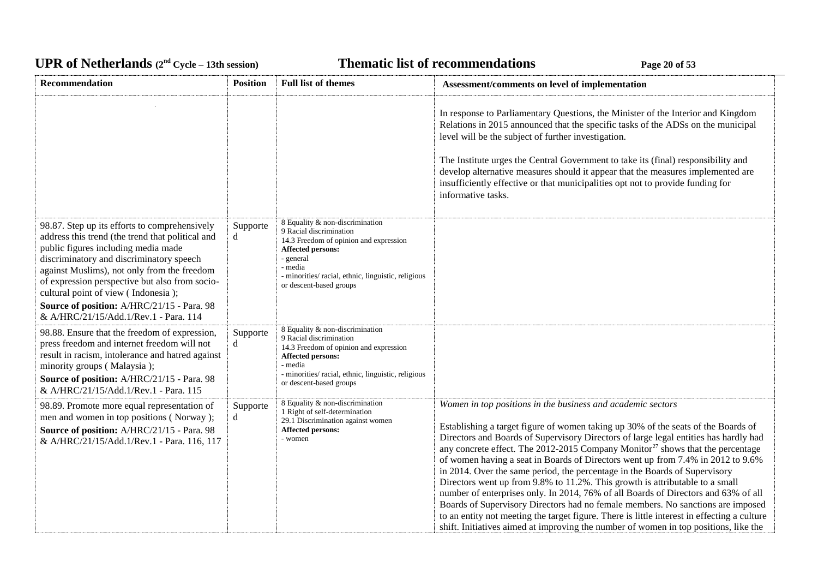# UPR of Netherlands  $(2^{nd} \text{ Cycle} - 13th \text{ session})$  **Thematic list of recommendations Page 20** of 53

| Recommendation                                                                                                                                                                                                                                                                                                                                                                                                      | <b>Position</b> | <b>Full list of themes</b>                                                                                                                                                                                                          | Assessment/comments on level of implementation                                                                                                                                                                                                                                                                                                                                                                                                                                                                                                                                                                                                                                                                                                                                                                                                                                                                                                          |
|---------------------------------------------------------------------------------------------------------------------------------------------------------------------------------------------------------------------------------------------------------------------------------------------------------------------------------------------------------------------------------------------------------------------|-----------------|-------------------------------------------------------------------------------------------------------------------------------------------------------------------------------------------------------------------------------------|---------------------------------------------------------------------------------------------------------------------------------------------------------------------------------------------------------------------------------------------------------------------------------------------------------------------------------------------------------------------------------------------------------------------------------------------------------------------------------------------------------------------------------------------------------------------------------------------------------------------------------------------------------------------------------------------------------------------------------------------------------------------------------------------------------------------------------------------------------------------------------------------------------------------------------------------------------|
|                                                                                                                                                                                                                                                                                                                                                                                                                     |                 |                                                                                                                                                                                                                                     | In response to Parliamentary Questions, the Minister of the Interior and Kingdom<br>Relations in 2015 announced that the specific tasks of the ADSs on the municipal<br>level will be the subject of further investigation.<br>The Institute urges the Central Government to take its (final) responsibility and<br>develop alternative measures should it appear that the measures implemented are<br>insufficiently effective or that municipalities opt not to provide funding for<br>informative tasks.                                                                                                                                                                                                                                                                                                                                                                                                                                             |
| 98.87. Step up its efforts to comprehensively<br>address this trend (the trend that political and<br>public figures including media made<br>discriminatory and discriminatory speech<br>against Muslims), not only from the freedom<br>of expression perspective but also from socio-<br>cultural point of view (Indonesia);<br>Source of position: A/HRC/21/15 - Para. 98<br>& A/HRC/21/15/Add.1/Rev.1 - Para. 114 | Supporte<br>d   | 8 Equality & non-discrimination<br>9 Racial discrimination<br>14.3 Freedom of opinion and expression<br>Affected persons:<br>- general<br>- media<br>- minorities/ racial, ethnic, linguistic, religious<br>or descent-based groups |                                                                                                                                                                                                                                                                                                                                                                                                                                                                                                                                                                                                                                                                                                                                                                                                                                                                                                                                                         |
| 98.88. Ensure that the freedom of expression,<br>press freedom and internet freedom will not<br>result in racism, intolerance and hatred against<br>minority groups (Malaysia);<br>Source of position: A/HRC/21/15 - Para. 98<br>& A/HRC/21/15/Add.1/Rev.1 - Para. 115                                                                                                                                              | Supporte<br>d   | 8 Equality & non-discrimination<br>9 Racial discrimination<br>14.3 Freedom of opinion and expression<br><b>Affected persons:</b><br>- media<br>- minorities/racial, ethnic, linguistic, religious<br>or descent-based groups        |                                                                                                                                                                                                                                                                                                                                                                                                                                                                                                                                                                                                                                                                                                                                                                                                                                                                                                                                                         |
| 98.89. Promote more equal representation of<br>men and women in top positions (Norway);<br>Source of position: A/HRC/21/15 - Para. 98<br>& A/HRC/21/15/Add.1/Rev.1 - Para. 116, 117                                                                                                                                                                                                                                 | Supporte<br>d   | 8 Equality & non-discrimination<br>1 Right of self-determination<br>29.1 Discrimination against women<br><b>Affected persons:</b><br>- women                                                                                        | Women in top positions in the business and academic sectors<br>Establishing a target figure of women taking up 30% of the seats of the Boards of<br>Directors and Boards of Supervisory Directors of large legal entities has hardly had<br>any concrete effect. The 2012-2015 Company Monitor <sup>27</sup> shows that the percentage<br>of women having a seat in Boards of Directors went up from 7.4% in 2012 to 9.6%<br>in 2014. Over the same period, the percentage in the Boards of Supervisory<br>Directors went up from 9.8% to 11.2%. This growth is attributable to a small<br>number of enterprises only. In 2014, 76% of all Boards of Directors and 63% of all<br>Boards of Supervisory Directors had no female members. No sanctions are imposed<br>to an entity not meeting the target figure. There is little interest in effecting a culture<br>shift. Initiatives aimed at improving the number of women in top positions, like the |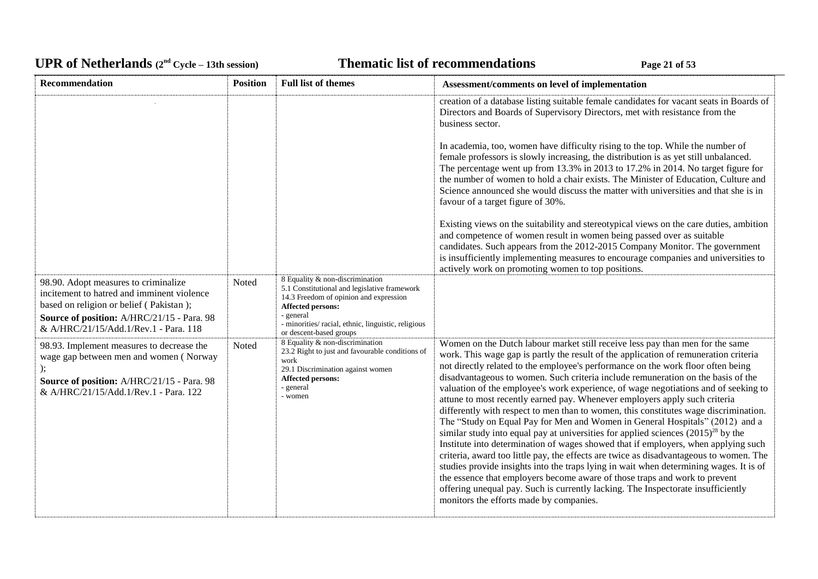# UPR of Netherlands  $(2^{nd} \text{ Cycle} - 13th \text{ session})$  **Thematic list of recommendations Page 21** of 53

| Recommendation                                                                                                                                                                                                       | <b>Position</b> | <b>Full list of themes</b>                                                                                                                                                                                                                           | Assessment/comments on level of implementation                                                                                                                                                                                                                                                                                                                                                                                                                                                                                                                                                                                                                                                                                                                                                                                                                                                                                                                                                                                                                                                                                                                                                                                                                              |
|----------------------------------------------------------------------------------------------------------------------------------------------------------------------------------------------------------------------|-----------------|------------------------------------------------------------------------------------------------------------------------------------------------------------------------------------------------------------------------------------------------------|-----------------------------------------------------------------------------------------------------------------------------------------------------------------------------------------------------------------------------------------------------------------------------------------------------------------------------------------------------------------------------------------------------------------------------------------------------------------------------------------------------------------------------------------------------------------------------------------------------------------------------------------------------------------------------------------------------------------------------------------------------------------------------------------------------------------------------------------------------------------------------------------------------------------------------------------------------------------------------------------------------------------------------------------------------------------------------------------------------------------------------------------------------------------------------------------------------------------------------------------------------------------------------|
|                                                                                                                                                                                                                      |                 |                                                                                                                                                                                                                                                      | creation of a database listing suitable female candidates for vacant seats in Boards of<br>Directors and Boards of Supervisory Directors, met with resistance from the<br>business sector.                                                                                                                                                                                                                                                                                                                                                                                                                                                                                                                                                                                                                                                                                                                                                                                                                                                                                                                                                                                                                                                                                  |
|                                                                                                                                                                                                                      |                 |                                                                                                                                                                                                                                                      | In academia, too, women have difficulty rising to the top. While the number of<br>female professors is slowly increasing, the distribution is as yet still unbalanced.<br>The percentage went up from 13.3% in 2013 to 17.2% in 2014. No target figure for<br>the number of women to hold a chair exists. The Minister of Education, Culture and<br>Science announced she would discuss the matter with universities and that she is in<br>favour of a target figure of 30%.                                                                                                                                                                                                                                                                                                                                                                                                                                                                                                                                                                                                                                                                                                                                                                                                |
|                                                                                                                                                                                                                      |                 |                                                                                                                                                                                                                                                      | Existing views on the suitability and stereotypical views on the care duties, ambition<br>and competence of women result in women being passed over as suitable<br>candidates. Such appears from the 2012-2015 Company Monitor. The government<br>is insufficiently implementing measures to encourage companies and universities to<br>actively work on promoting women to top positions.                                                                                                                                                                                                                                                                                                                                                                                                                                                                                                                                                                                                                                                                                                                                                                                                                                                                                  |
| 98.90. Adopt measures to criminalize<br>incitement to hatred and imminent violence<br>based on religion or belief (Pakistan);<br>Source of position: A/HRC/21/15 - Para. 98<br>& A/HRC/21/15/Add.1/Rev.1 - Para. 118 | Noted           | 8 Equality & non-discrimination<br>5.1 Constitutional and legislative framework<br>14.3 Freedom of opinion and expression<br><b>Affected persons:</b><br>- general<br>- minorities/ racial, ethnic, linguistic, religious<br>or descent-based groups |                                                                                                                                                                                                                                                                                                                                                                                                                                                                                                                                                                                                                                                                                                                                                                                                                                                                                                                                                                                                                                                                                                                                                                                                                                                                             |
| 98.93. Implement measures to decrease the<br>wage gap between men and women (Norway<br>Source of position: A/HRC/21/15 - Para. 98<br>& A/HRC/21/15/Add.1/Rev.1 - Para. 122                                           | Noted           | 8 Equality & non-discrimination<br>23.2 Right to just and favourable conditions of<br>work<br>29.1 Discrimination against women<br>Affected persons:<br>- general<br>- women                                                                         | Women on the Dutch labour market still receive less pay than men for the same<br>work. This wage gap is partly the result of the application of remuneration criteria<br>not directly related to the employee's performance on the work floor often being<br>disadvantageous to women. Such criteria include remuneration on the basis of the<br>valuation of the employee's work experience, of wage negotiations and of seeking to<br>attune to most recently earned pay. Whenever employers apply such criteria<br>differently with respect to men than to women, this constitutes wage discrimination.<br>The "Study on Equal Pay for Men and Women in General Hospitals" (2012) and a<br>similar study into equal pay at universities for applied sciences $(2015)^{28}$ by the<br>Institute into determination of wages showed that if employers, when applying such<br>criteria, award too little pay, the effects are twice as disadvantageous to women. The<br>studies provide insights into the traps lying in wait when determining wages. It is of<br>the essence that employers become aware of those traps and work to prevent<br>offering unequal pay. Such is currently lacking. The Inspectorate insufficiently<br>monitors the efforts made by companies. |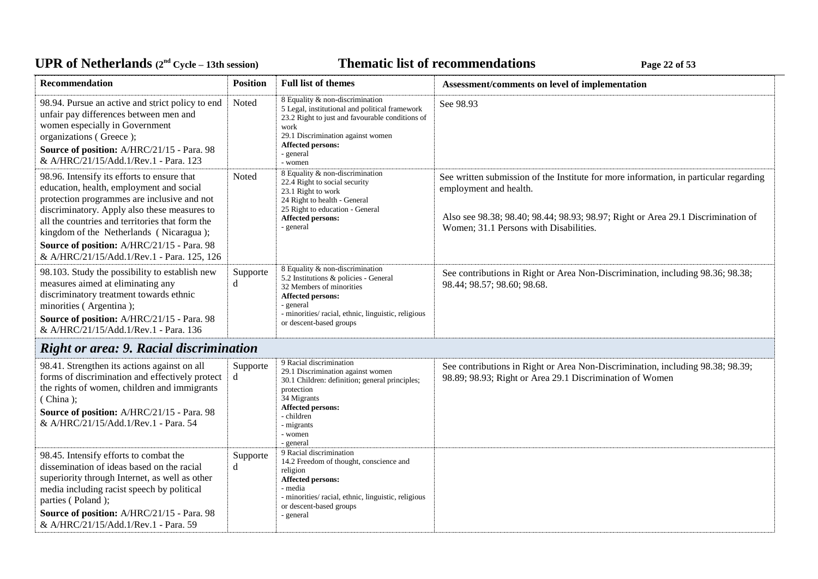# UPR of Netherlands  $(2^{nd} \text{ Cycle} - 13th \text{ session})$  **Thematic list of recommendations Page 22** of 53

| Recommendation                                                                                                                                                                                                                                                                                                                                                                   | <b>Position</b> | <b>Full list of themes</b>                                                                                                                                                                                                     | Assessment/comments on level of implementation                                                                                                                                                                                                |
|----------------------------------------------------------------------------------------------------------------------------------------------------------------------------------------------------------------------------------------------------------------------------------------------------------------------------------------------------------------------------------|-----------------|--------------------------------------------------------------------------------------------------------------------------------------------------------------------------------------------------------------------------------|-----------------------------------------------------------------------------------------------------------------------------------------------------------------------------------------------------------------------------------------------|
| 98.94. Pursue an active and strict policy to end<br>unfair pay differences between men and<br>women especially in Government<br>organizations (Greece);<br>Source of position: A/HRC/21/15 - Para. 98<br>& A/HRC/21/15/Add.1/Rev.1 - Para. 123                                                                                                                                   | Noted           | 8 Equality & non-discrimination<br>5 Legal, institutional and political framework<br>23.2 Right to just and favourable conditions of<br>work<br>29.1 Discrimination against women<br>Affected persons:<br>- general<br>- women | See 98.93                                                                                                                                                                                                                                     |
| 98.96. Intensify its efforts to ensure that<br>education, health, employment and social<br>protection programmes are inclusive and not<br>discriminatory. Apply also these measures to<br>all the countries and territories that form the<br>kingdom of the Netherlands (Nicaragua);<br>Source of position: A/HRC/21/15 - Para. 98<br>& A/HRC/21/15/Add.1/Rev.1 - Para. 125, 126 | Noted           | 8 Equality & non-discrimination<br>22.4 Right to social security<br>23.1 Right to work<br>24 Right to health - General<br>25 Right to education - General<br><b>Affected persons:</b><br>- general                             | See written submission of the Institute for more information, in particular regarding<br>employment and health.<br>Also see 98.38; 98.40; 98.44; 98.93; 98.97; Right or Area 29.1 Discrimination of<br>Women; 31.1 Persons with Disabilities. |
| 98.103. Study the possibility to establish new<br>measures aimed at eliminating any<br>discriminatory treatment towards ethnic<br>minorities (Argentina);<br>Source of position: A/HRC/21/15 - Para. 98<br>& A/HRC/21/15/Add.1/Rev.1 - Para. 136                                                                                                                                 | Supporte<br>d   | 8 Equality & non-discrimination<br>5.2 Institutions & policies - General<br>32 Members of minorities<br>Affected persons:<br>- general<br>- minorities/racial, ethnic, linguistic, religious<br>or descent-based groups        | See contributions in Right or Area Non-Discrimination, including 98.36; 98.38;<br>98.44; 98.57; 98.60; 98.68.                                                                                                                                 |
| <b>Right or area: 9. Racial discrimination</b>                                                                                                                                                                                                                                                                                                                                   |                 |                                                                                                                                                                                                                                |                                                                                                                                                                                                                                               |
| 98.41. Strengthen its actions against on all<br>forms of discrimination and effectively protect<br>the rights of women, children and immigrants<br>(China);<br>Source of position: A/HRC/21/15 - Para. 98<br>& A/HRC/21/15/Add.1/Rev.1 - Para. 54                                                                                                                                | Supporte<br>d   | 9 Racial discrimination<br>29.1 Discrimination against women<br>30.1 Children: definition; general principles;<br>protection<br>34 Migrants<br><b>Affected persons:</b><br>- children<br>- migrants<br>- women<br>- general    | See contributions in Right or Area Non-Discrimination, including 98.38; 98.39;<br>98.89; 98.93; Right or Area 29.1 Discrimination of Women                                                                                                    |
| 98.45. Intensify efforts to combat the<br>dissemination of ideas based on the racial<br>superiority through Internet, as well as other<br>media including racist speech by political<br>parties (Poland);<br>Source of position: A/HRC/21/15 - Para. 98<br>& A/HRC/21/15/Add.1/Rev.1 - Para. 59                                                                                  | Supporte<br>d   | 9 Racial discrimination<br>14.2 Freedom of thought, conscience and<br>religion<br>Affected persons:<br>- media<br>- minorities/ racial, ethnic, linguistic, religious<br>or descent-based groups<br>- general                  |                                                                                                                                                                                                                                               |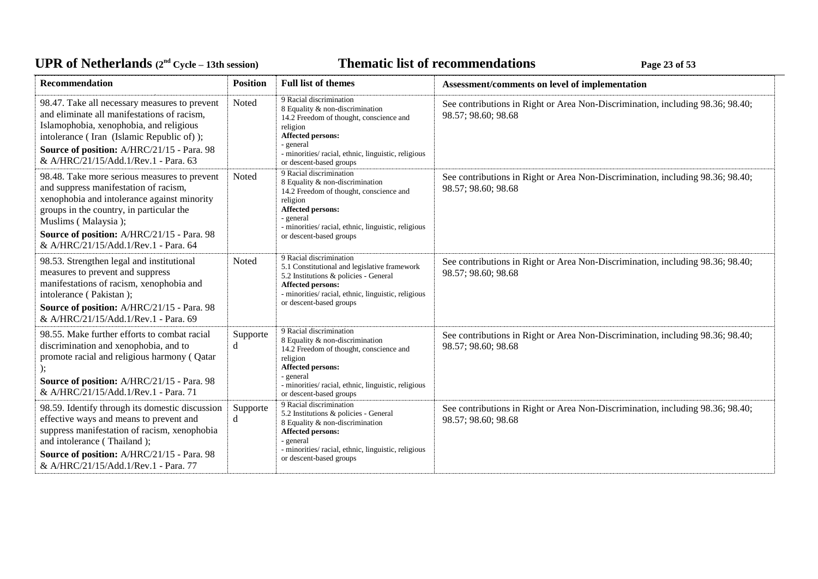# UPR of Netherlands  $(2^{nd} \text{ Cycle} - 13th \text{ session})$  **Thematic list of recommendations Page 23** of 53

| <b>Recommendation</b>                                                                                                                                                                                                                                                                         | <b>Position</b> | <b>Full list of themes</b>                                                                                                                                                                                                                   | Assessment/comments on level of implementation                                                        |
|-----------------------------------------------------------------------------------------------------------------------------------------------------------------------------------------------------------------------------------------------------------------------------------------------|-----------------|----------------------------------------------------------------------------------------------------------------------------------------------------------------------------------------------------------------------------------------------|-------------------------------------------------------------------------------------------------------|
| 98.47. Take all necessary measures to prevent<br>and eliminate all manifestations of racism,<br>Islamophobia, xenophobia, and religious<br>intolerance (Iran (Islamic Republic of));<br>Source of position: A/HRC/21/15 - Para. 98<br>& A/HRC/21/15/Add.1/Rev.1 - Para. 63                    | Noted           | 9 Racial discrimination<br>8 Equality & non-discrimination<br>14.2 Freedom of thought, conscience and<br>religion<br><b>Affected persons:</b><br>- general<br>- minorities/ racial, ethnic, linguistic, religious<br>or descent-based groups | See contributions in Right or Area Non-Discrimination, including 98.36; 98.40;<br>98.57; 98.60; 98.68 |
| 98.48. Take more serious measures to prevent<br>and suppress manifestation of racism,<br>xenophobia and intolerance against minority<br>groups in the country, in particular the<br>Muslims (Malaysia);<br>Source of position: A/HRC/21/15 - Para. 98<br>& A/HRC/21/15/Add.1/Rev.1 - Para, 64 | Noted           | 9 Racial discrimination<br>8 Equality & non-discrimination<br>14.2 Freedom of thought, conscience and<br>religion<br><b>Affected persons:</b><br>- general<br>- minorities/ racial, ethnic, linguistic, religious<br>or descent-based groups | See contributions in Right or Area Non-Discrimination, including 98.36; 98.40;<br>98.57; 98.60; 98.68 |
| 98.53. Strengthen legal and institutional<br>measures to prevent and suppress<br>manifestations of racism, xenophobia and<br>intolerance (Pakistan);<br>Source of position: A/HRC/21/15 - Para. 98<br>& A/HRC/21/15/Add.1/Rev.1 - Para. 69                                                    | Noted           | 9 Racial discrimination<br>5.1 Constitutional and legislative framework<br>5.2 Institutions & policies - General<br><b>Affected persons:</b><br>- minorities/ racial, ethnic, linguistic, religious<br>or descent-based groups               | See contributions in Right or Area Non-Discrimination, including 98.36; 98.40;<br>98.57; 98.60; 98.68 |
| 98.55. Make further efforts to combat racial<br>discrimination and xenophobia, and to<br>promote racial and religious harmony (Qatar<br>Source of position: A/HRC/21/15 - Para. 98<br>& A/HRC/21/15/Add.1/Rev.1 - Para. 71                                                                    | Supporte<br>d   | 9 Racial discrimination<br>8 Equality & non-discrimination<br>14.2 Freedom of thought, conscience and<br>religion<br><b>Affected persons:</b><br>- general<br>- minorities/ racial, ethnic, linguistic, religious<br>or descent-based groups | See contributions in Right or Area Non-Discrimination, including 98.36; 98.40;<br>98.57; 98.60; 98.68 |
| 98.59. Identify through its domestic discussion<br>effective ways and means to prevent and<br>suppress manifestation of racism, xenophobia<br>and intolerance (Thailand);<br>Source of position: A/HRC/21/15 - Para. 98<br>& A/HRC/21/15/Add.1/Rev.1 - Para. 77                               | Supporte<br>d   | 9 Racial discrimination<br>5.2 Institutions & policies - General<br>8 Equality & non-discrimination<br><b>Affected persons:</b><br>- general<br>- minorities/ racial, ethnic, linguistic, religious<br>or descent-based groups               | See contributions in Right or Area Non-Discrimination, including 98.36; 98.40;<br>98.57; 98.60; 98.68 |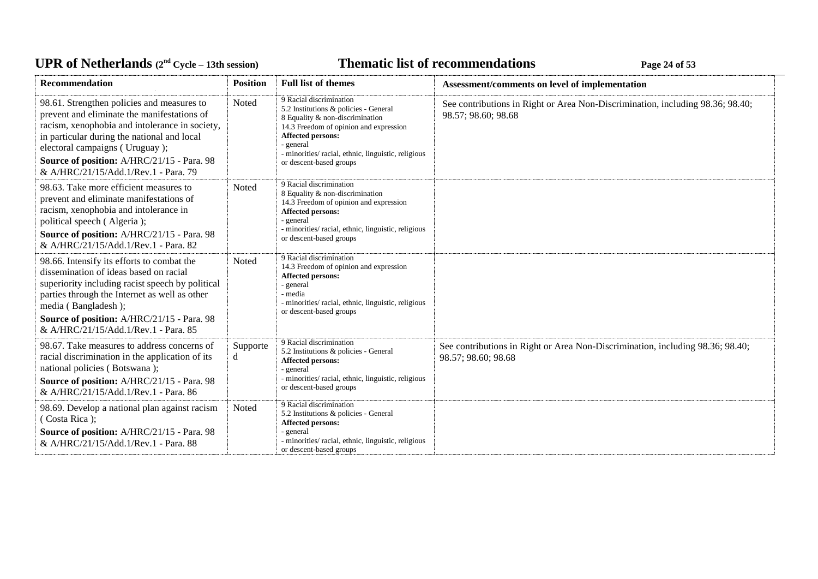# UPR of Netherlands  $(2^{nd} \text{ Cycle} - 13th \text{ session})$  **Thematic list of recommendations Page 24** of 53

| <b>Recommendation</b>                                                                                                                                                                                                                                                                                              | <b>Position</b> | <b>Full list of themes</b>                                                                                                                                                                                                                                              | Assessment/comments on level of implementation                                                        |
|--------------------------------------------------------------------------------------------------------------------------------------------------------------------------------------------------------------------------------------------------------------------------------------------------------------------|-----------------|-------------------------------------------------------------------------------------------------------------------------------------------------------------------------------------------------------------------------------------------------------------------------|-------------------------------------------------------------------------------------------------------|
| 98.61. Strengthen policies and measures to<br>prevent and eliminate the manifestations of<br>racism, xenophobia and intolerance in society,<br>in particular during the national and local<br>electoral campaigns (Uruguay);<br>Source of position: A/HRC/21/15 - Para. 98<br>& A/HRC/21/15/Add.1/Rev.1 - Para. 79 | Noted           | 9 Racial discrimination<br>5.2 Institutions & policies - General<br>8 Equality & non-discrimination<br>14.3 Freedom of opinion and expression<br><b>Affected persons:</b><br>- general<br>- minorities/racial, ethnic, linguistic, religious<br>or descent-based groups | See contributions in Right or Area Non-Discrimination, including 98.36; 98.40;<br>98.57; 98.60; 98.68 |
| 98.63. Take more efficient measures to<br>prevent and eliminate manifestations of<br>racism, xenophobia and intolerance in<br>political speech (Algeria);<br>Source of position: A/HRC/21/15 - Para. 98<br>& A/HRC/21/15/Add.1/Rev.1 - Para, 82                                                                    | Noted           | 9 Racial discrimination<br>8 Equality & non-discrimination<br>14.3 Freedom of opinion and expression<br><b>Affected persons:</b><br>- general<br>- minorities/racial, ethnic, linguistic, religious<br>or descent-based groups                                          |                                                                                                       |
| 98.66. Intensify its efforts to combat the<br>dissemination of ideas based on racial<br>superiority including racist speech by political<br>parties through the Internet as well as other<br>media (Bangladesh);<br>Source of position: A/HRC/21/15 - Para. 98<br>& A/HRC/21/15/Add.1/Rev.1 - Para. 85             | Noted           | 9 Racial discrimination<br>14.3 Freedom of opinion and expression<br><b>Affected persons:</b><br>- general<br>- media<br>- minorities/ racial, ethnic, linguistic, religious<br>or descent-based groups                                                                 |                                                                                                       |
| 98.67. Take measures to address concerns of<br>racial discrimination in the application of its<br>national policies (Botswana);<br>Source of position: A/HRC/21/15 - Para. 98<br>& A/HRC/21/15/Add.1/Rev.1 - Para. 86                                                                                              | Supporte<br>d   | 9 Racial discrimination<br>5.2 Institutions & policies - General<br><b>Affected persons:</b><br>- general<br>- minorities/racial, ethnic, linguistic, religious<br>or descent-based groups                                                                              | See contributions in Right or Area Non-Discrimination, including 98.36; 98.40;<br>98.57; 98.60; 98.68 |
| 98.69. Develop a national plan against racism<br>(Costa Rica);<br>Source of position: A/HRC/21/15 - Para. 98<br>& A/HRC/21/15/Add.1/Rev.1 - Para. 88                                                                                                                                                               | Noted           | 9 Racial discrimination<br>5.2 Institutions & policies - General<br><b>Affected persons:</b><br>- general<br>- minorities/ racial, ethnic, linguistic, religious<br>or descent-based groups                                                                             |                                                                                                       |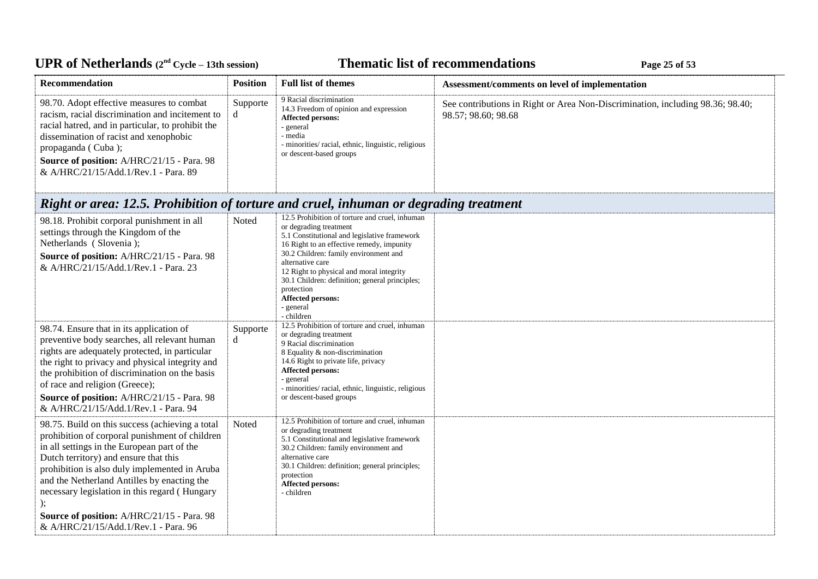# UPR of Netherlands  $(2^{nd} Cycle - 13th session)$  **Thematic list of recommendations Page 25** of 53

| Recommendation                                                                                                                                                                                                                                                                                                                                                                                                                   | <b>Position</b> | <b>Full list of themes</b>                                                                                                                                                                                                                                                                                                                                                                     | Assessment/comments on level of implementation                                                        |
|----------------------------------------------------------------------------------------------------------------------------------------------------------------------------------------------------------------------------------------------------------------------------------------------------------------------------------------------------------------------------------------------------------------------------------|-----------------|------------------------------------------------------------------------------------------------------------------------------------------------------------------------------------------------------------------------------------------------------------------------------------------------------------------------------------------------------------------------------------------------|-------------------------------------------------------------------------------------------------------|
| 98.70. Adopt effective measures to combat<br>racism, racial discrimination and incitement to<br>racial hatred, and in particular, to prohibit the<br>dissemination of racist and xenophobic<br>propaganda (Cuba);<br>Source of position: A/HRC/21/15 - Para. 98<br>& A/HRC/21/15/Add.1/Rev.1 - Para. 89                                                                                                                          | Supporte<br>d   | 9 Racial discrimination<br>14.3 Freedom of opinion and expression<br><b>Affected persons:</b><br>- general<br>- media<br>- minorities/ racial, ethnic, linguistic, religious<br>or descent-based groups                                                                                                                                                                                        | See contributions in Right or Area Non-Discrimination, including 98.36; 98.40;<br>98.57; 98.60; 98.68 |
| Right or area: 12.5. Prohibition of torture and cruel, inhuman or degrading treatment                                                                                                                                                                                                                                                                                                                                            |                 |                                                                                                                                                                                                                                                                                                                                                                                                |                                                                                                       |
| 98.18. Prohibit corporal punishment in all<br>settings through the Kingdom of the<br>Netherlands (Slovenia);<br>Source of position: A/HRC/21/15 - Para. 98<br>& A/HRC/21/15/Add.1/Rev.1 - Para. 23                                                                                                                                                                                                                               | Noted           | 12.5 Prohibition of torture and cruel, inhuman<br>or degrading treatment<br>5.1 Constitutional and legislative framework<br>16 Right to an effective remedy, impunity<br>30.2 Children: family environment and<br>alternative care<br>12 Right to physical and moral integrity<br>30.1 Children: definition; general principles;<br>protection<br>Affected persons:<br>- general<br>- children |                                                                                                       |
| 98.74. Ensure that in its application of<br>preventive body searches, all relevant human<br>rights are adequately protected, in particular<br>the right to privacy and physical integrity and<br>the prohibition of discrimination on the basis<br>of race and religion (Greece);<br>Source of position: A/HRC/21/15 - Para. 98<br>& A/HRC/21/15/Add.1/Rev.1 - Para. 94                                                          | Supporte<br>d   | 12.5 Prohibition of torture and cruel, inhuman<br>or degrading treatment<br>9 Racial discrimination<br>8 Equality & non-discrimination<br>14.6 Right to private life, privacy<br><b>Affected persons:</b><br>general<br>- minorities/racial, ethnic, linguistic, religious<br>or descent-based groups                                                                                          |                                                                                                       |
| 98.75. Build on this success (achieving a total<br>prohibition of corporal punishment of children<br>in all settings in the European part of the<br>Dutch territory) and ensure that this<br>prohibition is also duly implemented in Aruba<br>and the Netherland Antilles by enacting the<br>necessary legislation in this regard (Hungary<br>Source of position: A/HRC/21/15 - Para. 98<br>& A/HRC/21/15/Add.1/Rev.1 - Para. 96 | Noted           | 12.5 Prohibition of torture and cruel, inhuman<br>or degrading treatment<br>5.1 Constitutional and legislative framework<br>30.2 Children: family environment and<br>alternative care<br>30.1 Children: definition; general principles;<br>protection<br>Affected persons:<br>- children                                                                                                       |                                                                                                       |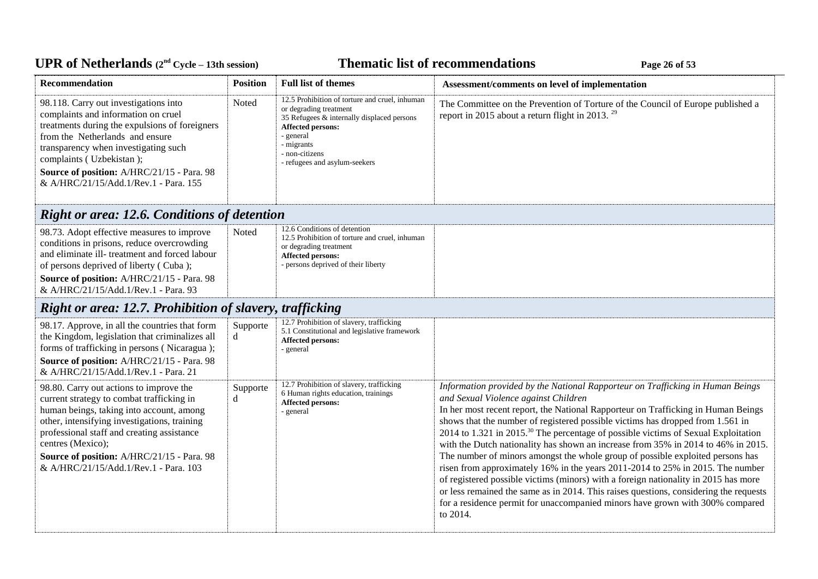# UPR of Netherlands  $(2^{nd} \text{ Cycle} - 13th \text{ session})$  **Thematic list of recommendations Page 26** of 53

| Recommendation                                                                                                                                                                                                                                                                                                                             | <b>Position</b>                                          | <b>Full list of themes</b>                                                                                                                                                                                                | Assessment/comments on level of implementation                                                                                                                                                                                                                                                                                                                                                                                                                                                                                                                                                                                                                                                                                                                                                                                                                                                                                        |  |  |  |
|--------------------------------------------------------------------------------------------------------------------------------------------------------------------------------------------------------------------------------------------------------------------------------------------------------------------------------------------|----------------------------------------------------------|---------------------------------------------------------------------------------------------------------------------------------------------------------------------------------------------------------------------------|---------------------------------------------------------------------------------------------------------------------------------------------------------------------------------------------------------------------------------------------------------------------------------------------------------------------------------------------------------------------------------------------------------------------------------------------------------------------------------------------------------------------------------------------------------------------------------------------------------------------------------------------------------------------------------------------------------------------------------------------------------------------------------------------------------------------------------------------------------------------------------------------------------------------------------------|--|--|--|
| 98.118. Carry out investigations into<br>complaints and information on cruel<br>treatments during the expulsions of foreigners<br>from the Netherlands and ensure<br>transparency when investigating such<br>complaints (Uzbekistan);<br>Source of position: A/HRC/21/15 - Para. 98<br>& A/HRC/21/15/Add.1/Rev.1 - Para. 155               | Noted                                                    | 12.5 Prohibition of torture and cruel, inhuman<br>or degrading treatment<br>35 Refugees & internally displaced persons<br>Affected persons:<br>- general<br>- migrants<br>- non-citizens<br>- refugees and asylum-seekers | The Committee on the Prevention of Torture of the Council of Europe published a<br>report in 2015 about a return flight in 2013. <sup>29</sup>                                                                                                                                                                                                                                                                                                                                                                                                                                                                                                                                                                                                                                                                                                                                                                                        |  |  |  |
| <b>Right or area: 12.6. Conditions of detention</b>                                                                                                                                                                                                                                                                                        |                                                          |                                                                                                                                                                                                                           |                                                                                                                                                                                                                                                                                                                                                                                                                                                                                                                                                                                                                                                                                                                                                                                                                                                                                                                                       |  |  |  |
| 98.73. Adopt effective measures to improve<br>conditions in prisons, reduce overcrowding<br>and eliminate ill- treatment and forced labour<br>of persons deprived of liberty (Cuba);<br>Source of position: A/HRC/21/15 - Para. 98<br>& A/HRC/21/15/Add.1/Rev.1 - Para. 93                                                                 | Noted                                                    | 12.6 Conditions of detention<br>12.5 Prohibition of torture and cruel, inhuman<br>or degrading treatment<br><b>Affected persons:</b><br>- persons deprived of their liberty                                               |                                                                                                                                                                                                                                                                                                                                                                                                                                                                                                                                                                                                                                                                                                                                                                                                                                                                                                                                       |  |  |  |
|                                                                                                                                                                                                                                                                                                                                            | Right or area: 12.7. Prohibition of slavery, trafficking |                                                                                                                                                                                                                           |                                                                                                                                                                                                                                                                                                                                                                                                                                                                                                                                                                                                                                                                                                                                                                                                                                                                                                                                       |  |  |  |
| 98.17. Approve, in all the countries that form<br>the Kingdom, legislation that criminalizes all<br>forms of trafficking in persons (Nicaragua);<br>Source of position: A/HRC/21/15 - Para. 98<br>& A/HRC/21/15/Add.1/Rev.1 - Para. 21                                                                                                     | Supporte<br>d                                            | 12.7 Prohibition of slavery, trafficking<br>5.1 Constitutional and legislative framework<br><b>Affected persons:</b><br>- general                                                                                         |                                                                                                                                                                                                                                                                                                                                                                                                                                                                                                                                                                                                                                                                                                                                                                                                                                                                                                                                       |  |  |  |
| 98.80. Carry out actions to improve the<br>current strategy to combat trafficking in<br>human beings, taking into account, among<br>other, intensifying investigations, training<br>professional staff and creating assistance<br>centres (Mexico);<br>Source of position: A/HRC/21/15 - Para. 98<br>& A/HRC/21/15/Add.1/Rev.1 - Para. 103 | Supporte<br>d                                            | 12.7 Prohibition of slavery, trafficking<br>6 Human rights education, trainings<br><b>Affected persons:</b><br>- general                                                                                                  | Information provided by the National Rapporteur on Trafficking in Human Beings<br>and Sexual Violence against Children<br>In her most recent report, the National Rapporteur on Trafficking in Human Beings<br>shows that the number of registered possible victims has dropped from 1.561 in<br>2014 to 1.321 in 2015. <sup>30</sup> The percentage of possible victims of Sexual Exploitation<br>with the Dutch nationality has shown an increase from 35% in 2014 to 46% in 2015.<br>The number of minors amongst the whole group of possible exploited persons has<br>risen from approximately 16% in the years 2011-2014 to 25% in 2015. The number<br>of registered possible victims (minors) with a foreign nationality in 2015 has more<br>or less remained the same as in 2014. This raises questions, considering the requests<br>for a residence permit for unaccompanied minors have grown with 300% compared<br>to 2014. |  |  |  |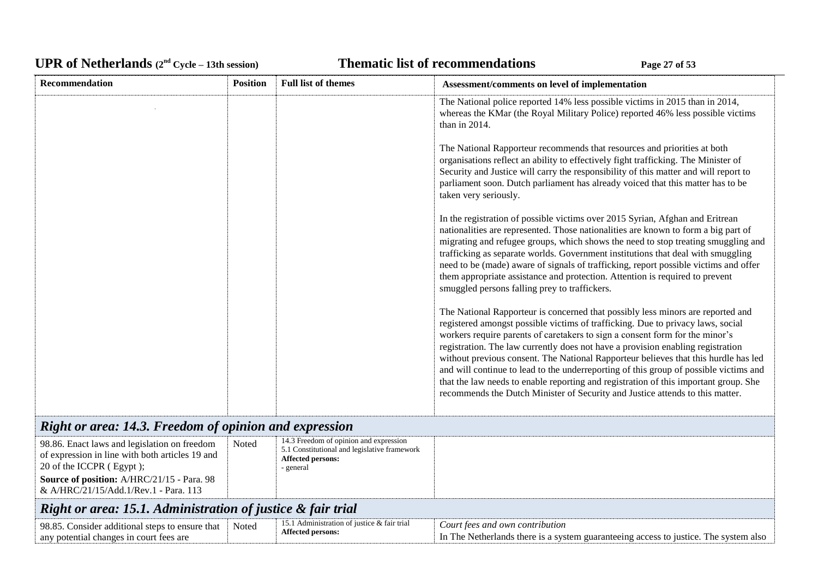## UPR of Netherlands  $(2^{nd} \text{ Cycle} - 13th \text{ session})$  **Thematic list of recommendations Page 27** of 53

| Recommendation                                                                                                                                                                                                     | <b>Position</b> | <b>Full list of themes</b>                                                                                               | Assessment/comments on level of implementation                                                                                                                                                                                                                                                                                                                                                                                                                                                                                                                                                                                                                                                 |
|--------------------------------------------------------------------------------------------------------------------------------------------------------------------------------------------------------------------|-----------------|--------------------------------------------------------------------------------------------------------------------------|------------------------------------------------------------------------------------------------------------------------------------------------------------------------------------------------------------------------------------------------------------------------------------------------------------------------------------------------------------------------------------------------------------------------------------------------------------------------------------------------------------------------------------------------------------------------------------------------------------------------------------------------------------------------------------------------|
|                                                                                                                                                                                                                    |                 |                                                                                                                          | The National police reported 14% less possible victims in 2015 than in 2014,<br>whereas the KMar (the Royal Military Police) reported 46% less possible victims<br>than in 2014.                                                                                                                                                                                                                                                                                                                                                                                                                                                                                                               |
|                                                                                                                                                                                                                    |                 |                                                                                                                          | The National Rapporteur recommends that resources and priorities at both<br>organisations reflect an ability to effectively fight trafficking. The Minister of<br>Security and Justice will carry the responsibility of this matter and will report to<br>parliament soon. Dutch parliament has already voiced that this matter has to be<br>taken very seriously.                                                                                                                                                                                                                                                                                                                             |
|                                                                                                                                                                                                                    |                 |                                                                                                                          | In the registration of possible victims over 2015 Syrian, Afghan and Eritrean<br>nationalities are represented. Those nationalities are known to form a big part of<br>migrating and refugee groups, which shows the need to stop treating smuggling and<br>trafficking as separate worlds. Government institutions that deal with smuggling<br>need to be (made) aware of signals of trafficking, report possible victims and offer<br>them appropriate assistance and protection. Attention is required to prevent<br>smuggled persons falling prey to traffickers.                                                                                                                          |
|                                                                                                                                                                                                                    |                 |                                                                                                                          | The National Rapporteur is concerned that possibly less minors are reported and<br>registered amongst possible victims of trafficking. Due to privacy laws, social<br>workers require parents of caretakers to sign a consent form for the minor's<br>registration. The law currently does not have a provision enabling registration<br>without previous consent. The National Rapporteur believes that this hurdle has led<br>and will continue to lead to the underreporting of this group of possible victims and<br>that the law needs to enable reporting and registration of this important group. She<br>recommends the Dutch Minister of Security and Justice attends to this matter. |
| Right or area: 14.3. Freedom of opinion and expression                                                                                                                                                             |                 |                                                                                                                          |                                                                                                                                                                                                                                                                                                                                                                                                                                                                                                                                                                                                                                                                                                |
| 98.86. Enact laws and legislation on freedom<br>of expression in line with both articles 19 and<br>20 of the ICCPR (Egypt);<br>Source of position: A/HRC/21/15 - Para. 98<br>& A/HRC/21/15/Add.1/Rev.1 - Para. 113 | Noted           | 14.3 Freedom of opinion and expression<br>5.1 Constitutional and legislative framework<br>Affected persons:<br>- general |                                                                                                                                                                                                                                                                                                                                                                                                                                                                                                                                                                                                                                                                                                |
| Right or area: 15.1. Administration of justice & fair trial                                                                                                                                                        |                 |                                                                                                                          |                                                                                                                                                                                                                                                                                                                                                                                                                                                                                                                                                                                                                                                                                                |
| 98.85. Consider additional steps to ensure that<br>any potential changes in court fees are                                                                                                                         | Noted           | 15.1 Administration of justice & fair trial<br><b>Affected persons:</b>                                                  | Court fees and own contribution<br>In The Netherlands there is a system guaranteeing access to justice. The system also                                                                                                                                                                                                                                                                                                                                                                                                                                                                                                                                                                        |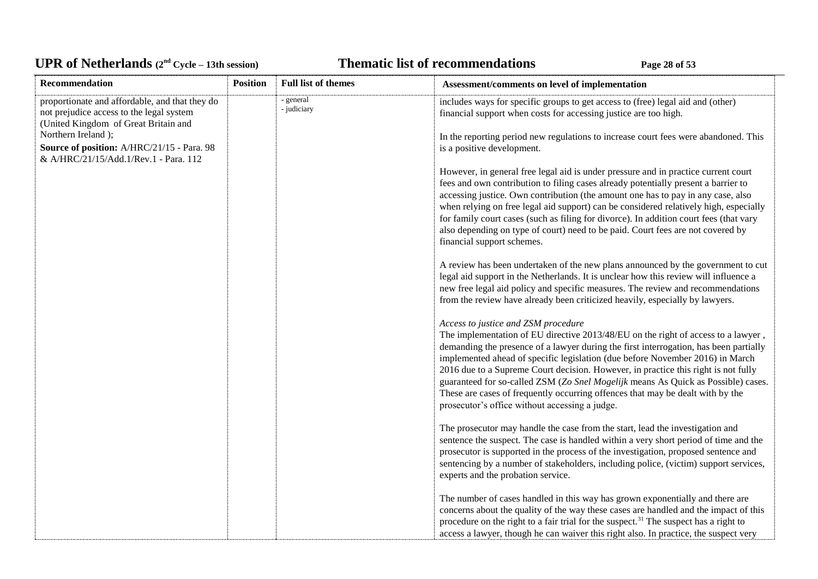# UPR of Netherlands  $(2^{nd} \text{ Cycle} - 13th \text{ session})$  **Thematic list of recommendations Page 28** of 53

| Recommendation                                                                                                                     | <b>Position</b> | <b>Full list of themes</b> | Assessment/comments on level of implementation                                                                                                                                                                                                                                                                                                                                                                                                                                                                                                                                                                    |
|------------------------------------------------------------------------------------------------------------------------------------|-----------------|----------------------------|-------------------------------------------------------------------------------------------------------------------------------------------------------------------------------------------------------------------------------------------------------------------------------------------------------------------------------------------------------------------------------------------------------------------------------------------------------------------------------------------------------------------------------------------------------------------------------------------------------------------|
| proportionate and affordable, and that they do<br>not prejudice access to the legal system<br>(United Kingdom of Great Britain and |                 | - general<br>- judiciary   | includes ways for specific groups to get access to (free) legal aid and (other)<br>financial support when costs for accessing justice are too high.                                                                                                                                                                                                                                                                                                                                                                                                                                                               |
| Northern Ireland);<br>Source of position: A/HRC/21/15 - Para. 98<br>& A/HRC/21/15/Add.1/Rev.1 - Para. 112                          |                 |                            | In the reporting period new regulations to increase court fees were abandoned. This<br>is a positive development.                                                                                                                                                                                                                                                                                                                                                                                                                                                                                                 |
|                                                                                                                                    |                 |                            | However, in general free legal aid is under pressure and in practice current court<br>fees and own contribution to filing cases already potentially present a barrier to<br>accessing justice. Own contribution (the amount one has to pay in any case, also<br>when relying on free legal aid support) can be considered relatively high, especially<br>for family court cases (such as filing for divorce). In addition court fees (that vary<br>also depending on type of court) need to be paid. Court fees are not covered by<br>financial support schemes.                                                  |
|                                                                                                                                    |                 |                            | A review has been undertaken of the new plans announced by the government to cut<br>legal aid support in the Netherlands. It is unclear how this review will influence a<br>new free legal aid policy and specific measures. The review and recommendations<br>from the review have already been criticized heavily, especially by lawyers.                                                                                                                                                                                                                                                                       |
|                                                                                                                                    |                 |                            | Access to justice and ZSM procedure<br>The implementation of EU directive 2013/48/EU on the right of access to a lawyer,<br>demanding the presence of a lawyer during the first interrogation, has been partially<br>implemented ahead of specific legislation (due before November 2016) in March<br>2016 due to a Supreme Court decision. However, in practice this right is not fully<br>guaranteed for so-called ZSM (Zo Snel Mogelijk means As Quick as Possible) cases.<br>These are cases of frequently occurring offences that may be dealt with by the<br>prosecutor's office without accessing a judge. |
|                                                                                                                                    |                 |                            | The prosecutor may handle the case from the start, lead the investigation and<br>sentence the suspect. The case is handled within a very short period of time and the<br>prosecutor is supported in the process of the investigation, proposed sentence and<br>sentencing by a number of stakeholders, including police, (victim) support services,<br>experts and the probation service.                                                                                                                                                                                                                         |
|                                                                                                                                    |                 |                            | The number of cases handled in this way has grown exponentially and there are<br>concerns about the quality of the way these cases are handled and the impact of this<br>procedure on the right to a fair trial for the suspect. <sup>31</sup> The suspect has a right to<br>access a lawyer, though he can waiver this right also. In practice, the suspect very                                                                                                                                                                                                                                                 |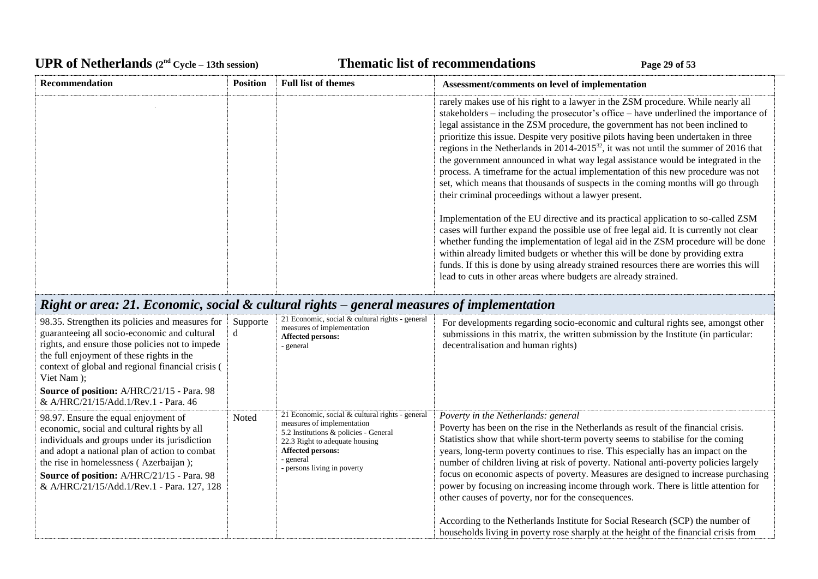## UPR of Netherlands  $(2^{nd} \text{ Cycle} - 13th \text{ session})$  **Thematic list of recommendations Page 29** of 53

| <b>Recommendation</b> | <b>Position</b> | <b>Full list of themes</b> | Assessment/comments on level of implementation                                                                                                                                                                                                                                                                                                                                                                                                                                                                                                                                                                                                                                                                                                                            |
|-----------------------|-----------------|----------------------------|---------------------------------------------------------------------------------------------------------------------------------------------------------------------------------------------------------------------------------------------------------------------------------------------------------------------------------------------------------------------------------------------------------------------------------------------------------------------------------------------------------------------------------------------------------------------------------------------------------------------------------------------------------------------------------------------------------------------------------------------------------------------------|
|                       |                 |                            | rarely makes use of his right to a lawyer in the ZSM procedure. While nearly all<br>stakeholders – including the prosecutor's office – have underlined the importance of<br>legal assistance in the ZSM procedure, the government has not been inclined to<br>prioritize this issue. Despite very positive pilots having been undertaken in three<br>regions in the Netherlands in 2014-2015 <sup>32</sup> , it was not until the summer of 2016 that<br>the government announced in what way legal assistance would be integrated in the<br>process. A timeframe for the actual implementation of this new procedure was not<br>set, which means that thousands of suspects in the coming months will go through<br>their criminal proceedings without a lawyer present. |
|                       |                 |                            | Implementation of the EU directive and its practical application to so-called ZSM<br>cases will further expand the possible use of free legal aid. It is currently not clear<br>whether funding the implementation of legal aid in the ZSM procedure will be done<br>within already limited budgets or whether this will be done by providing extra<br>funds. If this is done by using already strained resources there are worries this will<br>lead to cuts in other areas where budgets are already strained.                                                                                                                                                                                                                                                          |

# *Right or area: 21. Economic, social & cultural rights – general measures of implementation*

| 98.35. Strengthen its policies and measures for<br>guaranteeing all socio-economic and cultural<br>rights, and ensure those policies not to impede<br>the full enjoyment of these rights in the<br>context of global and regional financial crisis (<br>Viet Nam );                                                                | Supporte<br>d | 21 Economic, social & cultural rights - general<br>measures of implementation<br>Affected persons:<br>- general                                                                                                                  | For developments regarding socio-economic and cultural rights see, amongst other<br>submissions in this matrix, the written submission by the Institute (in particular:<br>decentralisation and human rights)                                                                                                                                                                                                                                                                                                                                                                                                              |
|------------------------------------------------------------------------------------------------------------------------------------------------------------------------------------------------------------------------------------------------------------------------------------------------------------------------------------|---------------|----------------------------------------------------------------------------------------------------------------------------------------------------------------------------------------------------------------------------------|----------------------------------------------------------------------------------------------------------------------------------------------------------------------------------------------------------------------------------------------------------------------------------------------------------------------------------------------------------------------------------------------------------------------------------------------------------------------------------------------------------------------------------------------------------------------------------------------------------------------------|
| Source of position: A/HRC/21/15 - Para. 98<br>& A/HRC/21/15/Add.1/Rev.1 - Para. 46                                                                                                                                                                                                                                                 |               |                                                                                                                                                                                                                                  |                                                                                                                                                                                                                                                                                                                                                                                                                                                                                                                                                                                                                            |
| 98.97. Ensure the equal enjoyment of<br>economic, social and cultural rights by all<br>individuals and groups under its jurisdiction<br>and adopt a national plan of action to combat<br>the rise in homelessness (Azerbaijan);<br><b>Source of position:</b> A/HRC/21/15 - Para. 98<br>& A/HRC/21/15/Add.1/Rev.1 - Para. 127, 128 | Noted         | 21 Economic, social & cultural rights - general<br>measures of implementation<br>5.2 Institutions & policies - General<br>22.3 Right to adequate housing<br><b>Affected persons:</b><br>- general<br>- persons living in poverty | Poverty in the Netherlands: general<br>Poverty has been on the rise in the Netherlands as result of the financial crisis.<br>Statistics show that while short-term poverty seems to stabilise for the coming<br>years, long-term poverty continues to rise. This especially has an impact on the<br>number of children living at risk of poverty. National anti-poverty policies largely<br>focus on economic aspects of poverty. Measures are designed to increase purchasing<br>power by focusing on increasing income through work. There is little attention for<br>other causes of poverty, nor for the consequences. |
|                                                                                                                                                                                                                                                                                                                                    |               |                                                                                                                                                                                                                                  | According to the Netherlands Institute for Social Research (SCP) the number of<br>households living in poverty rose sharply at the height of the financial crisis from                                                                                                                                                                                                                                                                                                                                                                                                                                                     |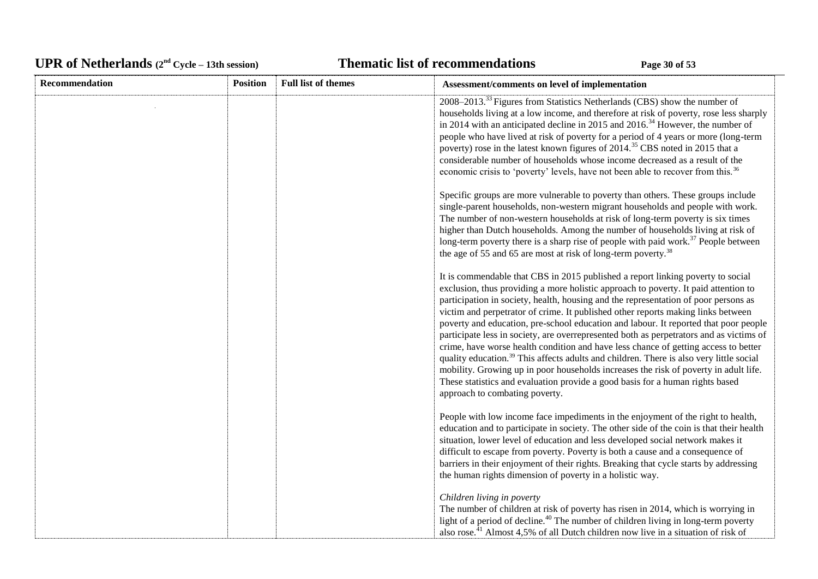# UPR of Netherlands  $(2^{nd} \text{ Cycle} - 13th \text{ session})$  **Thematic list of recommendations Page 30** of 53

| <b>Recommendation</b> | <b>Position</b> | <b>Full list of themes</b> | Assessment/comments on level of implementation                                                                                                                                                                                                                                                                                                                                                                                                                                                                                                                                                                                                                                                                                                                                                                                                                                                                                                |
|-----------------------|-----------------|----------------------------|-----------------------------------------------------------------------------------------------------------------------------------------------------------------------------------------------------------------------------------------------------------------------------------------------------------------------------------------------------------------------------------------------------------------------------------------------------------------------------------------------------------------------------------------------------------------------------------------------------------------------------------------------------------------------------------------------------------------------------------------------------------------------------------------------------------------------------------------------------------------------------------------------------------------------------------------------|
|                       |                 |                            | 2008–2013. <sup>33</sup> Figures from Statistics Netherlands (CBS) show the number of<br>households living at a low income, and therefore at risk of poverty, rose less sharply<br>in 2014 with an anticipated decline in 2015 and $2016^{34}$ However, the number of<br>people who have lived at risk of poverty for a period of 4 years or more (long-term<br>poverty) rose in the latest known figures of 2014. <sup>35</sup> CBS noted in 2015 that a<br>considerable number of households whose income decreased as a result of the<br>economic crisis to 'poverty' levels, have not been able to recover from this. <sup>36</sup>                                                                                                                                                                                                                                                                                                       |
|                       |                 |                            | Specific groups are more vulnerable to poverty than others. These groups include<br>single-parent households, non-western migrant households and people with work.<br>The number of non-western households at risk of long-term poverty is six times<br>higher than Dutch households. Among the number of households living at risk of<br>long-term poverty there is a sharp rise of people with paid work. <sup>37</sup> People between<br>the age of 55 and 65 are most at risk of long-term poverty. <sup>38</sup>                                                                                                                                                                                                                                                                                                                                                                                                                         |
|                       |                 |                            | It is commendable that CBS in 2015 published a report linking poverty to social<br>exclusion, thus providing a more holistic approach to poverty. It paid attention to<br>participation in society, health, housing and the representation of poor persons as<br>victim and perpetrator of crime. It published other reports making links between<br>poverty and education, pre-school education and labour. It reported that poor people<br>participate less in society, are overrepresented both as perpetrators and as victims of<br>crime, have worse health condition and have less chance of getting access to better<br>quality education. <sup>39</sup> This affects adults and children. There is also very little social<br>mobility. Growing up in poor households increases the risk of poverty in adult life.<br>These statistics and evaluation provide a good basis for a human rights based<br>approach to combating poverty. |
|                       |                 |                            | People with low income face impediments in the enjoyment of the right to health,<br>education and to participate in society. The other side of the coin is that their health<br>situation, lower level of education and less developed social network makes it<br>difficult to escape from poverty. Poverty is both a cause and a consequence of<br>barriers in their enjoyment of their rights. Breaking that cycle starts by addressing<br>the human rights dimension of poverty in a holistic way.                                                                                                                                                                                                                                                                                                                                                                                                                                         |
|                       |                 |                            | Children living in poverty<br>The number of children at risk of poverty has risen in 2014, which is worrying in<br>light of a period of decline. <sup>40</sup> The number of children living in long-term poverty<br>also rose. <sup>41</sup> Almost 4,5% of all Dutch children now live in a situation of risk of                                                                                                                                                                                                                                                                                                                                                                                                                                                                                                                                                                                                                            |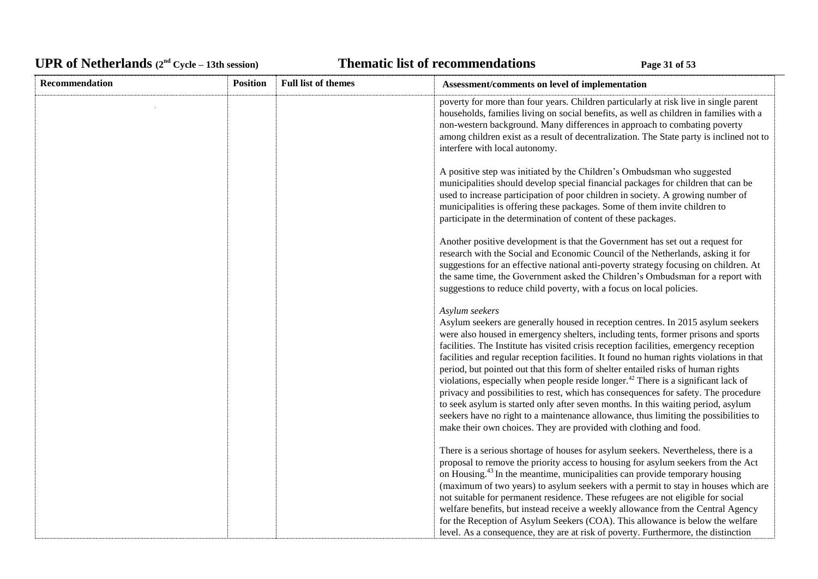# UPR of Netherlands  $(2^{nd} \text{ Cycle} - 13th \text{ session})$  **Thematic list of recommendations Page 31** of 53

| Recommendation | <b>Position</b> | <b>Full list of themes</b> | Assessment/comments on level of implementation                                                                                                                                                                                                                                                                                                                                                                                                                                                                                                                                                                                                                                                                                                                                                                                                                                                                |
|----------------|-----------------|----------------------------|---------------------------------------------------------------------------------------------------------------------------------------------------------------------------------------------------------------------------------------------------------------------------------------------------------------------------------------------------------------------------------------------------------------------------------------------------------------------------------------------------------------------------------------------------------------------------------------------------------------------------------------------------------------------------------------------------------------------------------------------------------------------------------------------------------------------------------------------------------------------------------------------------------------|
|                |                 |                            | poverty for more than four years. Children particularly at risk live in single parent<br>households, families living on social benefits, as well as children in families with a<br>non-western background. Many differences in approach to combating poverty<br>among children exist as a result of decentralization. The State party is inclined not to<br>interfere with local autonomy.                                                                                                                                                                                                                                                                                                                                                                                                                                                                                                                    |
|                |                 |                            | A positive step was initiated by the Children's Ombudsman who suggested<br>municipalities should develop special financial packages for children that can be<br>used to increase participation of poor children in society. A growing number of<br>municipalities is offering these packages. Some of them invite children to<br>participate in the determination of content of these packages.                                                                                                                                                                                                                                                                                                                                                                                                                                                                                                               |
|                |                 |                            | Another positive development is that the Government has set out a request for<br>research with the Social and Economic Council of the Netherlands, asking it for<br>suggestions for an effective national anti-poverty strategy focusing on children. At<br>the same time, the Government asked the Children's Ombudsman for a report with<br>suggestions to reduce child poverty, with a focus on local policies.                                                                                                                                                                                                                                                                                                                                                                                                                                                                                            |
|                |                 |                            | Asylum seekers<br>Asylum seekers are generally housed in reception centres. In 2015 asylum seekers<br>were also housed in emergency shelters, including tents, former prisons and sports<br>facilities. The Institute has visited crisis reception facilities, emergency reception<br>facilities and regular reception facilities. It found no human rights violations in that<br>period, but pointed out that this form of shelter entailed risks of human rights<br>violations, especially when people reside longer. <sup>42</sup> There is a significant lack of<br>privacy and possibilities to rest, which has consequences for safety. The procedure<br>to seek asylum is started only after seven months. In this waiting period, asylum<br>seekers have no right to a maintenance allowance, thus limiting the possibilities to<br>make their own choices. They are provided with clothing and food. |
|                |                 |                            | There is a serious shortage of houses for asylum seekers. Nevertheless, there is a<br>proposal to remove the priority access to housing for asylum seekers from the Act<br>on Housing. <sup>43</sup> In the meantime, municipalities can provide temporary housing<br>(maximum of two years) to asylum seekers with a permit to stay in houses which are<br>not suitable for permanent residence. These refugees are not eligible for social<br>welfare benefits, but instead receive a weekly allowance from the Central Agency<br>for the Reception of Asylum Seekers (COA). This allowance is below the welfare<br>level. As a consequence, they are at risk of poverty. Furthermore, the distinction                                                                                                                                                                                                      |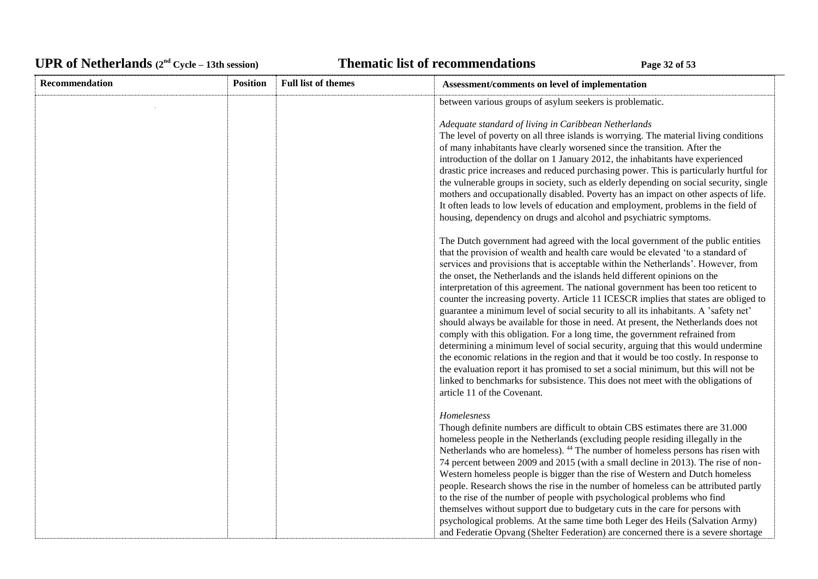# UPR of Netherlands  $(2^{nd} \text{ Cycle} - 13th \text{ session})$  **Thematic list of recommendations Page 32** of 53

| Recommendation | <b>Position</b> | <b>Full list of themes</b> | Assessment/comments on level of implementation                                                                                                                                                                                                                                                                                                                                                                                                                                                                                                                                                                                                                                                                                                                                                                                                                                                                                                                                                                                                                                                                                                                          |
|----------------|-----------------|----------------------------|-------------------------------------------------------------------------------------------------------------------------------------------------------------------------------------------------------------------------------------------------------------------------------------------------------------------------------------------------------------------------------------------------------------------------------------------------------------------------------------------------------------------------------------------------------------------------------------------------------------------------------------------------------------------------------------------------------------------------------------------------------------------------------------------------------------------------------------------------------------------------------------------------------------------------------------------------------------------------------------------------------------------------------------------------------------------------------------------------------------------------------------------------------------------------|
|                |                 |                            | between various groups of asylum seekers is problematic.                                                                                                                                                                                                                                                                                                                                                                                                                                                                                                                                                                                                                                                                                                                                                                                                                                                                                                                                                                                                                                                                                                                |
|                |                 |                            | Adequate standard of living in Caribbean Netherlands<br>The level of poverty on all three islands is worrying. The material living conditions<br>of many inhabitants have clearly worsened since the transition. After the<br>introduction of the dollar on 1 January 2012, the inhabitants have experienced<br>drastic price increases and reduced purchasing power. This is particularly hurtful for<br>the vulnerable groups in society, such as elderly depending on social security, single<br>mothers and occupationally disabled. Poverty has an impact on other aspects of life.<br>It often leads to low levels of education and employment, problems in the field of<br>housing, dependency on drugs and alcohol and psychiatric symptoms.                                                                                                                                                                                                                                                                                                                                                                                                                    |
|                |                 |                            | The Dutch government had agreed with the local government of the public entities<br>that the provision of wealth and health care would be elevated 'to a standard of<br>services and provisions that is acceptable within the Netherlands'. However, from<br>the onset, the Netherlands and the islands held different opinions on the<br>interpretation of this agreement. The national government has been too reticent to<br>counter the increasing poverty. Article 11 ICESCR implies that states are obliged to<br>guarantee a minimum level of social security to all its inhabitants. A 'safety net'<br>should always be available for those in need. At present, the Netherlands does not<br>comply with this obligation. For a long time, the government refrained from<br>determining a minimum level of social security, arguing that this would undermine<br>the economic relations in the region and that it would be too costly. In response to<br>the evaluation report it has promised to set a social minimum, but this will not be<br>linked to benchmarks for subsistence. This does not meet with the obligations of<br>article 11 of the Covenant. |
|                |                 |                            | Homelesness<br>Though definite numbers are difficult to obtain CBS estimates there are 31.000<br>homeless people in the Netherlands (excluding people residing illegally in the<br>Netherlands who are homeless). <sup>44</sup> The number of homeless persons has risen with<br>74 percent between 2009 and 2015 (with a small decline in 2013). The rise of non-<br>Western homeless people is bigger than the rise of Western and Dutch homeless<br>people. Research shows the rise in the number of homeless can be attributed partly<br>to the rise of the number of people with psychological problems who find<br>themselves without support due to budgetary cuts in the care for persons with<br>psychological problems. At the same time both Leger des Heils (Salvation Army)<br>and Federatie Opvang (Shelter Federation) are concerned there is a severe shortage                                                                                                                                                                                                                                                                                          |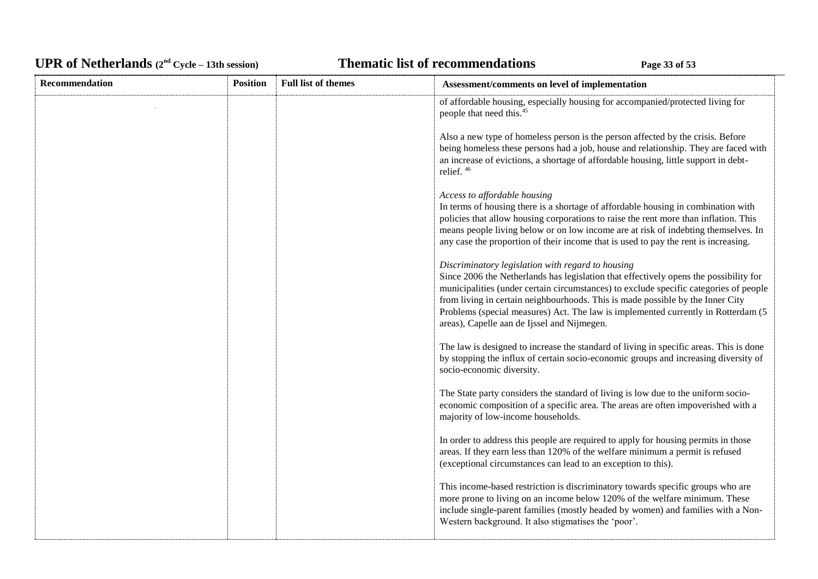# UPR of Netherlands  $(2^{nd} Cycle - 13th session)$  **Thematic list of recommendations Page 33** of 53

| <b>Recommendation</b> | <b>Position</b> | <b>Full list of themes</b> | Assessment/comments on level of implementation                                                                                                                                                                                                                                                                                                                                                                                                            |
|-----------------------|-----------------|----------------------------|-----------------------------------------------------------------------------------------------------------------------------------------------------------------------------------------------------------------------------------------------------------------------------------------------------------------------------------------------------------------------------------------------------------------------------------------------------------|
|                       |                 |                            | of affordable housing, especially housing for accompanied/protected living for<br>people that need this. <sup>45</sup>                                                                                                                                                                                                                                                                                                                                    |
|                       |                 |                            | Also a new type of homeless person is the person affected by the crisis. Before<br>being homeless these persons had a job, house and relationship. They are faced with<br>an increase of evictions, a shortage of affordable housing, little support in debt-<br>relief. <sup>46</sup>                                                                                                                                                                    |
|                       |                 |                            | Access to affordable housing<br>In terms of housing there is a shortage of affordable housing in combination with<br>policies that allow housing corporations to raise the rent more than inflation. This<br>means people living below or on low income are at risk of indebting themselves. In<br>any case the proportion of their income that is used to pay the rent is increasing.                                                                    |
|                       |                 |                            | Discriminatory legislation with regard to housing<br>Since 2006 the Netherlands has legislation that effectively opens the possibility for<br>municipalities (under certain circumstances) to exclude specific categories of people<br>from living in certain neighbourhoods. This is made possible by the Inner City<br>Problems (special measures) Act. The law is implemented currently in Rotterdam (5<br>areas), Capelle aan de Ijssel and Nijmegen. |
|                       |                 |                            | The law is designed to increase the standard of living in specific areas. This is done<br>by stopping the influx of certain socio-economic groups and increasing diversity of<br>socio-economic diversity.                                                                                                                                                                                                                                                |
|                       |                 |                            | The State party considers the standard of living is low due to the uniform socio-<br>economic composition of a specific area. The areas are often impoverished with a<br>majority of low-income households.                                                                                                                                                                                                                                               |
|                       |                 |                            | In order to address this people are required to apply for housing permits in those<br>areas. If they earn less than 120% of the welfare minimum a permit is refused<br>(exceptional circumstances can lead to an exception to this).                                                                                                                                                                                                                      |
|                       |                 |                            | This income-based restriction is discriminatory towards specific groups who are<br>more prone to living on an income below 120% of the welfare minimum. These<br>include single-parent families (mostly headed by women) and families with a Non-<br>Western background. It also stigmatises the 'poor'.                                                                                                                                                  |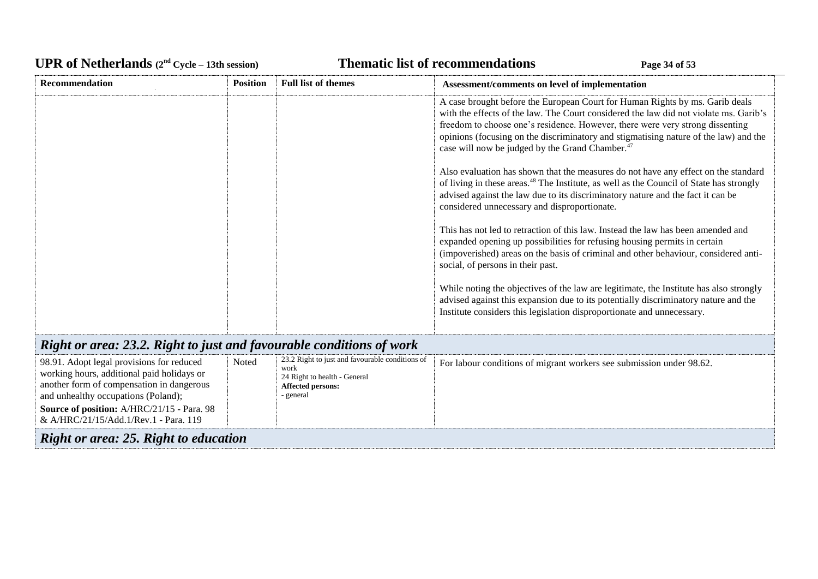# UPR of Netherlands  $(2^{nd} \text{ Cycle} - 13th \text{ session})$  **Thematic list of recommendations Page 34** of 53

| Recommendation                                                                                                                                                                                                                                                     | <b>Position</b> | <b>Full list of themes</b>                                                                                                       | Assessment/comments on level of implementation                                                                                                                                                                                                                                                                                                                                                                |
|--------------------------------------------------------------------------------------------------------------------------------------------------------------------------------------------------------------------------------------------------------------------|-----------------|----------------------------------------------------------------------------------------------------------------------------------|---------------------------------------------------------------------------------------------------------------------------------------------------------------------------------------------------------------------------------------------------------------------------------------------------------------------------------------------------------------------------------------------------------------|
|                                                                                                                                                                                                                                                                    |                 |                                                                                                                                  | A case brought before the European Court for Human Rights by ms. Garib deals<br>with the effects of the law. The Court considered the law did not violate ms. Garib's<br>freedom to choose one's residence. However, there were very strong dissenting<br>opinions (focusing on the discriminatory and stigmatising nature of the law) and the<br>case will now be judged by the Grand Chamber. <sup>47</sup> |
|                                                                                                                                                                                                                                                                    |                 |                                                                                                                                  | Also evaluation has shown that the measures do not have any effect on the standard<br>of living in these areas. <sup>48</sup> The Institute, as well as the Council of State has strongly<br>advised against the law due to its discriminatory nature and the fact it can be<br>considered unnecessary and disproportionate.                                                                                  |
|                                                                                                                                                                                                                                                                    |                 |                                                                                                                                  | This has not led to retraction of this law. Instead the law has been amended and<br>expanded opening up possibilities for refusing housing permits in certain<br>(impoverished) areas on the basis of criminal and other behaviour, considered anti-<br>social, of persons in their past.                                                                                                                     |
|                                                                                                                                                                                                                                                                    |                 |                                                                                                                                  | While noting the objectives of the law are legitimate, the Institute has also strongly<br>advised against this expansion due to its potentially discriminatory nature and the<br>Institute considers this legislation disproportionate and unnecessary.                                                                                                                                                       |
| Right or area: 23.2. Right to just and favourable conditions of work                                                                                                                                                                                               |                 |                                                                                                                                  |                                                                                                                                                                                                                                                                                                                                                                                                               |
| 98.91. Adopt legal provisions for reduced<br>working hours, additional paid holidays or<br>another form of compensation in dangerous<br>and unhealthy occupations (Poland);<br>Source of position: A/HRC/21/15 - Para. 98<br>& A/HRC/21/15/Add.1/Rev.1 - Para. 119 | Noted           | 23.2 Right to just and favourable conditions of<br>work<br>24 Right to health - General<br><b>Affected persons:</b><br>- general | For labour conditions of migrant workers see submission under 98.62.                                                                                                                                                                                                                                                                                                                                          |
| <b>Right or area: 25. Right to education</b>                                                                                                                                                                                                                       |                 |                                                                                                                                  |                                                                                                                                                                                                                                                                                                                                                                                                               |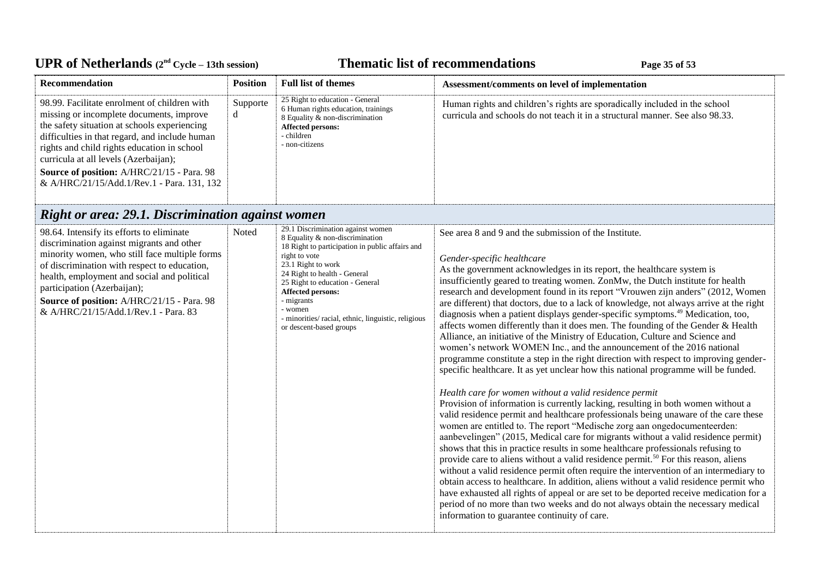## UPR of Netherlands  $(2^{nd} \text{ Cycle} - 13th \text{ session})$  **Thematic list of recommendations Page 35** of 53

| <b>Recommendation</b>                                                                                                                                                                                                                                                                                                                                                                 | <b>Position</b> | <b>Full list of themes</b>                                                                                                                                            | Assessment/comments on level of implementation                                                                                                              |
|---------------------------------------------------------------------------------------------------------------------------------------------------------------------------------------------------------------------------------------------------------------------------------------------------------------------------------------------------------------------------------------|-----------------|-----------------------------------------------------------------------------------------------------------------------------------------------------------------------|-------------------------------------------------------------------------------------------------------------------------------------------------------------|
| 98.99. Facilitate enrolment of children with<br>missing or incomplete documents, improve<br>the safety situation at schools experiencing<br>difficulties in that regard, and include human<br>rights and child rights education in school<br>curricula at all levels (Azerbaijan);<br><b>Source of position:</b> A/HRC/21/15 - Para. 98<br>& A/HRC/21/15/Add.1/Rev.1 - Para. 131, 132 | Supporte<br>α   | 25 Right to education - General<br>6 Human rights education, trainings<br>8 Equality & non-discrimination<br><b>Affected persons:</b><br>- children<br>- non-citizens | Human rights and children's rights are sporadically included in the school<br>curricula and schools do not teach it in a structural manner. See also 98.33. |

# *Right or area: 29.1. Discrimination against women*

| 98.64. Intensify its efforts to eliminate<br>discrimination against migrants and other<br>minority women, who still face multiple forms<br>of discrimination with respect to education,<br>health, employment and social and political<br>participation (Azerbaijan);<br>Source of position: A/HRC/21/15 - Para. 98<br>& A/HRC/21/15/Add.1/Rev.1 - Para. 83 | Noted | 29.1 Discrimination against women<br>8 Equality & non-discrimination<br>18 Right to participation in public affairs and<br>right to vote<br>23.1 Right to work<br>24 Right to health - General<br>25 Right to education - General<br><b>Affected persons:</b><br>- migrants<br>- women<br>- minorities/ racial, ethnic, linguistic, religious<br>or descent-based groups | See area 8 and 9 and the submission of the Institute.<br>Gender-specific healthcare<br>As the government acknowledges in its report, the healthcare system is<br>insufficiently geared to treating women. ZonMw, the Dutch institute for health<br>research and development found in its report "Vrouwen zijn anders" (2012, Women<br>are different) that doctors, due to a lack of knowledge, not always arrive at the right<br>diagnosis when a patient displays gender-specific symptoms. <sup>49</sup> Medication, too,<br>affects women differently than it does men. The founding of the Gender & Health<br>Alliance, an initiative of the Ministry of Education, Culture and Science and<br>women's network WOMEN Inc., and the announcement of the 2016 national<br>programme constitute a step in the right direction with respect to improving gender-<br>specific healthcare. It as yet unclear how this national programme will be funded.                                                  |
|-------------------------------------------------------------------------------------------------------------------------------------------------------------------------------------------------------------------------------------------------------------------------------------------------------------------------------------------------------------|-------|--------------------------------------------------------------------------------------------------------------------------------------------------------------------------------------------------------------------------------------------------------------------------------------------------------------------------------------------------------------------------|---------------------------------------------------------------------------------------------------------------------------------------------------------------------------------------------------------------------------------------------------------------------------------------------------------------------------------------------------------------------------------------------------------------------------------------------------------------------------------------------------------------------------------------------------------------------------------------------------------------------------------------------------------------------------------------------------------------------------------------------------------------------------------------------------------------------------------------------------------------------------------------------------------------------------------------------------------------------------------------------------------|
|                                                                                                                                                                                                                                                                                                                                                             |       |                                                                                                                                                                                                                                                                                                                                                                          | Health care for women without a valid residence permit<br>Provision of information is currently lacking, resulting in both women without a<br>valid residence permit and healthcare professionals being unaware of the care these<br>women are entitled to. The report "Medische zorg aan ongedocumenteerden:<br>aanbevelingen" (2015, Medical care for migrants without a valid residence permit)<br>shows that this in practice results in some healthcare professionals refusing to<br>provide care to aliens without a valid residence permit. <sup>50</sup> For this reason, aliens<br>without a valid residence permit often require the intervention of an intermediary to<br>obtain access to healthcare. In addition, aliens without a valid residence permit who<br>have exhausted all rights of appeal or are set to be deported receive medication for a<br>period of no more than two weeks and do not always obtain the necessary medical<br>information to guarantee continuity of care. |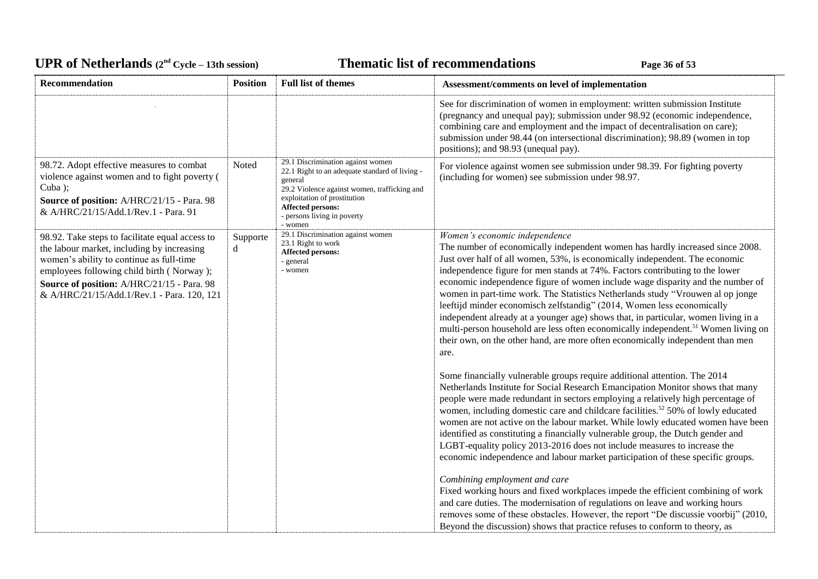# UPR of Netherlands  $(2^{nd} \text{ Cycle} - 13th \text{ session})$  **Thematic list of recommendations Page 36** of 53

| Recommendation                                                                                                                                                                                                                                                                     | <b>Position</b> | <b>Full list of themes</b>                                                                                                                                                                                                                    | Assessment/comments on level of implementation                                                                                                                                                                                                                                                                                                                                                                                                                                                                                                                                                                                                                                                                                                                                                               |
|------------------------------------------------------------------------------------------------------------------------------------------------------------------------------------------------------------------------------------------------------------------------------------|-----------------|-----------------------------------------------------------------------------------------------------------------------------------------------------------------------------------------------------------------------------------------------|--------------------------------------------------------------------------------------------------------------------------------------------------------------------------------------------------------------------------------------------------------------------------------------------------------------------------------------------------------------------------------------------------------------------------------------------------------------------------------------------------------------------------------------------------------------------------------------------------------------------------------------------------------------------------------------------------------------------------------------------------------------------------------------------------------------|
|                                                                                                                                                                                                                                                                                    |                 |                                                                                                                                                                                                                                               | See for discrimination of women in employment: written submission Institute<br>(pregnancy and unequal pay); submission under 98.92 (economic independence,<br>combining care and employment and the impact of decentralisation on care);<br>submission under 98.44 (on intersectional discrimination); 98.89 (women in top<br>positions); and 98.93 (unequal pay).                                                                                                                                                                                                                                                                                                                                                                                                                                           |
| 98.72. Adopt effective measures to combat<br>violence against women and to fight poverty (<br>Cuba);<br>Source of position: A/HRC/21/15 - Para. 98<br>& A/HRC/21/15/Add.1/Rev.1 - Para. 91                                                                                         | Noted           | 29.1 Discrimination against women<br>22.1 Right to an adequate standard of living -<br>general<br>29.2 Violence against women, trafficking and<br>exploitation of prostitution<br>Affected persons:<br>- persons living in poverty<br>- women | For violence against women see submission under 98.39. For fighting poverty<br>(including for women) see submission under 98.97.                                                                                                                                                                                                                                                                                                                                                                                                                                                                                                                                                                                                                                                                             |
| 98.92. Take steps to facilitate equal access to<br>the labour market, including by increasing<br>women's ability to continue as full-time<br>employees following child birth (Norway);<br>Source of position: A/HRC/21/15 - Para. 98<br>& A/HRC/21/15/Add.1/Rev.1 - Para. 120, 121 | Supporte<br>d   | 29.1 Discrimination against women<br>23.1 Right to work<br>Affected persons:<br>- general<br>- women                                                                                                                                          | Women's economic independence<br>The number of economically independent women has hardly increased since 2008.<br>Just over half of all women, 53%, is economically independent. The economic<br>independence figure for men stands at 74%. Factors contributing to the lower<br>economic independence figure of women include wage disparity and the number of<br>women in part-time work. The Statistics Netherlands study "Vrouwen al op jonge<br>leeftijd minder economisch zelfstandig" (2014, Women less economically<br>independent already at a younger age) shows that, in particular, women living in a<br>multi-person household are less often economically independent. <sup>51</sup> Women living on<br>their own, on the other hand, are more often economically independent than men<br>are. |
|                                                                                                                                                                                                                                                                                    |                 |                                                                                                                                                                                                                                               | Some financially vulnerable groups require additional attention. The 2014<br>Netherlands Institute for Social Research Emancipation Monitor shows that many<br>people were made redundant in sectors employing a relatively high percentage of<br>women, including domestic care and childcare facilities. <sup>52</sup> 50% of lowly educated<br>women are not active on the labour market. While lowly educated women have been<br>identified as constituting a financially vulnerable group, the Dutch gender and<br>LGBT-equality policy 2013-2016 does not include measures to increase the<br>economic independence and labour market participation of these specific groups.<br>Combining employment and care                                                                                         |
|                                                                                                                                                                                                                                                                                    |                 |                                                                                                                                                                                                                                               | Fixed working hours and fixed workplaces impede the efficient combining of work<br>and care duties. The modernisation of regulations on leave and working hours<br>removes some of these obstacles. However, the report "De discussie voorbij" (2010,<br>Beyond the discussion) shows that practice refuses to conform to theory, as                                                                                                                                                                                                                                                                                                                                                                                                                                                                         |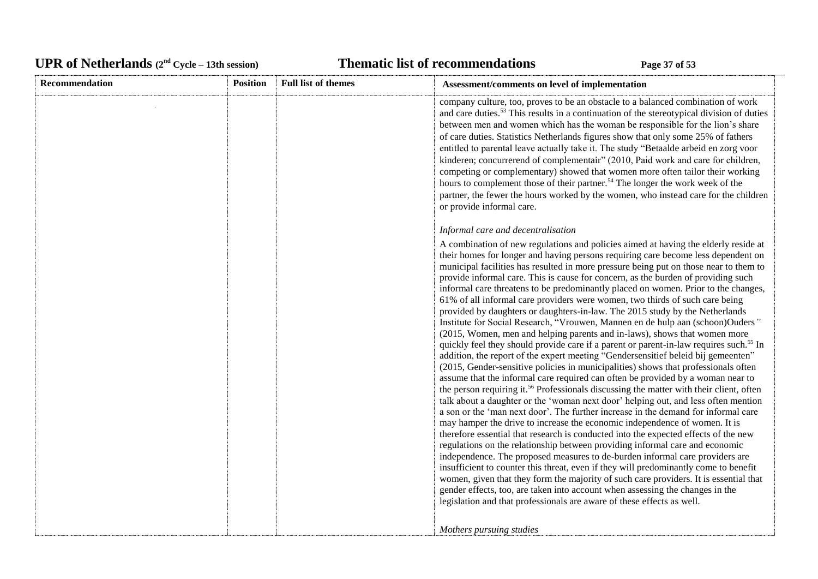# UPR of Netherlands  $(2^{nd} \text{ Cycle} - 13th \text{ session})$  **Thematic list of recommendations Page 37** of 53

| Recommendation | <b>Position</b> | <b>Full list of themes</b> | Assessment/comments on level of implementation                                                                                                                                                                                                                                                                                                                                                                                                                                                                                                                                                                                                                                                                                                                                                                                                                                                                                                                                                                                                                                                                                                                                                                                                                                                                                                                                                                                                                                                                                                                                                                                                                                                                                                                                                                                                                                                                                                                                                                                                                                                                      |
|----------------|-----------------|----------------------------|---------------------------------------------------------------------------------------------------------------------------------------------------------------------------------------------------------------------------------------------------------------------------------------------------------------------------------------------------------------------------------------------------------------------------------------------------------------------------------------------------------------------------------------------------------------------------------------------------------------------------------------------------------------------------------------------------------------------------------------------------------------------------------------------------------------------------------------------------------------------------------------------------------------------------------------------------------------------------------------------------------------------------------------------------------------------------------------------------------------------------------------------------------------------------------------------------------------------------------------------------------------------------------------------------------------------------------------------------------------------------------------------------------------------------------------------------------------------------------------------------------------------------------------------------------------------------------------------------------------------------------------------------------------------------------------------------------------------------------------------------------------------------------------------------------------------------------------------------------------------------------------------------------------------------------------------------------------------------------------------------------------------------------------------------------------------------------------------------------------------|
|                |                 |                            | company culture, too, proves to be an obstacle to a balanced combination of work<br>and care duties. <sup>53</sup> This results in a continuation of the stereotypical division of duties<br>between men and women which has the woman be responsible for the lion's share<br>of care duties. Statistics Netherlands figures show that only some 25% of fathers<br>entitled to parental leave actually take it. The study "Betaalde arbeid en zorg voor<br>kinderen; concurrerend of complementair" (2010, Paid work and care for children,<br>competing or complementary) showed that women more often tailor their working<br>hours to complement those of their partner. <sup>54</sup> The longer the work week of the<br>partner, the fewer the hours worked by the women, who instead care for the children<br>or provide informal care.                                                                                                                                                                                                                                                                                                                                                                                                                                                                                                                                                                                                                                                                                                                                                                                                                                                                                                                                                                                                                                                                                                                                                                                                                                                                       |
|                |                 |                            | Informal care and decentralisation                                                                                                                                                                                                                                                                                                                                                                                                                                                                                                                                                                                                                                                                                                                                                                                                                                                                                                                                                                                                                                                                                                                                                                                                                                                                                                                                                                                                                                                                                                                                                                                                                                                                                                                                                                                                                                                                                                                                                                                                                                                                                  |
|                |                 |                            | A combination of new regulations and policies aimed at having the elderly reside at<br>their homes for longer and having persons requiring care become less dependent on<br>municipal facilities has resulted in more pressure being put on those near to them to<br>provide informal care. This is cause for concern, as the burden of providing such<br>informal care threatens to be predominantly placed on women. Prior to the changes,<br>61% of all informal care providers were women, two thirds of such care being<br>provided by daughters or daughters-in-law. The 2015 study by the Netherlands<br>Institute for Social Research, "Vrouwen, Mannen en de hulp aan (schoon)Ouders"<br>(2015, Women, men and helping parents and in-laws), shows that women more<br>quickly feel they should provide care if a parent or parent-in-law requires such. <sup>55</sup> In<br>addition, the report of the expert meeting "Gendersensitief beleid bij gemeenten"<br>(2015, Gender-sensitive policies in municipalities) shows that professionals often<br>assume that the informal care required can often be provided by a woman near to<br>the person requiring it. <sup>56</sup> Professionals discussing the matter with their client, often<br>talk about a daughter or the 'woman next door' helping out, and less often mention<br>a son or the 'man next door'. The further increase in the demand for informal care<br>may hamper the drive to increase the economic independence of women. It is<br>therefore essential that research is conducted into the expected effects of the new<br>regulations on the relationship between providing informal care and economic<br>independence. The proposed measures to de-burden informal care providers are<br>insufficient to counter this threat, even if they will predominantly come to benefit<br>women, given that they form the majority of such care providers. It is essential that<br>gender effects, too, are taken into account when assessing the changes in the<br>legislation and that professionals are aware of these effects as well. |
|                |                 |                            | Mothers pursuing studies                                                                                                                                                                                                                                                                                                                                                                                                                                                                                                                                                                                                                                                                                                                                                                                                                                                                                                                                                                                                                                                                                                                                                                                                                                                                                                                                                                                                                                                                                                                                                                                                                                                                                                                                                                                                                                                                                                                                                                                                                                                                                            |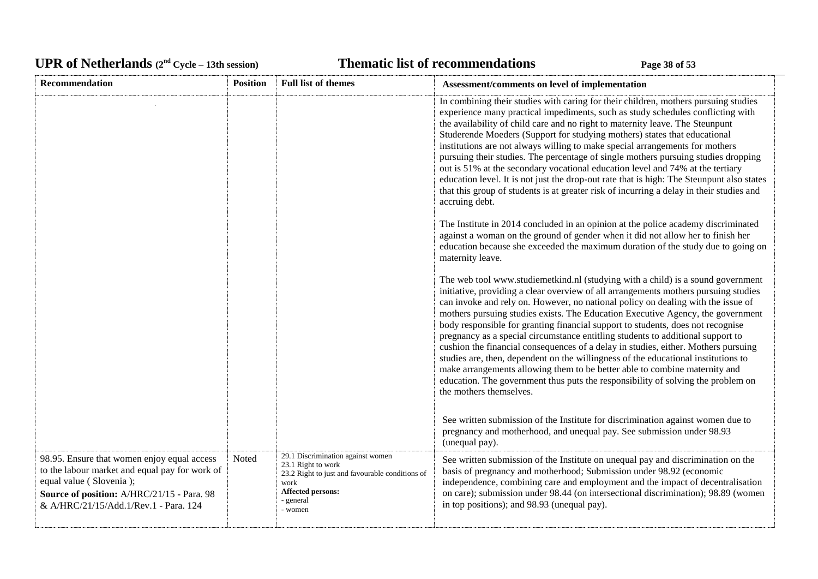# UPR of Netherlands  $(2^{nd} \text{ Cycle} - 13th \text{ session})$  **Thematic list of recommendations Page 38** of 53

| <b>Recommendation</b>                                                                                                                                                                                           | <b>Position</b> | <b>Full list of themes</b>                                                                                                                                             | Assessment/comments on level of implementation                                                                                                                                                                                                                                                                                                                                                                                                                                                                                                                                                                                                                                                                                                                                                                                                                                               |
|-----------------------------------------------------------------------------------------------------------------------------------------------------------------------------------------------------------------|-----------------|------------------------------------------------------------------------------------------------------------------------------------------------------------------------|----------------------------------------------------------------------------------------------------------------------------------------------------------------------------------------------------------------------------------------------------------------------------------------------------------------------------------------------------------------------------------------------------------------------------------------------------------------------------------------------------------------------------------------------------------------------------------------------------------------------------------------------------------------------------------------------------------------------------------------------------------------------------------------------------------------------------------------------------------------------------------------------|
|                                                                                                                                                                                                                 |                 |                                                                                                                                                                        | In combining their studies with caring for their children, mothers pursuing studies<br>experience many practical impediments, such as study schedules conflicting with<br>the availability of child care and no right to maternity leave. The Steunpunt<br>Studerende Moeders (Support for studying mothers) states that educational<br>institutions are not always willing to make special arrangements for mothers<br>pursuing their studies. The percentage of single mothers pursuing studies dropping<br>out is 51% at the secondary vocational education level and 74% at the tertiary<br>education level. It is not just the drop-out rate that is high: The Steunpunt also states<br>that this group of students is at greater risk of incurring a delay in their studies and<br>accruing debt.                                                                                      |
|                                                                                                                                                                                                                 |                 |                                                                                                                                                                        | The Institute in 2014 concluded in an opinion at the police academy discriminated<br>against a woman on the ground of gender when it did not allow her to finish her<br>education because she exceeded the maximum duration of the study due to going on<br>maternity leave.                                                                                                                                                                                                                                                                                                                                                                                                                                                                                                                                                                                                                 |
|                                                                                                                                                                                                                 |                 |                                                                                                                                                                        | The web tool www.studiemetkind.nl (studying with a child) is a sound government<br>initiative, providing a clear overview of all arrangements mothers pursuing studies<br>can invoke and rely on. However, no national policy on dealing with the issue of<br>mothers pursuing studies exists. The Education Executive Agency, the government<br>body responsible for granting financial support to students, does not recognise<br>pregnancy as a special circumstance entitling students to additional support to<br>cushion the financial consequences of a delay in studies, either. Mothers pursuing<br>studies are, then, dependent on the willingness of the educational institutions to<br>make arrangements allowing them to be better able to combine maternity and<br>education. The government thus puts the responsibility of solving the problem on<br>the mothers themselves. |
|                                                                                                                                                                                                                 |                 |                                                                                                                                                                        | See written submission of the Institute for discrimination against women due to<br>pregnancy and motherhood, and unequal pay. See submission under 98.93<br>(unequal pay).                                                                                                                                                                                                                                                                                                                                                                                                                                                                                                                                                                                                                                                                                                                   |
| 98.95. Ensure that women enjoy equal access<br>to the labour market and equal pay for work of<br>equal value (Slovenia);<br>Source of position: A/HRC/21/15 - Para. 98<br>& A/HRC/21/15/Add.1/Rev.1 - Para. 124 | Noted           | 29.1 Discrimination against women<br>23.1 Right to work<br>23.2 Right to just and favourable conditions of<br>work<br><b>Affected persons:</b><br>- general<br>- women | See written submission of the Institute on unequal pay and discrimination on the<br>basis of pregnancy and motherhood; Submission under 98.92 (economic<br>independence, combining care and employment and the impact of decentralisation<br>on care); submission under 98.44 (on intersectional discrimination); 98.89 (women<br>in top positions); and 98.93 (unequal pay).                                                                                                                                                                                                                                                                                                                                                                                                                                                                                                                |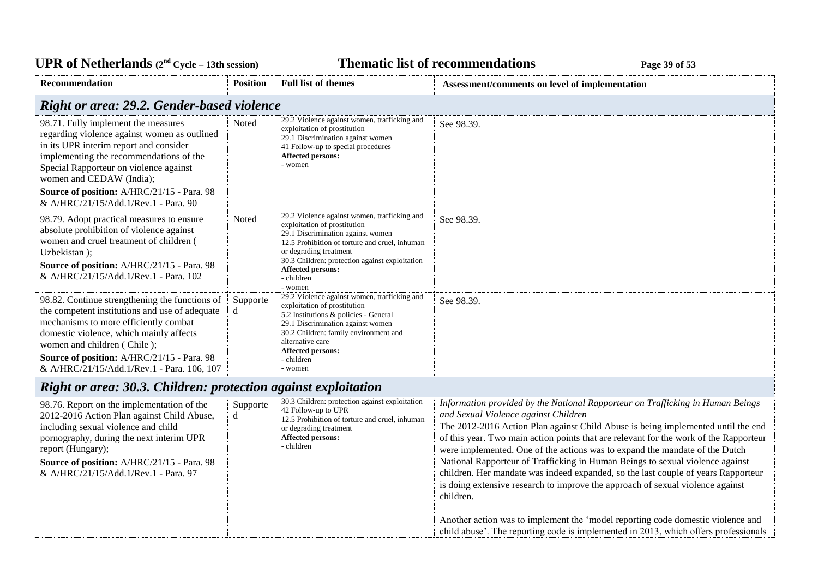## UPR of Netherlands  $(2^{nd} \text{ Cycle} - 13th \text{ session})$  **Thematic list of recommendations Page 39** of 53

| <b>Recommendation</b>                                                                                                                                                                                                                                                                                           | <b>Position</b> | <b>Full list of themes</b>                                                                                                                                                                                                                                                                           | Assessment/comments on level of implementation |
|-----------------------------------------------------------------------------------------------------------------------------------------------------------------------------------------------------------------------------------------------------------------------------------------------------------------|-----------------|------------------------------------------------------------------------------------------------------------------------------------------------------------------------------------------------------------------------------------------------------------------------------------------------------|------------------------------------------------|
| <b>Right or area: 29.2. Gender-based violence</b>                                                                                                                                                                                                                                                               |                 |                                                                                                                                                                                                                                                                                                      |                                                |
| 98.71. Fully implement the measures<br>regarding violence against women as outlined<br>in its UPR interim report and consider<br>implementing the recommendations of the<br>Special Rapporteur on violence against<br>women and CEDAW (India);                                                                  | Noted           | 29.2 Violence against women, trafficking and<br>exploitation of prostitution<br>29.1 Discrimination against women<br>41 Follow-up to special procedures<br>Affected persons:<br>- women                                                                                                              | See 98.39.                                     |
| Source of position: A/HRC/21/15 - Para. 98<br>& A/HRC/21/15/Add.1/Rev.1 - Para. 90                                                                                                                                                                                                                              |                 |                                                                                                                                                                                                                                                                                                      |                                                |
| 98.79. Adopt practical measures to ensure<br>absolute prohibition of violence against<br>women and cruel treatment of children (<br>Uzbekistan);<br><b>Source of position:</b> A/HRC/21/15 - Para. 98<br>& A/HRC/21/15/Add.1/Rev.1 - Para. 102                                                                  | Noted           | 29.2 Violence against women, trafficking and<br>exploitation of prostitution<br>29.1 Discrimination against women<br>12.5 Prohibition of torture and cruel, inhuman<br>or degrading treatment<br>30.3 Children: protection against exploitation<br><b>Affected persons:</b><br>- children<br>- women | See 98.39.                                     |
| 98.82. Continue strengthening the functions of<br>the competent institutions and use of adequate<br>mechanisms to more efficiently combat<br>domestic violence, which mainly affects<br>women and children (Chile);<br>Source of position: A/HRC/21/15 - Para. 98<br>& A/HRC/21/15/Add.1/Rev.1 - Para. 106, 107 | Supporte<br>d   | 29.2 Violence against women, trafficking and<br>exploitation of prostitution<br>5.2 Institutions & policies - General<br>29.1 Discrimination against women<br>30.2 Children: family environment and<br>alternative care<br><b>Affected persons:</b><br>- children<br>- women                         | See 98.39.                                     |

# *Right or area: 30.3. Children: protection against exploitation*

| 98.76. Report on the implementation of the<br>2012-2016 Action Plan against Child Abuse,<br>including sexual violence and child<br>pornography, during the next interim UPR<br>report (Hungary);<br><b>Source of position:</b> A/HRC/21/15 - Para. 98<br>& A/HRC/21/15/Add.1/Rev.1 - Para. 97 | Supporte<br>d | 30.3 Children: protection against exploitation<br>42 Follow-up to UPR<br>12.5 Prohibition of torture and cruel, inhuman<br>or degrading treatment<br><b>Affected persons:</b><br>- children | Information provided by the National Rapporteur on Trafficking in Human Beings<br>and Sexual Violence against Children<br>The 2012-2016 Action Plan against Child Abuse is being implemented until the end<br>of this year. Two main action points that are relevant for the work of the Rapporteur<br>were implemented. One of the actions was to expand the mandate of the Dutch<br>National Rapporteur of Trafficking in Human Beings to sexual violence against<br>children. Her mandate was indeed expanded, so the last couple of years Rapporteur<br>is doing extensive research to improve the approach of sexual violence against<br>children. |
|-----------------------------------------------------------------------------------------------------------------------------------------------------------------------------------------------------------------------------------------------------------------------------------------------|---------------|---------------------------------------------------------------------------------------------------------------------------------------------------------------------------------------------|---------------------------------------------------------------------------------------------------------------------------------------------------------------------------------------------------------------------------------------------------------------------------------------------------------------------------------------------------------------------------------------------------------------------------------------------------------------------------------------------------------------------------------------------------------------------------------------------------------------------------------------------------------|
|                                                                                                                                                                                                                                                                                               |               |                                                                                                                                                                                             | Another action was to implement the 'model reporting code domestic violence and<br>child abuse'. The reporting code is implemented in 2013, which offers professionals                                                                                                                                                                                                                                                                                                                                                                                                                                                                                  |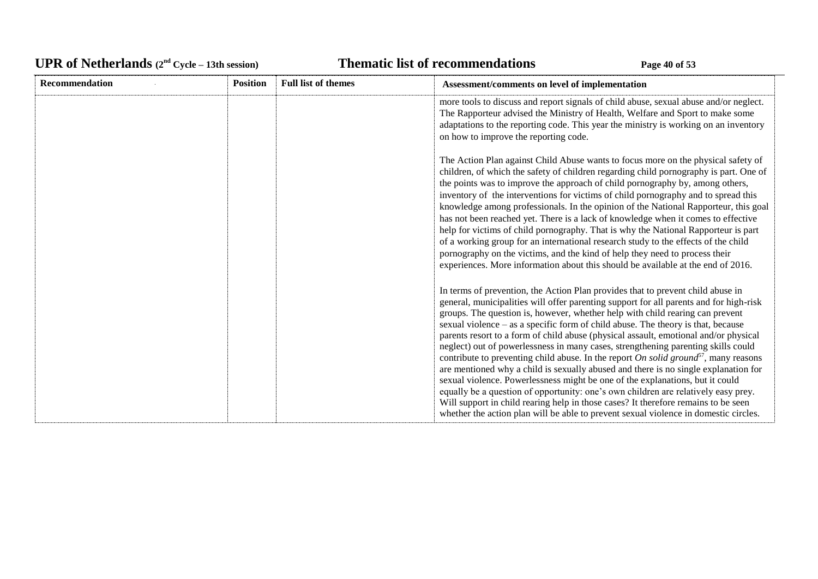# UPR of Netherlands  $(2^{nd} \text{ Cycle} - 13th \text{ session})$  **Thematic list of recommendations Page 40** of 53

| <b>Recommendation</b> | <b>Position</b> | <b>Full list of themes</b> | Assessment/comments on level of implementation                                                                                                                                                                                                                                                                                                                                                                                                                                                                                                                                                                                                                                                                                                                                                                                                                                                                                                                                                                                                                                |
|-----------------------|-----------------|----------------------------|-------------------------------------------------------------------------------------------------------------------------------------------------------------------------------------------------------------------------------------------------------------------------------------------------------------------------------------------------------------------------------------------------------------------------------------------------------------------------------------------------------------------------------------------------------------------------------------------------------------------------------------------------------------------------------------------------------------------------------------------------------------------------------------------------------------------------------------------------------------------------------------------------------------------------------------------------------------------------------------------------------------------------------------------------------------------------------|
|                       |                 |                            | more tools to discuss and report signals of child abuse, sexual abuse and/or neglect.<br>The Rapporteur advised the Ministry of Health, Welfare and Sport to make some<br>adaptations to the reporting code. This year the ministry is working on an inventory<br>on how to improve the reporting code.                                                                                                                                                                                                                                                                                                                                                                                                                                                                                                                                                                                                                                                                                                                                                                       |
|                       |                 |                            | The Action Plan against Child Abuse wants to focus more on the physical safety of<br>children, of which the safety of children regarding child pornography is part. One of<br>the points was to improve the approach of child pornography by, among others,<br>inventory of the interventions for victims of child pornography and to spread this<br>knowledge among professionals. In the opinion of the National Rapporteur, this goal<br>has not been reached yet. There is a lack of knowledge when it comes to effective<br>help for victims of child pornography. That is why the National Rapporteur is part<br>of a working group for an international research study to the effects of the child<br>pornography on the victims, and the kind of help they need to process their<br>experiences. More information about this should be available at the end of 2016.                                                                                                                                                                                                  |
|                       |                 |                            | In terms of prevention, the Action Plan provides that to prevent child abuse in<br>general, municipalities will offer parenting support for all parents and for high-risk<br>groups. The question is, however, whether help with child rearing can prevent<br>sexual violence $-$ as a specific form of child abuse. The theory is that, because<br>parents resort to a form of child abuse (physical assault, emotional and/or physical<br>neglect) out of powerlessness in many cases, strengthening parenting skills could<br>contribute to preventing child abuse. In the report On solid ground <sup>57</sup> , many reasons<br>are mentioned why a child is sexually abused and there is no single explanation for<br>sexual violence. Powerlessness might be one of the explanations, but it could<br>equally be a question of opportunity: one's own children are relatively easy prey.<br>Will support in child rearing help in those cases? It therefore remains to be seen<br>whether the action plan will be able to prevent sexual violence in domestic circles. |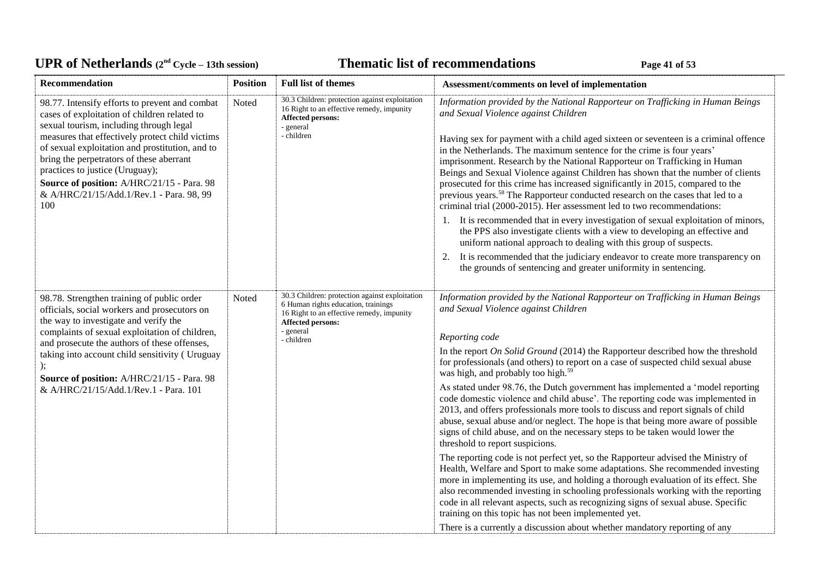# UPR of Netherlands  $(2^{nd} Cycle - 13th session)$  **Thematic list of recommendations Page 41** of 53

| <b>Recommendation</b>                                                                                                                                                                                                                                                                                                                                                                                                           | <b>Position</b> | <b>Full list of themes</b>                                                                                                                                                                | Assessment/comments on level of implementation                                                                                                                                                                                                                                                                                                                                                                                                                                                                                                                                                                                                                                                                                                                                                                                                                                                                                                                                                                                                                                                                                                                                                                                                                                                                                                                                                                |
|---------------------------------------------------------------------------------------------------------------------------------------------------------------------------------------------------------------------------------------------------------------------------------------------------------------------------------------------------------------------------------------------------------------------------------|-----------------|-------------------------------------------------------------------------------------------------------------------------------------------------------------------------------------------|---------------------------------------------------------------------------------------------------------------------------------------------------------------------------------------------------------------------------------------------------------------------------------------------------------------------------------------------------------------------------------------------------------------------------------------------------------------------------------------------------------------------------------------------------------------------------------------------------------------------------------------------------------------------------------------------------------------------------------------------------------------------------------------------------------------------------------------------------------------------------------------------------------------------------------------------------------------------------------------------------------------------------------------------------------------------------------------------------------------------------------------------------------------------------------------------------------------------------------------------------------------------------------------------------------------------------------------------------------------------------------------------------------------|
| 98.77. Intensify efforts to prevent and combat<br>cases of exploitation of children related to<br>sexual tourism, including through legal<br>measures that effectively protect child victims<br>of sexual exploitation and prostitution, and to<br>bring the perpetrators of these aberrant<br>practices to justice (Uruguay);<br>Source of position: A/HRC/21/15 - Para. 98<br>& A/HRC/21/15/Add.1/Rev.1 - Para. 98, 99<br>100 | Noted           | 30.3 Children: protection against exploitation<br>16 Right to an effective remedy, impunity<br>Affected persons:<br>- general<br>- children                                               | Information provided by the National Rapporteur on Trafficking in Human Beings<br>and Sexual Violence against Children<br>Having sex for payment with a child aged sixteen or seventeen is a criminal offence<br>in the Netherlands. The maximum sentence for the crime is four years'<br>imprisonment. Research by the National Rapporteur on Trafficking in Human<br>Beings and Sexual Violence against Children has shown that the number of clients<br>prosecuted for this crime has increased significantly in 2015, compared to the<br>previous years. <sup>58</sup> The Rapporteur conducted research on the cases that led to a<br>criminal trial (2000-2015). Her assessment led to two recommendations:<br>1. It is recommended that in every investigation of sexual exploitation of minors,<br>the PPS also investigate clients with a view to developing an effective and<br>uniform national approach to dealing with this group of suspects.<br>It is recommended that the judiciary endeavor to create more transparency on<br>2.<br>the grounds of sentencing and greater uniformity in sentencing.                                                                                                                                                                                                                                                                                          |
| 98.78. Strengthen training of public order<br>officials, social workers and prosecutors on<br>the way to investigate and verify the<br>complaints of sexual exploitation of children,<br>and prosecute the authors of these offenses,<br>taking into account child sensitivity ( Uruguay<br>Source of position: A/HRC/21/15 - Para. 98<br>& A/HRC/21/15/Add.1/Rev.1 - Para. 101                                                 | Noted           | 30.3 Children: protection against exploitation<br>6 Human rights education, trainings<br>16 Right to an effective remedy, impunity<br><b>Affected persons:</b><br>- general<br>- children | Information provided by the National Rapporteur on Trafficking in Human Beings<br>and Sexual Violence against Children<br>Reporting code<br>In the report On Solid Ground (2014) the Rapporteur described how the threshold<br>for professionals (and others) to report on a case of suspected child sexual abuse<br>was high, and probably too high. <sup>59</sup><br>As stated under 98.76, the Dutch government has implemented a 'model reporting<br>code domestic violence and child abuse'. The reporting code was implemented in<br>2013, and offers professionals more tools to discuss and report signals of child<br>abuse, sexual abuse and/or neglect. The hope is that being more aware of possible<br>signs of child abuse, and on the necessary steps to be taken would lower the<br>threshold to report suspicions.<br>The reporting code is not perfect yet, so the Rapporteur advised the Ministry of<br>Health, Welfare and Sport to make some adaptations. She recommended investing<br>more in implementing its use, and holding a thorough evaluation of its effect. She<br>also recommended investing in schooling professionals working with the reporting<br>code in all relevant aspects, such as recognizing signs of sexual abuse. Specific<br>training on this topic has not been implemented yet.<br>There is a currently a discussion about whether mandatory reporting of any |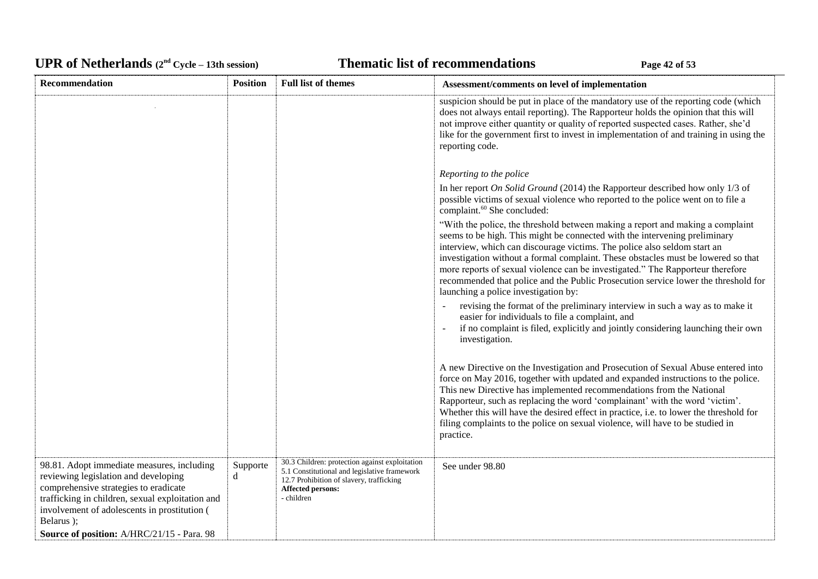# UPR of Netherlands  $(2^{nd} \text{ Cycle} - 13th \text{ session})$  **Thematic list of recommendations Page 42** of 53

| Recommendation                                                                                                                                                                                                                                                                              | <b>Position</b> | <b>Full list of themes</b>                                                                                                                                                    | Assessment/comments on level of implementation                                                                                                                                                                                                                                                                                                                                                                                                                                                                                                |
|---------------------------------------------------------------------------------------------------------------------------------------------------------------------------------------------------------------------------------------------------------------------------------------------|-----------------|-------------------------------------------------------------------------------------------------------------------------------------------------------------------------------|-----------------------------------------------------------------------------------------------------------------------------------------------------------------------------------------------------------------------------------------------------------------------------------------------------------------------------------------------------------------------------------------------------------------------------------------------------------------------------------------------------------------------------------------------|
|                                                                                                                                                                                                                                                                                             |                 |                                                                                                                                                                               | suspicion should be put in place of the mandatory use of the reporting code (which<br>does not always entail reporting). The Rapporteur holds the opinion that this will<br>not improve either quantity or quality of reported suspected cases. Rather, she'd<br>like for the government first to invest in implementation of and training in using the<br>reporting code.                                                                                                                                                                    |
|                                                                                                                                                                                                                                                                                             |                 |                                                                                                                                                                               | Reporting to the police                                                                                                                                                                                                                                                                                                                                                                                                                                                                                                                       |
|                                                                                                                                                                                                                                                                                             |                 |                                                                                                                                                                               | In her report On Solid Ground (2014) the Rapporteur described how only $1/3$ of<br>possible victims of sexual violence who reported to the police went on to file a<br>complaint. <sup>60</sup> She concluded:                                                                                                                                                                                                                                                                                                                                |
|                                                                                                                                                                                                                                                                                             |                 |                                                                                                                                                                               | "With the police, the threshold between making a report and making a complaint<br>seems to be high. This might be connected with the intervening preliminary<br>interview, which can discourage victims. The police also seldom start an<br>investigation without a formal complaint. These obstacles must be lowered so that<br>more reports of sexual violence can be investigated." The Rapporteur therefore<br>recommended that police and the Public Prosecution service lower the threshold for<br>launching a police investigation by: |
|                                                                                                                                                                                                                                                                                             |                 |                                                                                                                                                                               | revising the format of the preliminary interview in such a way as to make it<br>easier for individuals to file a complaint, and<br>if no complaint is filed, explicitly and jointly considering launching their own<br>investigation.                                                                                                                                                                                                                                                                                                         |
|                                                                                                                                                                                                                                                                                             |                 |                                                                                                                                                                               | A new Directive on the Investigation and Prosecution of Sexual Abuse entered into<br>force on May 2016, together with updated and expanded instructions to the police.<br>This new Directive has implemented recommendations from the National<br>Rapporteur, such as replacing the word 'complainant' with the word 'victim'.<br>Whether this will have the desired effect in practice, i.e. to lower the threshold for<br>filing complaints to the police on sexual violence, will have to be studied in<br>practice.                       |
| 98.81. Adopt immediate measures, including<br>reviewing legislation and developing<br>comprehensive strategies to eradicate<br>trafficking in children, sexual exploitation and<br>involvement of adolescents in prostitution (<br>Belarus );<br>Source of position: A/HRC/21/15 - Para. 98 | Supporte<br>d   | 30.3 Children: protection against exploitation<br>5.1 Constitutional and legislative framework<br>12.7 Prohibition of slavery, trafficking<br>Affected persons:<br>- children | See under 98.80                                                                                                                                                                                                                                                                                                                                                                                                                                                                                                                               |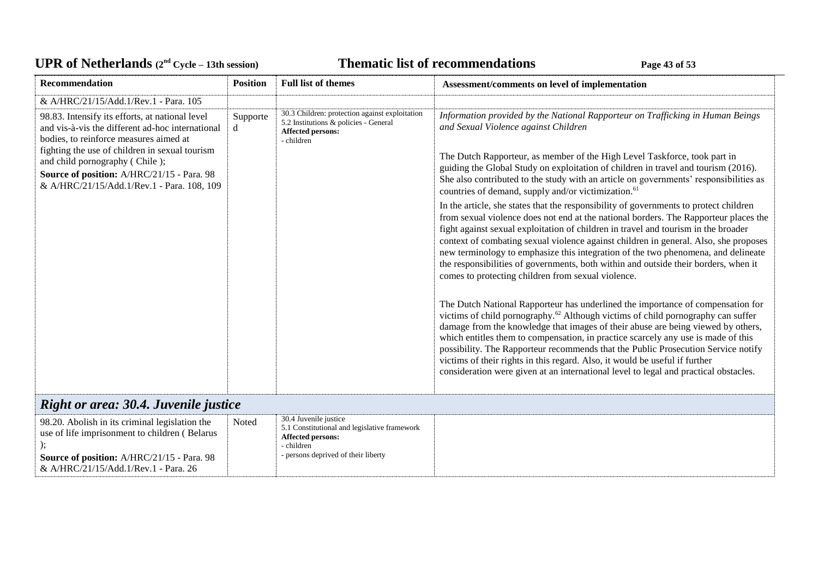# UPR of Netherlands  $(2^{nd} \text{ Cycle} - 13th \text{ session})$  **Thematic list of recommendations Page 43** of 53

| <b>Recommendation</b>                                                                                                                                                                                                                                                                                                         | <b>Position</b> | <b>Full list of themes</b>                                                                                                        | Assessment/comments on level of implementation                                                                                                                                                                                                                                                                                                                                                                                                                                                                                                                                                                       |
|-------------------------------------------------------------------------------------------------------------------------------------------------------------------------------------------------------------------------------------------------------------------------------------------------------------------------------|-----------------|-----------------------------------------------------------------------------------------------------------------------------------|----------------------------------------------------------------------------------------------------------------------------------------------------------------------------------------------------------------------------------------------------------------------------------------------------------------------------------------------------------------------------------------------------------------------------------------------------------------------------------------------------------------------------------------------------------------------------------------------------------------------|
| & A/HRC/21/15/Add.1/Rev.1 - Para. 105                                                                                                                                                                                                                                                                                         |                 |                                                                                                                                   |                                                                                                                                                                                                                                                                                                                                                                                                                                                                                                                                                                                                                      |
| 98.83. Intensify its efforts, at national level<br>and vis-à-vis the different ad-hoc international<br>bodies, to reinforce measures aimed at<br>fighting the use of children in sexual tourism<br>and child pornography (Chile);<br>Source of position: A/HRC/21/15 - Para. 98<br>& A/HRC/21/15/Add.1/Rev.1 - Para. 108, 109 | Supporte<br>d   | 30.3 Children: protection against exploitation<br>5.2 Institutions & policies - General<br><b>Affected persons:</b><br>- children | Information provided by the National Rapporteur on Trafficking in Human Beings<br>and Sexual Violence against Children<br>The Dutch Rapporteur, as member of the High Level Taskforce, took part in<br>guiding the Global Study on exploitation of children in travel and tourism (2016).<br>She also contributed to the study with an article on governments' responsibilities as<br>countries of demand, supply and/or victimization. <sup>61</sup>                                                                                                                                                                |
|                                                                                                                                                                                                                                                                                                                               |                 |                                                                                                                                   | In the article, she states that the responsibility of governments to protect children<br>from sexual violence does not end at the national borders. The Rapporteur places the<br>fight against sexual exploitation of children in travel and tourism in the broader<br>context of combating sexual violence against children in general. Also, she proposes<br>new terminology to emphasize this integration of the two phenomena, and delineate<br>the responsibilities of governments, both within and outside their borders, when it<br>comes to protecting children from sexual violence.                        |
|                                                                                                                                                                                                                                                                                                                               |                 |                                                                                                                                   | The Dutch National Rapporteur has underlined the importance of compensation for<br>victims of child pornography. <sup>62</sup> Although victims of child pornography can suffer<br>damage from the knowledge that images of their abuse are being viewed by others,<br>which entitles them to compensation, in practice scarcely any use is made of this<br>possibility. The Rapporteur recommends that the Public Prosecution Service notify<br>victims of their rights in this regard. Also, it would be useful if further<br>consideration were given at an international level to legal and practical obstacles. |
| Right or area: 30.4. Juvenile justice                                                                                                                                                                                                                                                                                         |                 |                                                                                                                                   |                                                                                                                                                                                                                                                                                                                                                                                                                                                                                                                                                                                                                      |

| 98.20. Abolish in its criminal legislation the<br>use of life imprisonment to children (Belarus | Noted | 30.4 Juvenile justice<br>5.1 Constitutional and legislative framework<br>Affected persons:<br>- children |  |  |  |
|-------------------------------------------------------------------------------------------------|-------|----------------------------------------------------------------------------------------------------------|--|--|--|
| <b>Source of position:</b> A/HRC/21/15 - Para. 98<br>& A/HRC/21/15/Add.1/Rev.1 - Para. 26       |       | - persons deprived of their liberty                                                                      |  |  |  |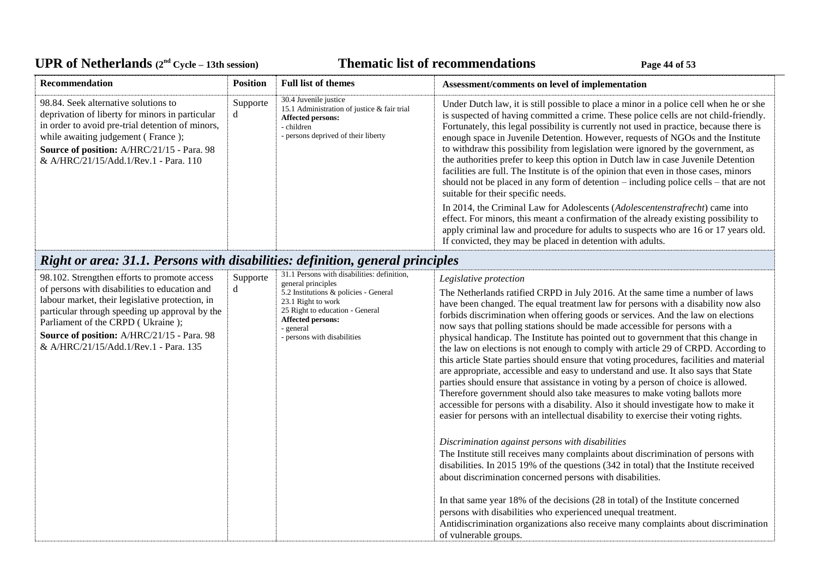# UPR of Netherlands  $(2^{nd} \text{ Cycle} - 13th \text{ session})$  **Thematic list of recommendations Page 44** of 53

| Recommendation                                                                                                                                                                                                                                                                                                                 | <b>Position</b> | <b>Full list of themes</b>                                                                                                                                                                                                                  | Assessment/comments on level of implementation                                                                                                                                                                                                                                                                                                                                                                                                                                                                                                                                                                                                                                                                                                                                                                                                                                                                                                                                                                                                                                  |
|--------------------------------------------------------------------------------------------------------------------------------------------------------------------------------------------------------------------------------------------------------------------------------------------------------------------------------|-----------------|---------------------------------------------------------------------------------------------------------------------------------------------------------------------------------------------------------------------------------------------|---------------------------------------------------------------------------------------------------------------------------------------------------------------------------------------------------------------------------------------------------------------------------------------------------------------------------------------------------------------------------------------------------------------------------------------------------------------------------------------------------------------------------------------------------------------------------------------------------------------------------------------------------------------------------------------------------------------------------------------------------------------------------------------------------------------------------------------------------------------------------------------------------------------------------------------------------------------------------------------------------------------------------------------------------------------------------------|
| 98.84. Seek alternative solutions to<br>deprivation of liberty for minors in particular<br>in order to avoid pre-trial detention of minors,<br>while awaiting judgement (France);<br>Source of position: A/HRC/21/15 - Para. 98<br>& A/HRC/21/15/Add.1/Rev.1 - Para. 110                                                       | Supporte<br>d   | 30.4 Juvenile justice<br>15.1 Administration of justice & fair trial<br>Affected persons:<br>- children<br>- persons deprived of their liberty                                                                                              | Under Dutch law, it is still possible to place a minor in a police cell when he or she<br>is suspected of having committed a crime. These police cells are not child-friendly.<br>Fortunately, this legal possibility is currently not used in practice, because there is<br>enough space in Juvenile Detention. However, requests of NGOs and the Institute<br>to withdraw this possibility from legislation were ignored by the government, as<br>the authorities prefer to keep this option in Dutch law in case Juvenile Detention<br>facilities are full. The Institute is of the opinion that even in those cases, minors<br>should not be placed in any form of detention – including police cells – that are not<br>suitable for their specific needs.                                                                                                                                                                                                                                                                                                                  |
|                                                                                                                                                                                                                                                                                                                                |                 |                                                                                                                                                                                                                                             | In 2014, the Criminal Law for Adolescents (Adolescentenstrafrecht) came into<br>effect. For minors, this meant a confirmation of the already existing possibility to<br>apply criminal law and procedure for adults to suspects who are 16 or 17 years old.<br>If convicted, they may be placed in detention with adults.                                                                                                                                                                                                                                                                                                                                                                                                                                                                                                                                                                                                                                                                                                                                                       |
| Right or area: 31.1. Persons with disabilities: definition, general principles                                                                                                                                                                                                                                                 |                 |                                                                                                                                                                                                                                             |                                                                                                                                                                                                                                                                                                                                                                                                                                                                                                                                                                                                                                                                                                                                                                                                                                                                                                                                                                                                                                                                                 |
| 98.102. Strengthen efforts to promote access<br>of persons with disabilities to education and<br>labour market, their legislative protection, in<br>particular through speeding up approval by the<br>Parliament of the CRPD (Ukraine);<br>Source of position: A/HRC/21/15 - Para. 98<br>& A/HRC/21/15/Add.1/Rev.1 - Para. 135 | Supporte<br>d   | 31.1 Persons with disabilities: definition,<br>general principles<br>5.2 Institutions & policies - General<br>23.1 Right to work<br>25 Right to education - General<br><b>Affected persons:</b><br>- general<br>- persons with disabilities | Legislative protection<br>The Netherlands ratified CRPD in July 2016. At the same time a number of laws<br>have been changed. The equal treatment law for persons with a disability now also<br>forbids discrimination when offering goods or services. And the law on elections<br>now says that polling stations should be made accessible for persons with a<br>physical handicap. The Institute has pointed out to government that this change in<br>the law on elections is not enough to comply with article 29 of CRPD. According to<br>this article State parties should ensure that voting procedures, facilities and material<br>are appropriate, accessible and easy to understand and use. It also says that State<br>parties should ensure that assistance in voting by a person of choice is allowed.<br>Therefore government should also take measures to make voting ballots more<br>accessible for persons with a disability. Also it should investigate how to make it<br>easier for persons with an intellectual disability to exercise their voting rights. |
|                                                                                                                                                                                                                                                                                                                                |                 |                                                                                                                                                                                                                                             | Discrimination against persons with disabilities<br>The Institute still receives many complaints about discrimination of persons with<br>disabilities. In 2015 19% of the questions (342 in total) that the Institute received<br>about discrimination concerned persons with disabilities.<br>In that same year 18% of the decisions (28 in total) of the Institute concerned<br>persons with disabilities who experienced unequal treatment.<br>Antidiscrimination organizations also receive many complaints about discrimination<br>of vulnerable groups.                                                                                                                                                                                                                                                                                                                                                                                                                                                                                                                   |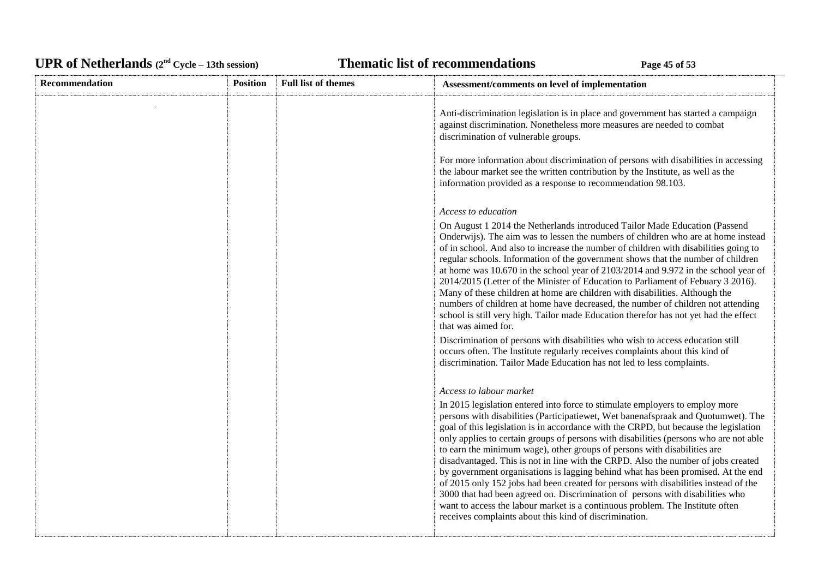# UPR of Netherlands  $(2^{nd} \text{ Cycle} - 13th \text{ session})$  **Thematic list of recommendations Page 45** of 53

| Recommendation | <b>Position</b> | <b>Full list of themes</b> | Assessment/comments on level of implementation                                                                                                                                                                                                                                                                                                                                                                                                                                                                                                                                                                                                                                                                                                                                                                                                                                                                                                                                                                                                                            |
|----------------|-----------------|----------------------------|---------------------------------------------------------------------------------------------------------------------------------------------------------------------------------------------------------------------------------------------------------------------------------------------------------------------------------------------------------------------------------------------------------------------------------------------------------------------------------------------------------------------------------------------------------------------------------------------------------------------------------------------------------------------------------------------------------------------------------------------------------------------------------------------------------------------------------------------------------------------------------------------------------------------------------------------------------------------------------------------------------------------------------------------------------------------------|
|                |                 |                            | Anti-discrimination legislation is in place and government has started a campaign<br>against discrimination. Nonetheless more measures are needed to combat<br>discrimination of vulnerable groups.<br>For more information about discrimination of persons with disabilities in accessing<br>the labour market see the written contribution by the Institute, as well as the<br>information provided as a response to recommendation 98.103.                                                                                                                                                                                                                                                                                                                                                                                                                                                                                                                                                                                                                             |
|                |                 |                            | Access to education<br>On August 1 2014 the Netherlands introduced Tailor Made Education (Passend<br>Onderwijs). The aim was to lessen the numbers of children who are at home instead<br>of in school. And also to increase the number of children with disabilities going to<br>regular schools. Information of the government shows that the number of children<br>at home was 10.670 in the school year of 2103/2014 and 9.972 in the school year of<br>2014/2015 (Letter of the Minister of Education to Parliament of Febuary 3 2016).<br>Many of these children at home are children with disabilities. Although the<br>numbers of children at home have decreased, the number of children not attending<br>school is still very high. Tailor made Education therefor has not yet had the effect<br>that was aimed for.<br>Discrimination of persons with disabilities who wish to access education still<br>occurs often. The Institute regularly receives complaints about this kind of<br>discrimination. Tailor Made Education has not led to less complaints. |
|                |                 |                            | Access to labour market<br>In 2015 legislation entered into force to stimulate employers to employ more<br>persons with disabilities (Participatiewet, Wet banenafspraak and Quotumwet). The<br>goal of this legislation is in accordance with the CRPD, but because the legislation<br>only applies to certain groups of persons with disabilities (persons who are not able<br>to earn the minimum wage), other groups of persons with disabilities are<br>disadvantaged. This is not in line with the CRPD. Also the number of jobs created<br>by government organisations is lagging behind what has been promised. At the end<br>of 2015 only 152 jobs had been created for persons with disabilities instead of the<br>3000 that had been agreed on. Discrimination of persons with disabilities who<br>want to access the labour market is a continuous problem. The Institute often<br>receives complaints about this kind of discrimination.                                                                                                                     |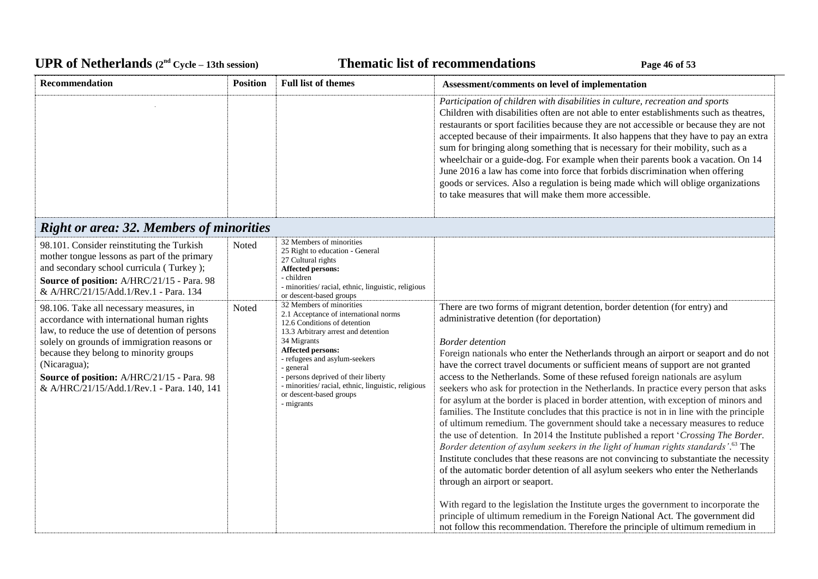# UPR of Netherlands  $(2^{nd} \text{ Cycle} - 13th \text{ session})$  **Thematic list of recommendations Page 46** of 53

| Recommendation                                                                                                                                                                                                                                                                                                                               | <b>Position</b> | <b>Full list of themes</b>                                                                                                                                                                                                                                                                                                                                     | Assessment/comments on level of implementation                                                                                                                                                                                                                                                                                                                                                                                                                                                                                                                                                                                                                                                                                                                                                                                                                                                                                                                                                                                                                                                                                                                                                                                                                                                                                                                                                                                                         |
|----------------------------------------------------------------------------------------------------------------------------------------------------------------------------------------------------------------------------------------------------------------------------------------------------------------------------------------------|-----------------|----------------------------------------------------------------------------------------------------------------------------------------------------------------------------------------------------------------------------------------------------------------------------------------------------------------------------------------------------------------|--------------------------------------------------------------------------------------------------------------------------------------------------------------------------------------------------------------------------------------------------------------------------------------------------------------------------------------------------------------------------------------------------------------------------------------------------------------------------------------------------------------------------------------------------------------------------------------------------------------------------------------------------------------------------------------------------------------------------------------------------------------------------------------------------------------------------------------------------------------------------------------------------------------------------------------------------------------------------------------------------------------------------------------------------------------------------------------------------------------------------------------------------------------------------------------------------------------------------------------------------------------------------------------------------------------------------------------------------------------------------------------------------------------------------------------------------------|
|                                                                                                                                                                                                                                                                                                                                              |                 |                                                                                                                                                                                                                                                                                                                                                                | Participation of children with disabilities in culture, recreation and sports<br>Children with disabilities often are not able to enter establishments such as theatres,<br>restaurants or sport facilities because they are not accessible or because they are not<br>accepted because of their impairments. It also happens that they have to pay an extra<br>sum for bringing along something that is necessary for their mobility, such as a<br>wheelchair or a guide-dog. For example when their parents book a vacation. On 14<br>June 2016 a law has come into force that forbids discrimination when offering<br>goods or services. Also a regulation is being made which will oblige organizations<br>to take measures that will make them more accessible.                                                                                                                                                                                                                                                                                                                                                                                                                                                                                                                                                                                                                                                                                   |
| <b>Right or area: 32. Members of minorities</b>                                                                                                                                                                                                                                                                                              |                 |                                                                                                                                                                                                                                                                                                                                                                |                                                                                                                                                                                                                                                                                                                                                                                                                                                                                                                                                                                                                                                                                                                                                                                                                                                                                                                                                                                                                                                                                                                                                                                                                                                                                                                                                                                                                                                        |
| 98.101. Consider reinstituting the Turkish<br>mother tongue lessons as part of the primary<br>and secondary school curricula (Turkey);<br>Source of position: A/HRC/21/15 - Para. 98<br>& A/HRC/21/15/Add.1/Rev.1 - Para. 134                                                                                                                | Noted           | 32 Members of minorities<br>25 Right to education - General<br>27 Cultural rights<br><b>Affected persons:</b><br>- children<br>- minorities/ racial, ethnic, linguistic, religious<br>or descent-based groups                                                                                                                                                  |                                                                                                                                                                                                                                                                                                                                                                                                                                                                                                                                                                                                                                                                                                                                                                                                                                                                                                                                                                                                                                                                                                                                                                                                                                                                                                                                                                                                                                                        |
| 98.106. Take all necessary measures, in<br>accordance with international human rights<br>law, to reduce the use of detention of persons<br>solely on grounds of immigration reasons or<br>because they belong to minority groups<br>(Nicaragua);<br>Source of position: A/HRC/21/15 - Para. 98<br>& A/HRC/21/15/Add.1/Rev.1 - Para. 140, 141 | Noted           | 32 Members of minorities<br>2.1 Acceptance of international norms<br>12.6 Conditions of detention<br>13.3 Arbitrary arrest and detention<br>34 Migrants<br>Affected persons:<br>- refugees and asylum-seekers<br>general<br>- persons deprived of their liberty<br>- minorities/racial, ethnic, linguistic, religious<br>or descent-based groups<br>- migrants | There are two forms of migrant detention, border detention (for entry) and<br>administrative detention (for deportation)<br><b>Border</b> detention<br>Foreign nationals who enter the Netherlands through an airport or seaport and do not<br>have the correct travel documents or sufficient means of support are not granted<br>access to the Netherlands. Some of these refused foreign nationals are asylum<br>seekers who ask for protection in the Netherlands. In practice every person that asks<br>for asylum at the border is placed in border attention, with exception of minors and<br>families. The Institute concludes that this practice is not in in line with the principle<br>of ultimum remedium. The government should take a necessary measures to reduce<br>the use of detention. In 2014 the Institute published a report 'Crossing The Border.<br>Border detention of asylum seekers in the light of human rights standards'. <sup>63</sup> The<br>Institute concludes that these reasons are not convincing to substantiate the necessity<br>of the automatic border detention of all asylum seekers who enter the Netherlands<br>through an airport or seaport.<br>With regard to the legislation the Institute urges the government to incorporate the<br>principle of ultimum remedium in the Foreign National Act. The government did<br>not follow this recommendation. Therefore the principle of ultimum remedium in |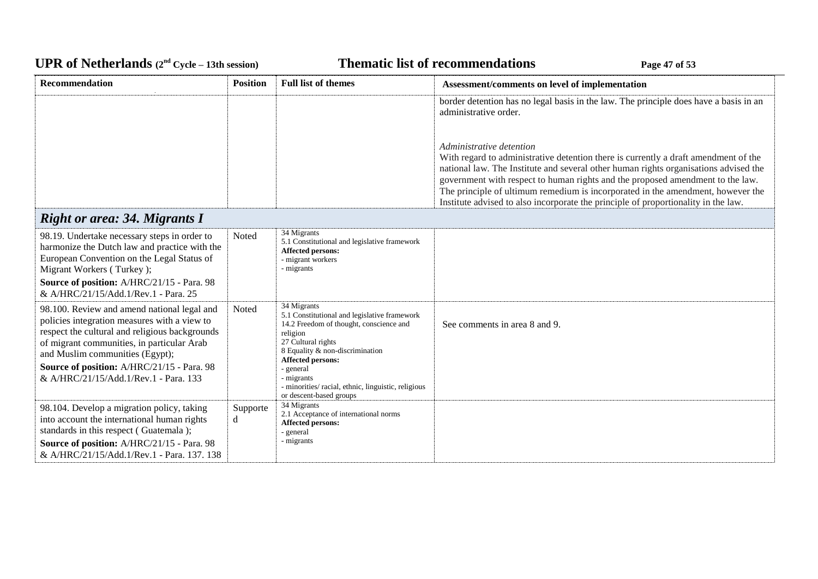# UPR of Netherlands  $(2^{nd} \text{ Cycle} - 13th \text{ session})$  **Thematic list of recommendations Page 47** of 53

| <b>Recommendation</b>                                                                                                                                                                                                                                                                                                 | <b>Position</b> | <b>Full list of themes</b>                                                                                                                                                                                                                                                                                    | Assessment/comments on level of implementation                                                                                                                                                                                                                                                                                                                                                                                                                     |
|-----------------------------------------------------------------------------------------------------------------------------------------------------------------------------------------------------------------------------------------------------------------------------------------------------------------------|-----------------|---------------------------------------------------------------------------------------------------------------------------------------------------------------------------------------------------------------------------------------------------------------------------------------------------------------|--------------------------------------------------------------------------------------------------------------------------------------------------------------------------------------------------------------------------------------------------------------------------------------------------------------------------------------------------------------------------------------------------------------------------------------------------------------------|
|                                                                                                                                                                                                                                                                                                                       |                 |                                                                                                                                                                                                                                                                                                               | border detention has no legal basis in the law. The principle does have a basis in an<br>administrative order.                                                                                                                                                                                                                                                                                                                                                     |
|                                                                                                                                                                                                                                                                                                                       |                 |                                                                                                                                                                                                                                                                                                               | Administrative detention<br>With regard to administrative detention there is currently a draft amendment of the<br>national law. The Institute and several other human rights organisations advised the<br>government with respect to human rights and the proposed amendment to the law.<br>The principle of ultimum remedium is incorporated in the amendment, however the<br>Institute advised to also incorporate the principle of proportionality in the law. |
| <b>Right or area: 34. Migrants I</b>                                                                                                                                                                                                                                                                                  |                 |                                                                                                                                                                                                                                                                                                               |                                                                                                                                                                                                                                                                                                                                                                                                                                                                    |
| 98.19. Undertake necessary steps in order to<br>harmonize the Dutch law and practice with the<br>European Convention on the Legal Status of<br>Migrant Workers (Turkey);<br>Source of position: A/HRC/21/15 - Para. 98<br>& A/HRC/21/15/Add.1/Rev.1 - Para. 25                                                        | Noted           | 34 Migrants<br>5.1 Constitutional and legislative framework<br>Affected persons:<br>- migrant workers<br>- migrants                                                                                                                                                                                           |                                                                                                                                                                                                                                                                                                                                                                                                                                                                    |
| 98.100. Review and amend national legal and<br>policies integration measures with a view to<br>respect the cultural and religious backgrounds<br>of migrant communities, in particular Arab<br>and Muslim communities (Egypt);<br>Source of position: A/HRC/21/15 - Para. 98<br>& A/HRC/21/15/Add.1/Rev.1 - Para. 133 | Noted           | 34 Migrants<br>5.1 Constitutional and legislative framework<br>14.2 Freedom of thought, conscience and<br>religion<br>27 Cultural rights<br>8 Equality & non-discrimination<br>Affected persons:<br>- general<br>- migrants<br>- minorities/ racial, ethnic, linguistic, religious<br>or descent-based groups | See comments in area 8 and 9.                                                                                                                                                                                                                                                                                                                                                                                                                                      |
| 98.104. Develop a migration policy, taking<br>into account the international human rights<br>standards in this respect (Guatemala);<br>Source of position: A/HRC/21/15 - Para. 98<br>& A/HRC/21/15/Add.1/Rev.1 - Para. 137. 138                                                                                       | Supporte<br>d   | 34 Migrants<br>2.1 Acceptance of international norms<br>Affected persons:<br>- general<br>- migrants                                                                                                                                                                                                          |                                                                                                                                                                                                                                                                                                                                                                                                                                                                    |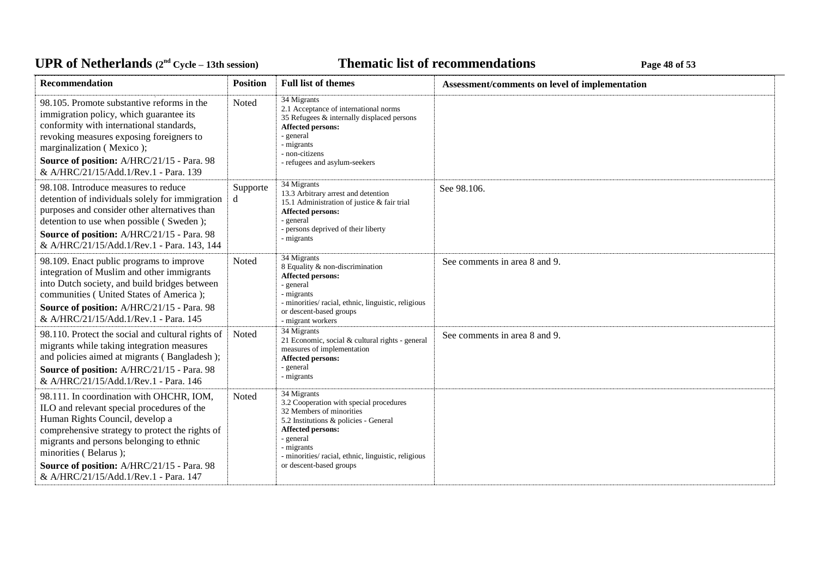# UPR of Netherlands  $(2^{nd} \text{ Cycle} - 13th \text{ session})$  **Thematic list of recommendations Page 48** of 53

| <b>Recommendation</b>                                                                                                                                                                                                                                                                                                                    | <b>Position</b> | <b>Full list of themes</b>                                                                                                                                                                                                                                         | Assessment/comments on level of implementation |
|------------------------------------------------------------------------------------------------------------------------------------------------------------------------------------------------------------------------------------------------------------------------------------------------------------------------------------------|-----------------|--------------------------------------------------------------------------------------------------------------------------------------------------------------------------------------------------------------------------------------------------------------------|------------------------------------------------|
| 98.105. Promote substantive reforms in the<br>immigration policy, which guarantee its<br>conformity with international standards,<br>revoking measures exposing foreigners to<br>marginalization (Mexico);<br>Source of position: A/HRC/21/15 - Para. 98<br>& A/HRC/21/15/Add.1/Rev.1 - Para. 139                                        | Noted           | 34 Migrants<br>2.1 Acceptance of international norms<br>35 Refugees & internally displaced persons<br><b>Affected persons:</b><br>- general<br>migrants<br>- non-citizens<br>- refugees and asylum-seekers                                                         |                                                |
| 98.108. Introduce measures to reduce<br>detention of individuals solely for immigration<br>purposes and consider other alternatives than<br>detention to use when possible (Sweden);<br>Source of position: A/HRC/21/15 - Para. 98<br>& A/HRC/21/15/Add.1/Rev.1 - Para. 143, 144                                                         | Supporte<br>d   | 34 Migrants<br>13.3 Arbitrary arrest and detention<br>15.1 Administration of justice & fair trial<br><b>Affected persons:</b><br>- general<br>- persons deprived of their liberty<br>- migrants                                                                    | See 98.106.                                    |
| 98.109. Enact public programs to improve<br>integration of Muslim and other immigrants<br>into Dutch society, and build bridges between<br>communities (United States of America);<br>Source of position: A/HRC/21/15 - Para. 98<br>& A/HRC/21/15/Add.1/Rev.1 - Para. 145                                                                | Noted           | 34 Migrants<br>8 Equality & non-discrimination<br><b>Affected persons:</b><br>- general<br>migrants<br>- minorities/ racial, ethnic, linguistic, religious<br>or descent-based groups<br>- migrant workers                                                         | See comments in area 8 and 9.                  |
| 98.110. Protect the social and cultural rights of<br>migrants while taking integration measures<br>and policies aimed at migrants (Bangladesh);<br>Source of position: A/HRC/21/15 - Para. 98<br>& A/HRC/21/15/Add.1/Rev.1 - Para. 146                                                                                                   | Noted           | 34 Migrants<br>21 Economic, social & cultural rights - general<br>measures of implementation<br><b>Affected persons:</b><br>- general<br>- migrants                                                                                                                | See comments in area 8 and 9.                  |
| 98.111. In coordination with OHCHR, IOM,<br>ILO and relevant special procedures of the<br>Human Rights Council, develop a<br>comprehensive strategy to protect the rights of<br>migrants and persons belonging to ethnic<br>minorities (Belarus);<br>Source of position: A/HRC/21/15 - Para. 98<br>& A/HRC/21/15/Add.1/Rev.1 - Para, 147 | Noted           | 34 Migrants<br>3.2 Cooperation with special procedures<br>32 Members of minorities<br>5.2 Institutions & policies - General<br><b>Affected persons:</b><br>- general<br>migrants<br>- minorities/ racial, ethnic, linguistic, religious<br>or descent-based groups |                                                |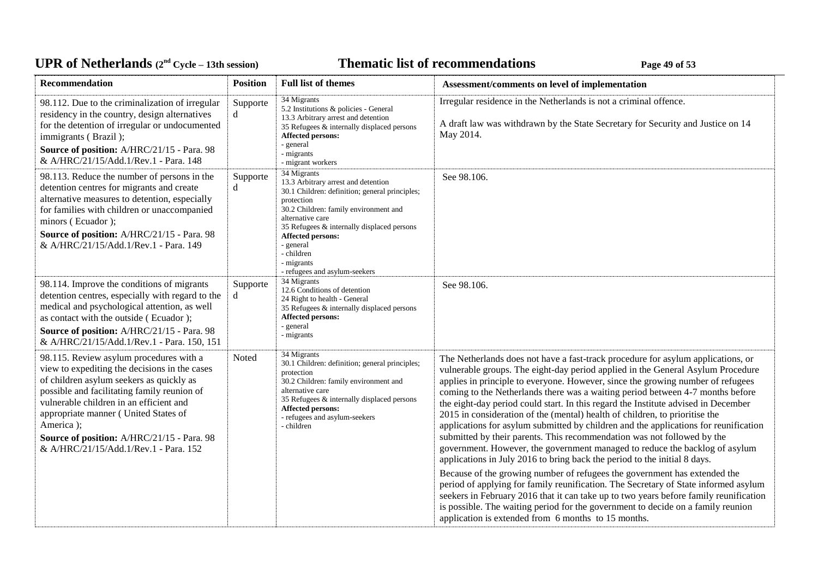# UPR of Netherlands  $(2^{nd} \text{ Cycle} - 13th \text{ session})$  **Thematic list of recommendations Page 49** of 53

| Recommendation                                                                                                                                                                                                                                                                                                                                                             | <b>Position</b> | <b>Full list of themes</b>                                                                                                                                                                                                                                                                                                   | Assessment/comments on level of implementation                                                                                                                                                                                                                                                                                                                                                                                                                                                                                                                                                                                                                                                                                                                                                                                               |
|----------------------------------------------------------------------------------------------------------------------------------------------------------------------------------------------------------------------------------------------------------------------------------------------------------------------------------------------------------------------------|-----------------|------------------------------------------------------------------------------------------------------------------------------------------------------------------------------------------------------------------------------------------------------------------------------------------------------------------------------|----------------------------------------------------------------------------------------------------------------------------------------------------------------------------------------------------------------------------------------------------------------------------------------------------------------------------------------------------------------------------------------------------------------------------------------------------------------------------------------------------------------------------------------------------------------------------------------------------------------------------------------------------------------------------------------------------------------------------------------------------------------------------------------------------------------------------------------------|
| 98.112. Due to the criminalization of irregular<br>residency in the country, design alternatives<br>for the detention of irregular or undocumented<br>immigrants (Brazil);<br>Source of position: A/HRC/21/15 - Para. 98<br>& A/HRC/21/15/Add.1/Rev.1 - Para. 148                                                                                                          | Supporte<br>d   | 34 Migrants<br>5.2 Institutions & policies - General<br>13.3 Arbitrary arrest and detention<br>35 Refugees & internally displaced persons<br><b>Affected persons:</b><br>- general<br>- migrants<br>- migrant workers                                                                                                        | Irregular residence in the Netherlands is not a criminal offence.<br>A draft law was withdrawn by the State Secretary for Security and Justice on 14<br>May 2014.                                                                                                                                                                                                                                                                                                                                                                                                                                                                                                                                                                                                                                                                            |
| 98.113. Reduce the number of persons in the<br>detention centres for migrants and create<br>alternative measures to detention, especially<br>for families with children or unaccompanied<br>minors (Ecuador);<br>Source of position: A/HRC/21/15 - Para. 98<br>& A/HRC/21/15/Add.1/Rev.1 - Para. 149                                                                       | Supporte<br>d   | 34 Migrants<br>13.3 Arbitrary arrest and detention<br>30.1 Children: definition; general principles;<br>protection<br>30.2 Children: family environment and<br>alternative care<br>35 Refugees & internally displaced persons<br>Affected persons:<br>- general<br>- children<br>- migrants<br>- refugees and asylum-seekers | See 98.106.                                                                                                                                                                                                                                                                                                                                                                                                                                                                                                                                                                                                                                                                                                                                                                                                                                  |
| 98.114. Improve the conditions of migrants<br>detention centres, especially with regard to the<br>medical and psychological attention, as well<br>as contact with the outside (Ecuador);<br>Source of position: A/HRC/21/15 - Para. 98<br>& A/HRC/21/15/Add.1/Rev.1 - Para. 150, 151                                                                                       | Supporte<br>d   | 34 Migrants<br>12.6 Conditions of detention<br>24 Right to health - General<br>35 Refugees & internally displaced persons<br><b>Affected persons:</b><br>- general<br>- migrants                                                                                                                                             | See 98.106.                                                                                                                                                                                                                                                                                                                                                                                                                                                                                                                                                                                                                                                                                                                                                                                                                                  |
| 98.115. Review asylum procedures with a<br>view to expediting the decisions in the cases<br>of children asylum seekers as quickly as<br>possible and facilitating family reunion of<br>vulnerable children in an efficient and<br>appropriate manner (United States of<br>America);<br>Source of position: A/HRC/21/15 - Para. 98<br>& A/HRC/21/15/Add.1/Rev.1 - Para. 152 | Noted           | 34 Migrants<br>30.1 Children: definition; general principles;<br>protection<br>30.2 Children: family environment and<br>alternative care<br>35 Refugees & internally displaced persons<br><b>Affected persons:</b><br>- refugees and asylum-seekers<br>- children                                                            | The Netherlands does not have a fast-track procedure for asylum applications, or<br>vulnerable groups. The eight-day period applied in the General Asylum Procedure<br>applies in principle to everyone. However, since the growing number of refugees<br>coming to the Netherlands there was a waiting period between 4-7 months before<br>the eight-day period could start. In this regard the Institute advised in December<br>2015 in consideration of the (mental) health of children, to prioritise the<br>applications for asylum submitted by children and the applications for reunification<br>submitted by their parents. This recommendation was not followed by the<br>government. However, the government managed to reduce the backlog of asylum<br>applications in July 2016 to bring back the period to the initial 8 days. |
|                                                                                                                                                                                                                                                                                                                                                                            |                 |                                                                                                                                                                                                                                                                                                                              | Because of the growing number of refugees the government has extended the<br>period of applying for family reunification. The Secretary of State informed asylum<br>seekers in February 2016 that it can take up to two years before family reunification<br>is possible. The waiting period for the government to decide on a family reunion<br>application is extended from 6 months to 15 months.                                                                                                                                                                                                                                                                                                                                                                                                                                         |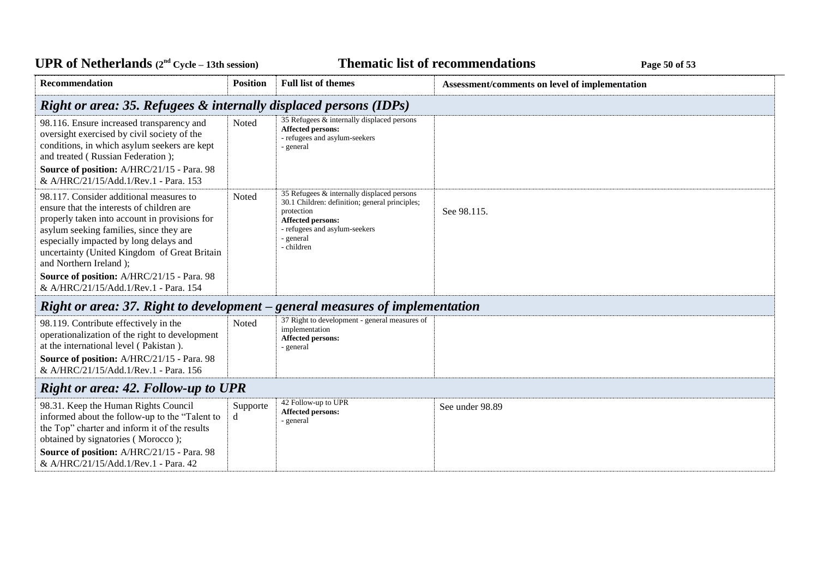| <b>UPR of Netherlands</b> $(2^{nd} \text{ Cycle} - 13th \text{ session})$                                                                                                                                                                                                                            |                 |                                                                                                                                                                                                    | <b>Thematic list of recommendations</b><br>Page 50 of 53 |
|------------------------------------------------------------------------------------------------------------------------------------------------------------------------------------------------------------------------------------------------------------------------------------------------------|-----------------|----------------------------------------------------------------------------------------------------------------------------------------------------------------------------------------------------|----------------------------------------------------------|
| Recommendation                                                                                                                                                                                                                                                                                       | <b>Position</b> | <b>Full list of themes</b>                                                                                                                                                                         | Assessment/comments on level of implementation           |
| Right or area: 35. Refugees & internally displaced persons (IDPs)                                                                                                                                                                                                                                    |                 |                                                                                                                                                                                                    |                                                          |
| 98.116. Ensure increased transparency and<br>oversight exercised by civil society of the<br>conditions, in which asylum seekers are kept<br>and treated (Russian Federation);<br>Source of position: A/HRC/21/15 - Para. 98<br>& A/HRC/21/15/Add.1/Rev.1 - Para. 153                                 | Noted           | 35 Refugees & internally displaced persons<br><b>Affected persons:</b><br>- refugees and asylum-seekers<br>- general                                                                               |                                                          |
| 98.117. Consider additional measures to<br>ensure that the interests of children are<br>properly taken into account in provisions for<br>asylum seeking families, since they are<br>especially impacted by long delays and<br>uncertainty (United Kingdom of Great Britain<br>and Northern Ireland); | Noted           | 35 Refugees & internally displaced persons<br>30.1 Children: definition; general principles;<br>protection<br><b>Affected persons:</b><br>- refugees and asylum-seekers<br>- general<br>- children | See 98.115.                                              |
| Source of position: A/HRC/21/15 - Para. 98<br>& A/HRC/21/15/Add.1/Rev.1 - Para. 154                                                                                                                                                                                                                  |                 |                                                                                                                                                                                                    |                                                          |
| Right or area: 37. Right to development – general measures of implementation                                                                                                                                                                                                                         |                 |                                                                                                                                                                                                    |                                                          |
| 98.119. Contribute effectively in the<br>operationalization of the right to development<br>at the international level (Pakistan).<br>Source of position: A/HRC/21/15 - Para. 98<br>& A/HRC/21/15/Add.1/Rev.1 - Para. 156                                                                             | Noted           | 37 Right to development - general measures of<br>implementation<br>Affected persons:<br>- general                                                                                                  |                                                          |
| <b>Right or area: 42. Follow-up to UPR</b>                                                                                                                                                                                                                                                           |                 |                                                                                                                                                                                                    |                                                          |
| 98.31. Keep the Human Rights Council<br>informed about the follow-up to the "Talent to<br>the Top" charter and inform it of the results<br>obtained by signatories (Morocco);<br>Source of position: A/HRC/21/15 - Para. 98<br>& A/HRC/21/15/Add.1/Rev.1 - Para. 42                                  | Supporte<br>d   | 42 Follow-up to UPR<br><b>Affected persons:</b><br>- general                                                                                                                                       | See under 98.89                                          |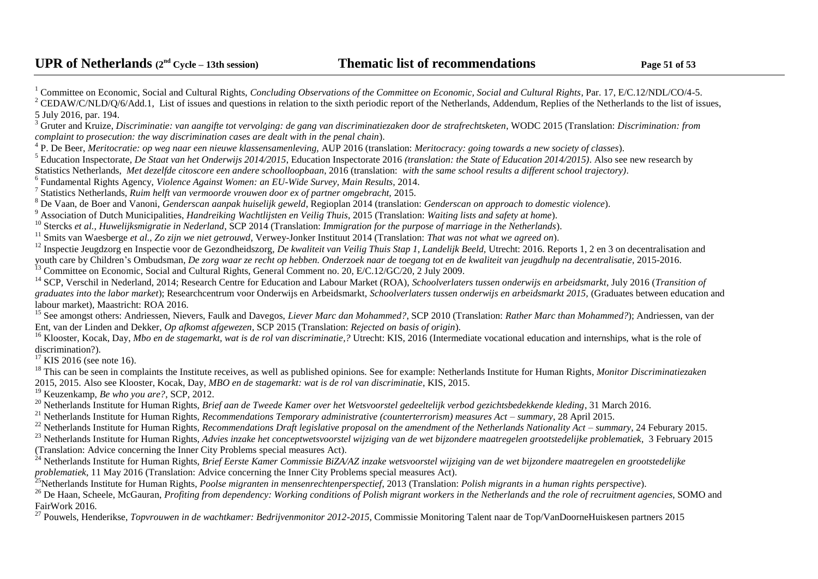<sup>1</sup> Committee on Economic, Social and Cultural Rights, *Concluding Observations of the Committee on Economic, Social and Cultural Rights*, Par. 17, E/C.12/NDL/CO/4-5. <sup>2</sup> CEDAW/C/NLD/Q/6/Add.1. List of issues and questions in relation to the sixth periodic report of the Netherlands. Addendum, Replies of the Netherlands to the list of issues. 5 July 2016, par. 194. <sup>3</sup> Gruter and Kruize, *Discriminatie: van aangifte tot vervolging: de gang van discriminatiezaken door de strafrechtsketen*, WODC 2015 (Translation: *Discrimination: from complaint to prosecution: the way discrimination cases are dealt with in the penal chain*). <sup>4</sup> P. De Beer, *Meritocratie: op weg naar een nieuwe klassensamenleving, AUP 2016 (translation: Meritocracy: going towards a new society of classes).* <sup>5</sup> Education Inspectorate, *De Staat van het Onderwijs 2014/2015*, Education Inspectorate 2016 *(translation: the State of Education 2014/2015)*. Also see new research by Statistics Netherlands, *Met dezelfde citoscore een andere schoolloopbaan*, 2016 (translation: *with the same school results a different school trajectory)*. 6 Fundamental Rights Agency, *Violence Against Women: an EU-Wide Survey, Main Results,* 2014. 7 Statistics Netherlands, *[Ruim helft van vermoorde vrouwen door ex of partner omgebracht,](https://www.cbs.nl/nl-nl/nieuws/2015/35/ruim-helft-van-vermoorde-vrouwen-door-ex-of-partner-omgebracht)* 2015. <sup>8</sup> De Vaan, de Boer and Vanoni, *[Genderscan aanpak huiselijk geweld](http://www.regioplan.nl/publicaties/rapporten/genderscan_aanpak_huiselijk_geweld)*, Regioplan 2014 (translation: *Genderscan on approach to domestic violence*). <sup>9</sup> Association of Dutch Municipalities, *Handreiking [Wachtlijsten en Veilig Thuis](https://vng.nl/files/vng/publicaties/2015/20150731_wachtlijsten-veilig-thuis_20150723.pdf)*, 2015 (Translation: *Waiting lists and safety at home*). <sup>10</sup> Stercks *et al., [Huwelijksmigratie in Nederland](http://www.scp.nl/dsresource?objectid=37186&type=org)*, SCP 2014 (Translation: *Immigration for the purpose of marriage in the Netherlands*). <sup>11</sup> Smits van Waesberge *et al., [Zo zijn we niet getrouwd](https://www.rijksoverheid.nl/documenten/kamerstukken/2014/09/29/aanbiedingsbrief-onderzoek-huwelijksdwang-achterlating-en-huwelijkse-gevangenschap)*, Verwey-Jonker Instituut 2014 (Translation: *That was not what we agreed on*). <sup>12</sup> Inspectie Jeugdzorg en Inspectie voor de Gezondheidszorg, *De kwaliteit van Veilig Thuis Stap 1, Landelijk Beeld*, Utrecht: 2016. Reports 1, 2 en 3 on decentralisation and youth care by Children's Ombudsman, *[De zorg waar ze recht op hebben. Onderzoek naar de toegang tot en de kwaliteit van jeugdhulp na decentralisatie,](https://www.dekinderombudsman.nl/92/ouders-professionals/publicaties/derde-monitor-over-toegang-en-kwaliteit-jeugdhulp/?id=625)* 2015-2016. <sup>13</sup> Committee on Economic, Social and Cultural Rights, General Comment no. 20, E/C.12/GC/20, 2 July 2009. <sup>14</sup> SCP, [Verschil in Nederland,](https://www.scp.nl/dsresource?objectid=9087802b-68ce-449f-807c-d53cff1b2fd5&type=org) 2014; Research Centre for Education and Labour Market (ROA), *Schoolverlaters tussen onderwijs en arbeidsmarkt*, July 2016 (*Transition of graduates into the labor market*); Researchcentrum voor Onderwijs en Arbeidsmarkt, *[Schoolverlaters tussen onderwijs en arbeidsmarkt 2015,](http://roa.sbe.maastrichtuniversity.nl/roanew/wp-content/uploads/2016/07/ROA_R_2016_2.pdf)* (Graduates between education and labour market), Maastricht: ROA 2016*.* <sup>15</sup> See amongst others: Andriessen, Nievers, Faulk and Davegos, *Liever Marc dan Mohammed?*, SCP 2010 (Translation: *Rather Marc than Mohammed?*); Andriessen, van der Ent, van der Linden and Dekker, *Op afkomst afgewezen*, SCP 2015 (Translation: *Rejected on basis of origin*). <sup>16</sup> Klooster, Kocak, Day, *Mbo en de stagemarkt, wat is de rol van discriminatie,?* Utrecht: KIS, 2016 (Intermediate vocational education and internships, what is the role of discrimination?).  $17$  KIS 2016 (see note 16). <sup>18</sup> This can be seen in complaints the Institute receives, as well as published opinions. See for example: Netherlands Institute for Human Rights, *Monitor Discriminatiezaken* 2015, 2015. Also see Klooster, Kocak, Day, *MBO en de stagemarkt: wat is de rol van discriminatie*, KIS, 2015. <sup>19</sup> Keuzenkamp, *Be who you are?*, SCP, 2012. <sup>20</sup> Netherlands Institute for Human Rights, *[Brief aan de Tweede Kamer over het Wetsvoorstel gedeeltelijk verbod gezichtsbedekkende kleding](https://mensenrechten.nl/publicaties/detail/36509)*, 31 March 2016. <sup>21</sup> Netherlands Institute for Human Rights, *[Recommendations Temporary administrative \(counterterrorism\) measures Act –](https://mensenrechten.nl/publicaties/detail/35933) summary*, 28 April 2015. <sup>22</sup> Netherlands Institute for Human Rights, *[Recommendations Draft legislative proposal on the amendment of the Netherlands Nationality Act –](https://mensenrechten.nl/publicaties/detail/35932) summary*, 24 Feburary 2015. <sup>23</sup> Netherlands Institute for Human Rights, *[Advies inzake het conceptwetsvoorstel wijziging van de wet bijzondere maatregelen grootstedelijke problematiek](https://mensenrechten.nl/publicaties/detail/35305), 3 February 2015* (Translation: Advice concerning the Inner City Problems special measures Act). <sup>24</sup> Netherlands Institute for Human Rights, *Brief Eerste Kamer Commissie BiZA/AZ inzake wetsvoorstel wijziging van de wet bijzondere maatregelen en grootstedelijke* 

*[problematiek](https://mensenrechten.nl/publicaties/detail/36562)*, 11 May 2016 (Translation: Advice concerning the Inner City Problems special measures Act).

<sup>25</sup>Netherlands Institute for Human Rights, *[Poolse migranten in mensenrechtenperspectief](https://www.mensenrechten.nl/publicaties/detail/18123)*, 2013 (Translation: *Polish migrants in a human rights perspective*).

<sup>26</sup> De Haan, Scheele, McGauran, *[Profiting from dependency: Working conditions of Polish migrant workers in the Netherlands and the role of recruitment agencies](http://www.fairwork.nu/assets/structured-files/Actueel/Profiting%20from%20dependency.pdf), SOMO and* FairWork 2016.

<sup>27</sup> Pouwels, Henderikse, *Topvrouwen in de wachtkamer: Bedrijvenmonitor 2012-2015*, Commissie Monitoring Talent naar de Top/VanDoorneHuiskesen partners 2015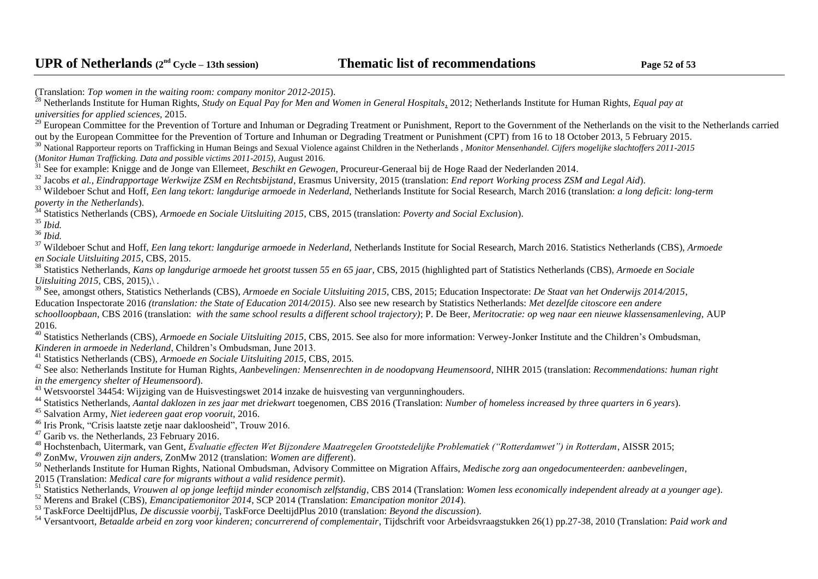(Translation: *Top women in the waiting room: company monitor 2012-2015*). <sup>28</sup> Netherlands Institute for Human Rights, *[Study on Equal Pay for Men and Women in General Hospitals,](http://www.mensenrechten.nl/publicaties/detail/35929)* 2012; Netherlands Institute for Human Rights, *[Equal pay at](https://mensenrechten.nl/publicaties/detail/36318)  [universities for applied sciences,](https://mensenrechten.nl/publicaties/detail/36318)* 2015. <sup>29</sup> European Committee for the Prevention of Torture and Inhuman or Degrading Treatment or Punishment, Report to the Government of the Netherlands on the visit to the Netherlands carried [out by the European Committee for the Prevention of Torture and Inhuman or Degrading Treatment or Punishment \(CPT\)](http://www.cpt.coe.int/en/states/nld.htm) from 16 to 18 October 2013, 5 February 2015. <sup>30</sup> National Rapporteur reports on Trafficking in Human Beings and Sexual Violence against Children in the Netherlands , *[Monitor Mensenhandel. Cijfers mogelijke slachtoffers 2011-2015](https://www.nationaalrapporteur.nl/actueel/2016/aandacht-voor-mensenhandel-neemt-af.aspx)* (*Monitor Human Trafficking. Data and possible victims 2011-2015)*, August 2016. <sup>31</sup> See for example: Knigge and de Jonge van Ellemeet, *Beschikt en Gewogen*, Procureur-Generaal bij de Hoge Raad der Nederlanden 2014. <sup>32</sup> Jacobs *et al., Eindrapportage Werkwijze ZSM en Rechtsbijstand*, Erasmus University, 2015 (translation: *End report Working process ZSM and Legal Aid*). <sup>33</sup> Wildeboer Schut and Hoff, *Een lang tekort: langdurige armoede in Nederland,* Netherlands Institute for Social Research, March 2016 (translation: *a long deficit: long-term poverty in the Netherlands*). <sup>34</sup> Statistics Netherlands (CBS), *Armoede en Sociale Uitsluiting 2015*, CBS, 2015 (translation: *Poverty and Social Exclusion*). <sup>35</sup> *Ibid.* <sup>36</sup> *Ibid.* <sup>37</sup> Wildeboer Schut and Hoff, *Een lang tekort: langdurige armoede in Nederland,* Netherlands Institute for Social Research, March 2016. Statistics Netherlands (CBS), *Armoede en Sociale Uitsluiting 2015*, CBS, 2015. <sup>38</sup> Statistics Netherlands, *Kans op langdurige armoede het grootst tussen 55 en 65 jaar*, CBS, 2015 (highlighted part of Statistics Netherlands (CBS), *Armoede en Sociale Uitsluiting 2015*, CBS, 2015),\. <sup>39</sup> See, amongst others, Statistics Netherlands (CBS), *Armoede en Sociale Uitsluiting 2015*, CBS, 2015; Education Inspectorate: *De Staat van het Onderwijs 2014/2015*, Education Inspectorate 2016 *(translation: the State of Education 2014/2015)*. Also see new research by Statistics Netherlands: *Met dezelfde citoscore een andere schoolloopbaan*, CBS 2016 (translation: *with the same school results a different school trajectory)*; P. De Beer, *Meritocratie: op weg naar een nieuwe klassensamenleving,* AUP 2016. <sup>40</sup> Statistics Netherlands (CBS), *Armoede en Sociale Uitsluiting 2015*, CBS, 2015. See also for more information: Verwey-Jonker Institute and the Children's Ombudsman, *Kinderen in armoede in Nederland*, Children's Ombudsman, June 2013. <sup>41</sup> Statistics Netherlands (CBS), *Armoede en Sociale Uitsluiting 2015*, CBS, 2015. <sup>42</sup> See also: Netherlands Institute for Human Rights, *Aanbevelingen: Mensenrechten in de noodopvang Heumensoord*, NIHR 2015 (translation: *Recommendations: human right in the emergency shelter of Heumensoord*). <sup>43</sup> Wetsvoorstel 34454: [Wijziging van de Huisvestingswet 2014 inzake de huisvesting van vergunninghouders.](http://www.tweedekamer.nl/kamerstukken/wetsvoorstellen/detail?id=2016Z07888&dossier=34454) <sup>44</sup> Statistics Netherlands, *Aantal daklozen in zes jaar met driekwart* toegenomen, CBS 2016 (Translation: *Number of homeless increased by three quarters in 6 years*). <sup>45</sup> Salvation Army, *[Niet iedereen gaat erop vooruit,](http://www.legerdesheils.nl/actueel/niet-iedereen-gaat-erop-vooruit)* 2016. <sup>46</sup> Iris Pronk, ["Crisis laatste zetje naar dakloosheid"](http://www.trouw.nl/tr/nl/4504/Economie/article/detail/4256223/2016/03/03/Crisis-laatste-zetje-naar-dakloosheid.dhtml), Trouw 2016.  $47$  Garib vs. the Netherlands, 23 February 2016.

<sup>48</sup> Hochstenbach, Uitermark, van Gent, *Evaluatie effecten Wet Bijzondere Maatregelen Grootstedelijke Problematiek ("Rotterdamwet") in Rotterdam*, AISSR 2015;

<sup>49</sup> ZonMw, *[Vrouwen zijn anders](http://www.zonmw.nl/uploads/tx_vipublicaties/Signalement_Vrouwen_zijn_echt_anders.pdf)*, ZonMw 2012 (translation: *Women are different*).

<sup>50</sup> Netherlands Institute for Human Rights, National Ombudsman, Advisory Committee on Migration Affairs, *Medische zorg aan ongedocumenteerden: aanbevelingen*,

2015 (Translation: *Medical care for migrants without a valid residence permit*).

<sup>51</sup> Statistics Netherlands, *[Vrouwen al op jonge leeftijd minder economisch zelfstandig](http://www.cbs.nl/NR/rdonlyres/13BDE9A7-ABB8-4030-B8FE-871A38AC5A7F/0/20141201v4art.pdf)*, CBS 2014 (Translation: *Women less economically independent already at a younger age*).

<sup>52</sup> Merens and Brakel (CBS), *Emancipatiemonitor 2014*, SCP 2014 (Translation: *Emancipation monitor 2014*).

<sup>53</sup> TaskForce DeeltijdPlus, *[De discussie voorbij](https://www.rijksoverheid.nl/documenten/kamerstukken/2010/04/06/de-discussie-voorbij-eindrapport-taskforce-deeltijdplus)*, TaskForce DeeltijdPlus 2010 (translation: *Beyond the discussion*).

<sup>54</sup> Versantvoort, *[Betaalde arbeid en zorg voor kinderen; concurrerend of complementair](http://media.leidenuniv.nl/legacy/mv-2010-01.pdf)*, Tijdschrift voor Arbeidsvraagstukken 26(1) pp.27-38, 2010 (Translation: *Paid work and*